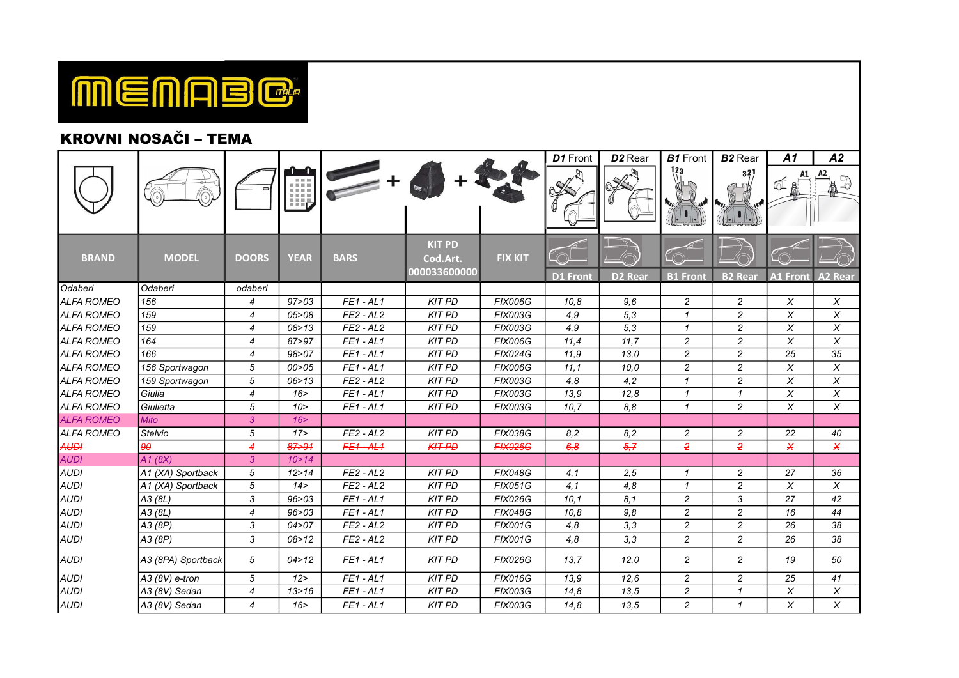

## KROVNI NOSAČI – TEMA

|                   |                    |                  |             |             |                                           |                | D1 Front | D <sub>2</sub> Rear | <b>B1</b> Front | <b>B2</b> Rear | A1              | A2                      |
|-------------------|--------------------|------------------|-------------|-------------|-------------------------------------------|----------------|----------|---------------------|-----------------|----------------|-----------------|-------------------------|
|                   |                    |                  | 图 图 图<br>HĘ |             |                                           |                |          |                     |                 | 321            |                 |                         |
| <b>BRAND</b>      | <b>MODEL</b>       | <b>DOORS</b>     | <b>YEAR</b> | <b>BARS</b> | <b>KIT PD</b><br>Cod.Art.<br>000033600000 | <b>FIX KIT</b> | D1 Front | <b>D2 Rear</b>      | <b>B1 Front</b> | <b>B2 Rear</b> | <b>A1 Front</b> | <b>A2 Rear</b>          |
| Odaberi           | Odaberi            | odaberi          |             |             |                                           |                |          |                     |                 |                |                 |                         |
| <b>ALFA ROMEO</b> | 156                | $\overline{4}$   | 97 > 03     | $FE1 - AL1$ | <b>KIT PD</b>                             | <b>FIX006G</b> | 10,8     | 9,6                 | 2               | $\overline{c}$ | X               | X                       |
| <b>ALFA ROMEO</b> | 159                | $\overline{4}$   | 05 > 08     | $FE2 - AL2$ | <b>KIT PD</b>                             | <b>FIX003G</b> | 4,9      | 5,3                 | $\mathbf{1}$    | $\overline{c}$ | X               | X                       |
| <b>ALFA ROMEO</b> | 159                | 4                | 08 > 13     | $FE2 - AL2$ | <b>KIT PD</b>                             | <b>FIX003G</b> | 4,9      | 5,3                 | $\mathbf{1}$    | $\overline{c}$ | X               | $\pmb{\times}$          |
| <b>ALFA ROMEO</b> | 164                | $\overline{4}$   | 87>97       | $FE1 - AL1$ | <b>KIT PD</b>                             | <b>FIX006G</b> | 11,4     | 11,7                | $\overline{c}$  | $\overline{c}$ | X               | X                       |
| <b>ALFA ROMEO</b> | 166                | $\overline{4}$   | 98 > 07     | $FE1 - AL1$ | <b>KIT PD</b>                             | <b>FIX024G</b> | 11,9     | 13.0                | $\overline{c}$  | $\overline{c}$ | 25              | 35                      |
| <b>ALFA ROMEO</b> | 156 Sportwagon     | 5                | 00 > 05     | $FE1 - AL1$ | <b>KIT PD</b>                             | <b>FIX006G</b> | 11.1     | 10.0                | $\overline{c}$  | $\overline{c}$ | X               | X                       |
| <b>ALFA ROMEO</b> | 159 Sportwagon     | 5                | 06 > 13     | $FE2 - AL2$ | <b>KIT PD</b>                             | <b>FIX003G</b> | 4,8      | 4,2                 | $\mathbf{1}$    | $\overline{c}$ | X               | X                       |
| <b>ALFA ROMEO</b> | Giulia             | $\boldsymbol{4}$ | 16 >        | $FE1 - AL1$ | <b>KIT PD</b>                             | <b>FIX003G</b> | 13.9     | 12,8                | $\mathbf{1}$    | $\mathbf{1}$   | X               | $\pmb{\times}$          |
| <b>ALFA ROMEO</b> | Giulietta          | $\sqrt{5}$       | 10 >        | $FE1 - AL1$ | <b>KIT PD</b>                             | <b>FIX003G</b> | 10,7     | 8,8                 | $\mathbf{1}$    | $\overline{c}$ | X               | X                       |
| <b>ALFA ROMEO</b> | <b>Mito</b>        | $\mathfrak{3}$   | 16 >        |             |                                           |                |          |                     |                 |                |                 |                         |
| <b>ALFA ROMEO</b> | <b>Stelvio</b>     | 5                | 17 >        | $FE2 - AL2$ | <b>KIT PD</b>                             | <b>FIX038G</b> | 8,2      | 8,2                 | $\overline{c}$  | $\overline{c}$ | 22              | 40                      |
| <b>AUDI</b>       | 90                 | $\overline{4}$   | $87 - 91$   | $FE1 - AL1$ | <b>KIT PD</b>                             | <b>FIX026G</b> | 6,8      | 5,7                 | $\overline{2}$  | $\overline{2}$ | X               | X                       |
| <b>AUDI</b>       | A1(8X)             | $\mathbf{3}$     | 10 > 14     |             |                                           |                |          |                     |                 |                |                 |                         |
| <b>AUDI</b>       | A1 (XA) Sportback  | 5                | 12 > 14     | $FE2 - AL2$ | <b>KIT PD</b>                             | <b>FIX048G</b> | 4,1      | 2,5                 | $\mathbf{1}$    | $\overline{c}$ | 27              | 36                      |
| <b>AUDI</b>       | A1 (XA) Sportback  | $\sqrt{5}$       | 14 >        | $FE2 - AL2$ | <b>KIT PD</b>                             | <b>FIX051G</b> | 4,1      | 4,8                 | $\mathbf{1}$    | $\overline{c}$ | X               | X                       |
| <b>AUDI</b>       | A3 (8L)            | 3                | 96 > 03     | $FE1 - AL1$ | <b>KIT PD</b>                             | <b>FIX026G</b> | 10,1     | 8,1                 | $\overline{c}$  | 3              | 27              | 42                      |
| <b>AUDI</b>       | A3 (8L)            | $\boldsymbol{4}$ | 96 > 03     | $FE1 - AL1$ | <b>KIT PD</b>                             | <b>FIX048G</b> | 10,8     | 9,8                 | $\overline{c}$  | $\overline{c}$ | 16              | 44                      |
| <b>AUDI</b>       | A3 (8P)            | 3                | 04 > 07     | $FE2 - AL2$ | <b>KIT PD</b>                             | <b>FIX001G</b> | 4,8      | 3,3                 | $\overline{c}$  | $\overline{c}$ | 26              | 38                      |
| <b>AUDI</b>       | A3 (8P)            | 3                | 08 > 12     | $FE2 - AL2$ | <b>KIT PD</b>                             | <b>FIX001G</b> | 4,8      | 3,3                 | $\overline{c}$  | $\overline{c}$ | 26              | 38                      |
| <b>AUDI</b>       | A3 (8PA) Sportback | 5                | 04 > 12     | $FE1 - AL1$ | <b>KIT PD</b>                             | <b>FIX026G</b> | 13.7     | 12,0                | 2               | 2              | 19              | 50                      |
| <b>AUDI</b>       | A3 (8V) e-tron     | 5                | 12 >        | $FE1 - AL1$ | <b>KIT PD</b>                             | <b>FIX016G</b> | 13,9     | 12,6                | $\overline{c}$  | $\overline{c}$ | 25              | 41                      |
| <b>AUDI</b>       | A3 (8V) Sedan      | $\overline{4}$   | 13 > 16     | $FE1 - AL1$ | <b>KIT PD</b>                             | <b>FIX003G</b> | 14,8     | 13,5                | $\overline{c}$  | $\mathbf{1}$   | X               | $\overline{\mathsf{x}}$ |
| <b>AUDI</b>       | A3 (8V) Sedan      | 4                | 16 >        | $FE1 - AL1$ | <b>KIT PD</b>                             | <b>FIX003G</b> | 14,8     | 13,5                | $\overline{c}$  | $\mathbf{1}$   | X               | X                       |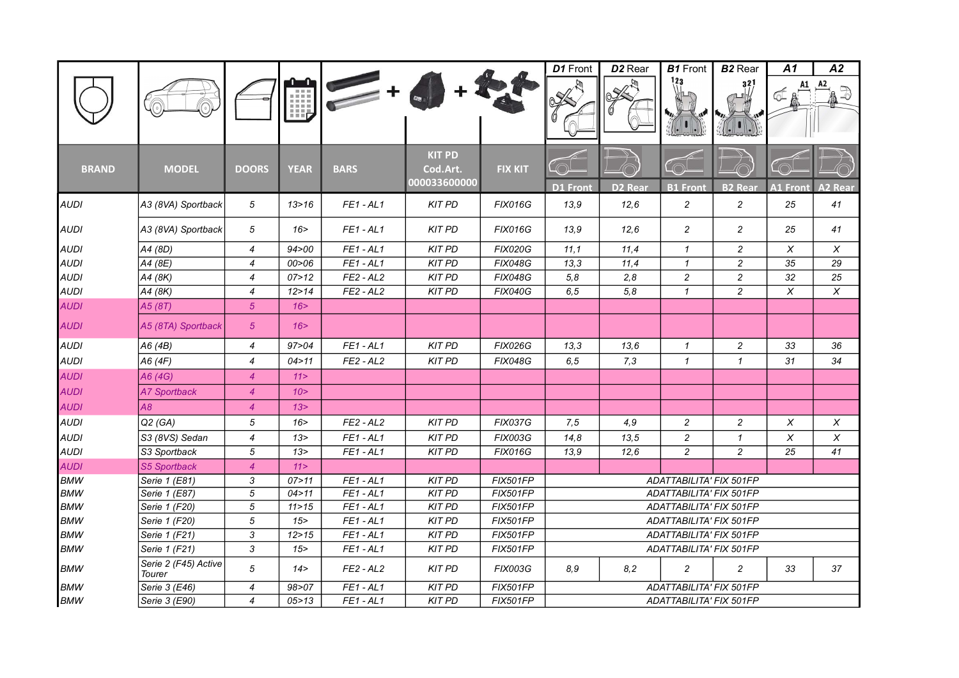|              |                                |                  |             |             |                                           |                 | D1 Front                | D <sub>2</sub> Rear | <b>B1</b> Front                | <b>B2</b> Rear   | A1              | A2             |  |  |
|--------------|--------------------------------|------------------|-------------|-------------|-------------------------------------------|-----------------|-------------------------|---------------------|--------------------------------|------------------|-----------------|----------------|--|--|
|              |                                |                  | Ш,          |             |                                           |                 |                         |                     | 123                            | 32               |                 |                |  |  |
| <b>BRAND</b> | <b>MODEL</b>                   | <b>DOORS</b>     | <b>YEAR</b> | <b>BARS</b> | <b>KIT PD</b><br>Cod.Art.<br>000033600000 | <b>FIX KIT</b>  | <b>D1 Front</b>         | <b>D2 Rear</b>      | <b>B1 Front</b>                | <b>B2 Real</b>   | <b>A1 Front</b> | <b>A2 Rear</b> |  |  |
| <b>AUDI</b>  | A3 (8VA) Sportback             | 5                | 13 > 16     | $FE1 - AL1$ | <b>KIT PD</b>                             | <b>FIX016G</b>  | 13,9                    | 12,6                | $\sqrt{2}$                     | $\boldsymbol{2}$ | 25              | 41             |  |  |
| <b>AUDI</b>  | A3 (8VA) Sportback             | 5                | 16 >        | $FE1 - AL1$ | <b>KIT PD</b>                             | <b>FIX016G</b>  | 13.9                    | 12,6                | $\overline{c}$                 | $\overline{c}$   | 25              | 41             |  |  |
| <b>AUDI</b>  | A4 (8D)                        | $\overline{4}$   | 94 > 00     | $FE1 - AL1$ | <b>KIT PD</b>                             | <b>FIX020G</b>  | 11,1                    | 11,4                | $\mathcal I$                   | $\overline{c}$   | X               | X              |  |  |
| <b>AUDI</b>  | A4 (8E)                        | $\overline{4}$   | 00>06       | $FE1 - AL1$ | <b>KIT PD</b>                             | <b>FIX048G</b>  | 13,3                    | 11,4                | $\mathbf{1}$                   | $\overline{c}$   | 35              | 29             |  |  |
| <b>AUDI</b>  | A4 (8K)                        | $\overline{4}$   | 07 > 12     | $FE2 - AL2$ | <b>KIT PD</b>                             | <b>FIX048G</b>  | 5,8                     | 2,8                 | $\overline{c}$                 | $\overline{c}$   | 32              | 25             |  |  |
| <b>AUDI</b>  | A4 (8K)                        | $\overline{4}$   | 12 > 14     | $FE2 - AL2$ | <b>KIT PD</b>                             | <b>FIX040G</b>  | 6, 5                    | 5,8                 | $\mathbf{1}$                   | $\overline{c}$   | X               | X              |  |  |
| <b>AUDI</b>  | A5 (8T)                        | 5 <sup>5</sup>   | 16 >        |             |                                           |                 |                         |                     |                                |                  |                 |                |  |  |
| <b>AUDI</b>  | A5 (8TA) Sportback             | $\sqrt{5}$       | 16          |             |                                           |                 |                         |                     |                                |                  |                 |                |  |  |
| <b>AUDI</b>  | A6 (4B)                        | $\overline{4}$   | 97 > 04     | $FE1 - AL1$ | <b>KIT PD</b>                             | <b>FIX026G</b>  | 13,3                    | 13,6                | $\mathcal I$                   | $\overline{c}$   | 33              | 36             |  |  |
| <b>AUDI</b>  | A6 (4F)                        | $\overline{4}$   | 04 > 11     | $FE2 - AL2$ | <b>KIT PD</b>                             | <b>FIX048G</b>  | 6,5                     | 7,3                 | $\mathcal I$                   | $\mathcal I$     | 31              | 34             |  |  |
| <b>AUDI</b>  | A6 (4G)                        | $\overline{4}$   | 11 >        |             |                                           |                 |                         |                     |                                |                  |                 |                |  |  |
| <b>AUDI</b>  | <b>A7 Sportback</b>            | $\overline{4}$   | 10 >        |             |                                           |                 |                         |                     |                                |                  |                 |                |  |  |
| <b>AUDI</b>  | A8                             | $\overline{4}$   | 13 >        |             |                                           |                 |                         |                     |                                |                  |                 |                |  |  |
| <b>AUDI</b>  | Q2(GA)                         | 5                | 16          | $FE2 - AL2$ | <b>KIT PD</b>                             | <b>FIX037G</b>  | 7,5                     | 4,9                 | 2                              | $\overline{c}$   | Χ               | X              |  |  |
| <b>AUDI</b>  | S3 (8VS) Sedan                 | $\boldsymbol{4}$ | 13 >        | $FE1 - AL1$ | <b>KIT PD</b>                             | <b>FIX003G</b>  | 14,8                    | 13,5                | $\overline{c}$                 | $\mathbf{1}$     | $\pmb{\times}$  | $\pmb{\times}$ |  |  |
| <b>AUDI</b>  | S3 Sportback                   | 5                | 13>         | $FE1 - AL1$ | <b>KIT PD</b>                             | <b>FIX016G</b>  | 13,9                    | 12,6                | $\overline{c}$                 | $\overline{c}$   | 25              | 41             |  |  |
| <b>AUDI</b>  | <b>S5 Sportback</b>            | $\overline{4}$   | 11 >        |             |                                           |                 |                         |                     |                                |                  |                 |                |  |  |
| <b>BMW</b>   | Serie 1 (E81)                  | 3                | 07 > 11     | $FE1 - AL1$ | <b>KIT PD</b>                             | <b>FIX501FP</b> |                         |                     | ADATTABILITA' FIX 501FP        |                  |                 |                |  |  |
| <b>BMW</b>   | Serie 1 (E87)                  | 5                | 04 > 11     | $FE1 - AL1$ | <b>KIT PD</b>                             | FIX501FP        |                         |                     | ADATTABILITA' FIX 501FP        |                  |                 |                |  |  |
| <b>BMW</b>   | Serie 1 (F20)                  | 5                | 11 > 15     | $FE1 - AL1$ | <b>KIT PD</b>                             | <b>FIX501FP</b> |                         |                     | ADATTABILITA' FIX 501FP        |                  |                 |                |  |  |
| <b>BMW</b>   | Serie 1 (F20)                  | 5                | 15          | $FE1 - AL1$ | <b>KIT PD</b>                             | <b>FIX501FP</b> |                         |                     | <b>ADATTABILITA' FIX 501FP</b> |                  |                 |                |  |  |
| <b>BMW</b>   | Serie 1 (F21)                  | 3                | 12 > 15     | $FE1 - AL1$ | <b>KIT PD</b>                             | FIX501FP        |                         |                     | ADATTABILITA' FIX 501FP        |                  |                 |                |  |  |
| <b>BMW</b>   | Serie 1 (F21)                  | 3                | 15          | $FE1 - AL1$ | <b>KIT PD</b>                             | <b>FIX501FP</b> |                         |                     | ADATTABILITA' FIX 501FP        |                  |                 |                |  |  |
| <b>BMW</b>   | Serie 2 (F45) Active<br>Tourer | 5                | 14 >        | $FE2 - AL2$ | <b>KIT PD</b>                             | <b>FIX003G</b>  | 8,9                     | 8,2                 | $\overline{c}$                 | $\overline{c}$   | 33              | 37             |  |  |
| <b>BMW</b>   | Serie 3 (E46)                  | 4                | 98>07       | $FE1 - AL1$ | <b>KIT PD</b>                             | FIX501FP        |                         |                     | ADATTABILITA' FIX 501FP        |                  |                 |                |  |  |
| <b>BMW</b>   | Serie 3 (E90)                  | 4                | 05 > 13     | $FE1 - AL1$ | <b>KIT PD</b>                             | FIX501FP        | ADATTABILITA' FIX 501FP |                     |                                |                  |                 |                |  |  |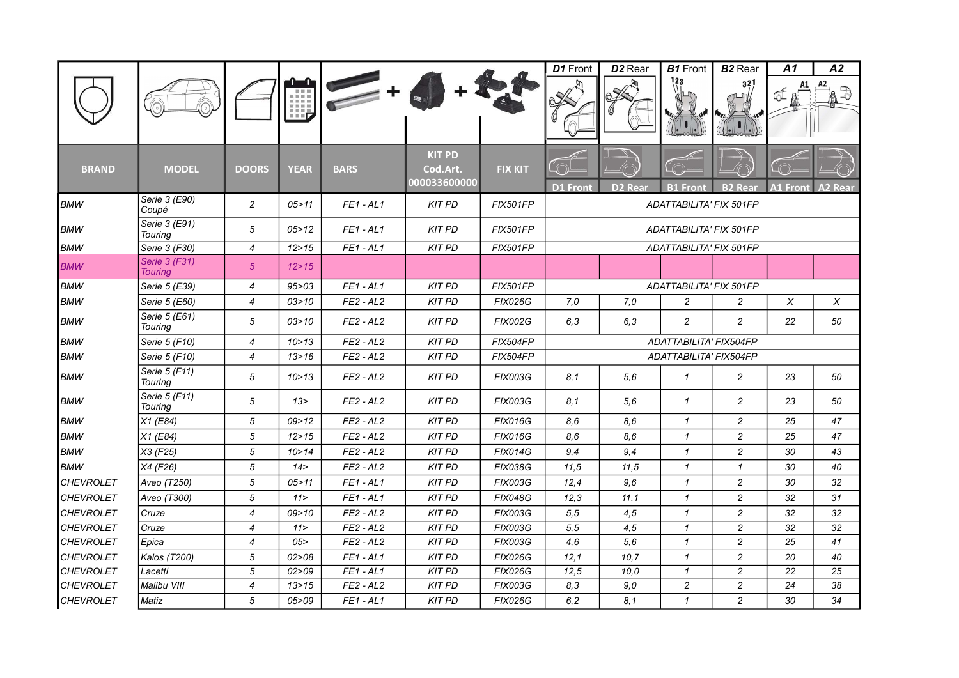|                  |                                 |                          |             |             |                                           |                 | D1 Front        | D <sub>2</sub> Rear | <b>B1</b> Front                | <b>B2</b> Rear | A1              | A2             |
|------------------|---------------------------------|--------------------------|-------------|-------------|-------------------------------------------|-----------------|-----------------|---------------------|--------------------------------|----------------|-----------------|----------------|
|                  |                                 |                          | Ш,          |             |                                           |                 |                 |                     |                                | 32             |                 |                |
| <b>BRAND</b>     | <b>MODEL</b>                    | <b>DOORS</b>             | <b>YEAR</b> | <b>BARS</b> | <b>KIT PD</b><br>Cod.Art.<br>000033600000 | <b>FIX KIT</b>  | <b>D1</b> Front | D2 Rear             | <b>B1 Front</b>                | <b>B2 Rear</b> | <b>A1 Front</b> | <b>A2 Real</b> |
| <b>BMW</b>       | Serie 3 (E90)<br>Coupé          | $\overline{c}$           | 05 > 11     | $FE1 - AL1$ | <b>KIT PD</b>                             | <b>FIX501FP</b> |                 |                     | ADATTABILITA' FIX 501FP        |                |                 |                |
| <b>BMW</b>       | Serie 3 (E91)<br>Touring        | 5                        | 05 > 12     | $FE1 - AL1$ | <b>KIT PD</b>                             | <b>FIX501FP</b> |                 |                     | ADATTABILITA' FIX 501FP        |                |                 |                |
| <b>BMW</b>       | Serie 3 (F30)                   | $\overline{4}$           | 12 > 15     | $FE1 - AL1$ | <b>KIT PD</b>                             | <b>FIX501FP</b> |                 |                     | <b>ADATTABILITA' FIX 501FP</b> |                |                 |                |
| <b>BMW</b>       | Serie 3 (F31)<br><b>Touring</b> | 5 <sup>5</sup>           | 12 > 15     |             |                                           |                 |                 |                     |                                |                |                 |                |
| <b>BMW</b>       | Serie 5 (E39)                   | $\overline{4}$           | 95 > 03     | $FE1 - AL1$ | <b>KIT PD</b>                             | <b>FIX501FP</b> |                 |                     | <b>ADATTABILITA' FIX 501FP</b> |                |                 |                |
| <b>BMW</b>       | Serie 5 (E60)                   | $\overline{4}$           | 03 > 10     | $FE2 - AL2$ | <b>KIT PD</b>                             | <b>FIX026G</b>  | 7,0             | 7.0                 | $\overline{c}$                 | 2              | X               | X              |
| <b>BMW</b>       | Serie 5 (E61)<br>Touring        | 5                        | 03 > 10     | $FE2 - AL2$ | <b>KIT PD</b>                             | <b>FIX002G</b>  | 6,3             | 6.3                 | 2                              | $\overline{c}$ | 22              | 50             |
| <b>BMW</b>       | Serie 5 (F10)                   | 4                        | 10 > 13     | $FE2 - AL2$ | <b>KIT PD</b>                             | FIX504FP        |                 |                     | ADATTABILITA' FIX504FP         |                |                 |                |
| <b>BMW</b>       | Serie 5 (F10)                   | $\overline{\mathcal{A}}$ | 13 > 16     | $FE2 - AL2$ | <b>KIT PD</b>                             | FIX504FP        |                 |                     | ADATTABILITA' FIX504FP         |                |                 |                |
| <b>BMW</b>       | Serie 5 (F11)<br>Touring        | 5                        | 10 > 13     | $FE2 - AL2$ | <b>KIT PD</b>                             | <b>FIX003G</b>  | 8,1             | 5,6                 | $\mathcal I$                   | $\overline{c}$ | 23              | 50             |
| <b>BMW</b>       | Serie 5 (F11)<br>Touring        | 5                        | 13 >        | $FE2 - AL2$ | <b>KIT PD</b>                             | <b>FIX003G</b>  | 8,1             | 5,6                 | $\mathbf{1}$                   | $\overline{c}$ | 23              | 50             |
| <b>BMW</b>       | X1 (E84)                        | 5                        | 09 > 12     | $FE2 - AL2$ | <b>KIT PD</b>                             | <b>FIX016G</b>  | 8,6             | 8.6                 | $\mathbf{1}$                   | $\overline{c}$ | 25              | 47             |
| <b>BMW</b>       | X1(E84)                         | 5                        | 12 > 15     | $FE2 - AL2$ | <b>KIT PD</b>                             | <b>FIX016G</b>  | 8.6             | 8.6                 | $\mathbf{1}$                   | $\overline{c}$ | 25              | 47             |
| <b>BMW</b>       | $X3$ (F25)                      | 5                        | 10 > 14     | $FE2 - AL2$ | <b>KIT PD</b>                             | <b>FIX014G</b>  | 9,4             | 9,4                 | $\mathbf{1}$                   | $\overline{c}$ | 30              | 43             |
| <b>BMW</b>       | X4 (F26)                        | 5                        | 14 >        | $FE2 - AL2$ | <b>KIT PD</b>                             | <b>FIX038G</b>  | 11.5            | 11,5                | $\mathbf{1}$                   | $\mathbf{1}$   | 30              | 40             |
| <b>CHEVROLET</b> | Aveo (T250)                     | 5                        | 05 > 11     | $FE1 - AL1$ | <b>KIT PD</b>                             | <b>FIX003G</b>  | 12,4            | 9.6                 | $\mathbf{1}$                   | $\overline{c}$ | 30              | 32             |
| <b>CHEVROLET</b> | Aveo (T300)                     | 5                        | 11 >        | $FE1 - AL1$ | <b>KIT PD</b>                             | <b>FIX048G</b>  | 12,3            | 11,1                | $\mathbf{1}$                   | $\overline{c}$ | 32              | 31             |
| <b>CHEVROLET</b> | Cruze                           | $\overline{4}$           | 09 > 10     | $FE2 - AL2$ | <b>KIT PD</b>                             | <b>FIX003G</b>  | 5, 5            | 4.5                 | $\mathbf{1}$                   | $\overline{c}$ | 32              | 32             |
| <b>CHEVROLET</b> | Cruze                           | $\overline{4}$           | 11 >        | $FE2 - AL2$ | <b>KIT PD</b>                             | <b>FIX003G</b>  | 5,5             | 4,5                 | $\mathbf{1}$                   | $\overline{c}$ | 32              | 32             |
| <b>CHEVROLET</b> | Epica                           | $\overline{\mathcal{A}}$ | 05 >        | $FE2 - AL2$ | <b>KIT PD</b>                             | <b>FIX003G</b>  | 4,6             | 5,6                 | $\mathbf{1}$                   | $\overline{c}$ | 25              | 41             |
| <b>CHEVROLET</b> | Kalos (T200)                    | 5                        | 02 > 08     | $FE1 - AL1$ | <b>KIT PD</b>                             | <b>FIX026G</b>  | 12,1            | 10, 7               | $\mathcal I$                   | $\overline{c}$ | 20              | 40             |
| <b>CHEVROLET</b> | Lacetti                         | 5                        | 02 > 09     | $FE1 - AL1$ | <b>KIT PD</b>                             | <b>FIX026G</b>  | 12,5            | 10.0                | $\mathcal I$                   | $\overline{c}$ | 22              | 25             |
| <b>CHEVROLET</b> | Malibu VIII                     | $\overline{4}$           | 13 > 15     | $FE2 - AL2$ | <b>KIT PD</b>                             | <b>FIX003G</b>  | 8.3             | 9,0                 | $\overline{c}$                 | $\overline{c}$ | 24              | 38             |
| <b>CHEVROLET</b> | Matiz                           | 5                        | 05>09       | $FE1 - AL1$ | <b>KIT PD</b>                             | <b>FIX026G</b>  | 6,2             | 8,1                 | $\mathbf{1}$                   | $\overline{c}$ | 30              | 34             |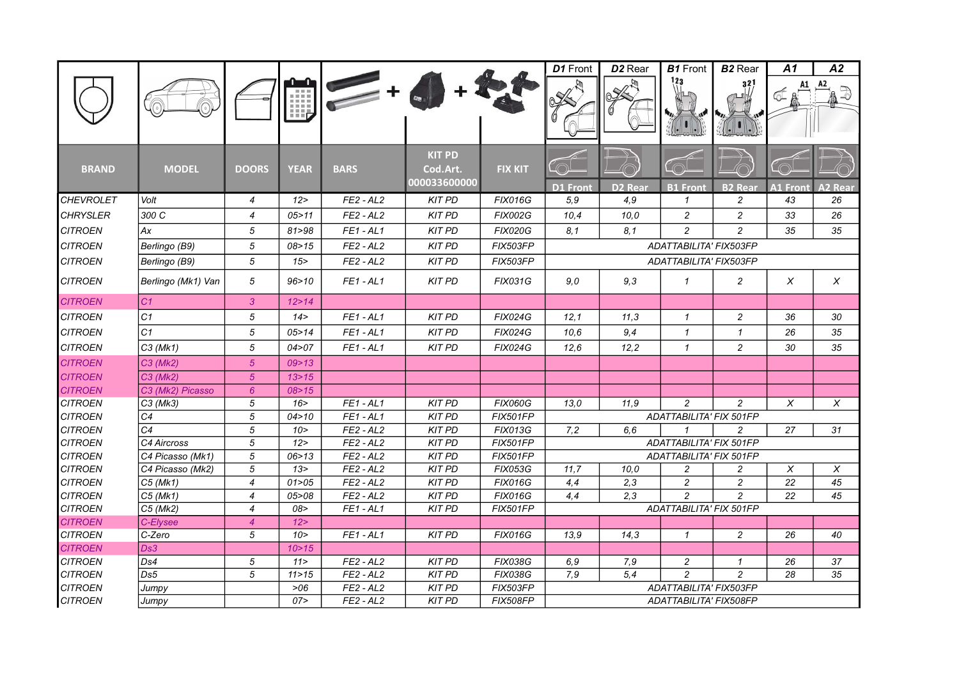|                                  |                    |                |                |                            |                                           |                            | D1 Front        | D <sub>2</sub> Rear | <b>B1</b> Front                  | <b>B2</b> Rear | A1              | A2             |
|----------------------------------|--------------------|----------------|----------------|----------------------------|-------------------------------------------|----------------------------|-----------------|---------------------|----------------------------------|----------------|-----------------|----------------|
|                                  |                    |                | 唧              |                            |                                           |                            |                 |                     |                                  | 32             |                 |                |
| <b>BRAND</b>                     | <b>MODEL</b>       | <b>DOORS</b>   | <b>YEAR</b>    | <b>BARS</b>                | <b>KIT PD</b><br>Cod.Art.<br>000033600000 | <b>FIX KIT</b>             | <b>D1 Front</b> | <b>D2 Rear</b>      | <b>B1</b> Front                  | <b>B2 Rear</b> | <b>A1 Front</b> | <b>A2 Rear</b> |
| <b>CHEVROLET</b>                 | Volt               | $\overline{4}$ | 12             | $FE2 - AL2$                | <b>KIT PD</b>                             | <b>FIX016G</b>             | 5.9             | 4.9                 | $\mathbf{1}$                     | $\overline{c}$ | 43              | 26             |
| <b>CHRYSLER</b>                  | 300 C              | 4              | 05 > 11        | $FE2 - AL2$                | <b>KIT PD</b>                             | <b>FIX002G</b>             | 10,4            | 10,0                | 2                                | $\overline{c}$ | 33              | 26             |
| <b>CITROEN</b>                   | Ax                 | 5              | 81 > 98        | $FE1 - AL1$                | <b>KIT PD</b>                             | <b>FIX020G</b>             | 8,1             | 8.1                 | $\overline{c}$                   | $\overline{c}$ | 35              | 35             |
| <b>CITROEN</b>                   | Berlingo (B9)      | 5              | 08 > 15        | $FE2 - AL2$                | <b>KIT PD</b>                             | FIX503FP                   |                 |                     | ADATTABILITA' FIX503FP           |                |                 |                |
| <b>CITROEN</b>                   | Berlingo (B9)      | 5              | 15             | $FE2 - AL2$                | <b>KIT PD</b>                             | FIX503FP                   |                 |                     | ADATTABILITA' FIX503FP           |                |                 |                |
| <b>CITROEN</b>                   | Berlingo (Mk1) Van | 5              | 96 > 10        | $FE1 - AL1$                | <b>KIT PD</b>                             | <b>FIX031G</b>             | 9,0             | 9,3                 | $\mathcal I$                     | $\overline{c}$ | $\chi$          | X              |
| <b>CITROEN</b>                   | C1                 | $\mathbf{3}$   | 12 > 14        |                            |                                           |                            |                 |                     |                                  |                |                 |                |
| <b>CITROEN</b>                   | C1                 | 5              | 14 >           | $FE1 - AL1$                | <b>KIT PD</b>                             | <b>FIX024G</b>             | 12,1            | 11,3                | $\mathbf{1}$                     | $\overline{c}$ | 36              | 30             |
| <b>CITROEN</b>                   | C <sub>1</sub>     | 5              | 05 > 14        | $FE1 - AL1$                | <b>KIT PD</b>                             | <b>FIX024G</b>             | 10.6            | 9,4                 | $\mathbf{1}$                     | $\mathcal I$   | 26              | 35             |
| <b>CITROEN</b>                   | $C3$ (Mk1)         | 5              | 04 > 07        | $FE1 - AL1$                | <b>KIT PD</b>                             | <b>FIX024G</b>             | 12,6            | 12,2                | $\mathbf{1}$                     | $\overline{c}$ | 30              | 35             |
| <b>CITROEN</b>                   | $C3$ (Mk2)         | $\overline{5}$ | 09 > 13        |                            |                                           |                            |                 |                     |                                  |                |                 |                |
| <b>CITROEN</b>                   | C3 (Mk2)           | $\sqrt{5}$     | 13 > 15        |                            |                                           |                            |                 |                     |                                  |                |                 |                |
| <b>CITROEN</b>                   | C3 (Mk2) Picasso   | $6^{\circ}$    | 08 > 15        |                            |                                           |                            |                 |                     |                                  |                |                 |                |
| <b>CITROEN</b>                   | $C3$ (Mk3)         | 5              | 16             | $FE1 - AL1$                | <b>KIT PD</b>                             | <b>FIX060G</b>             | 13,0            | 11.9                | $\overline{c}$                   | $\overline{c}$ | $\chi$          | $\chi$         |
| <b>CITROEN</b>                   | C <sub>4</sub>     | 5              | 04 > 10        | $FE1 - AL1$                | <b>KIT PD</b>                             | <b>FIX501FP</b>            |                 |                     | <b>ADATTABILITA' FIX 501FP</b>   |                |                 |                |
| <b>CITROEN</b>                   | C <sub>4</sub>     | 5              | 10 >           | $FE2 - AL2$                | <b>KIT PD</b>                             | <b>FIX013G</b>             | 7,2             | 6.6                 | $\mathbf{1}$                     | $\overline{c}$ | 27              | 31             |
| <b>CITROEN</b>                   | C4 Aircross        | 5              | 12             | $FE2 - AL2$                | <b>KIT PD</b>                             | <b>FIX501FP</b>            |                 |                     | ADATTABILITA' FIX 501FP          |                |                 |                |
| <b>CITROEN</b>                   | C4 Picasso (Mk1)   | 5              | 06 > 13        | $FE2 - AL2$                | <b>KIT PD</b>                             | <b>FIX501FP</b>            |                 |                     | ADATTABILITA' FIX 501FP          |                |                 |                |
| <b>CITROEN</b>                   | C4 Picasso (Mk2)   | 5              | 13 >           | $FE2 - AL2$                | <b>KIT PD</b>                             | <b>FIX053G</b>             | 11,7            | 10,0                | $\overline{c}$                   | $\overline{c}$ | Χ               | X              |
| <b>CITROEN</b>                   | $C5$ (Mk1)         | $\overline{4}$ | 01 > 05        | $FE2 - AL2$                | <b>KIT PD</b>                             | <b>FIX016G</b>             | 4,4             | 2,3                 | $\overline{c}$                   | $\overline{c}$ | 22              | 45             |
| <b>CITROEN</b>                   | $C5$ (Mk1)         | $\overline{4}$ | 05 > 08        | $FE2 - AL2$                | <b>KIT PD</b>                             | <b>FIX016G</b>             | 4,4             | 2.3                 | $\overline{c}$                   | $\overline{c}$ | 22              | 45             |
| <b>CITROEN</b>                   | $C5$ (Mk2)         | $\overline{4}$ | 08>            | $FE1 - AL1$                | <b>KIT PD</b>                             | <b>FIX501FP</b>            |                 |                     | ADATTABILITA' FIX 501FP          |                |                 |                |
| <b>CITROEN</b>                   | C-Elysee           | $\overline{4}$ | 12 >           |                            |                                           |                            |                 |                     |                                  |                |                 |                |
| <b>CITROEN</b>                   | C-Zero             | 5              | 10 >           | $FE1 - AL1$                | <b>KIT PD</b>                             | <b>FIX016G</b>             | 13.9            | 14,3                | $\mathbf{1}$                     | $\overline{c}$ | 26              | 40             |
| <b>CITROEN</b>                   | Ds3                |                | 10 > 15        |                            |                                           |                            |                 |                     |                                  |                |                 |                |
| <b>CITROEN</b>                   | Ds4                | 5              | 11 >           | $FE2 - AL2$                | <b>KIT PD</b>                             | FIX038G                    | 6,9             | 7,9                 | $\overline{c}$<br>$\overline{c}$ | 1              | 26              | 37<br>35       |
| <b>CITROEN</b><br><b>CITROEN</b> | Ds5                | 5              | 11 > 15<br>>06 | $FE2 - AL2$<br>$FE2 - AL2$ | <b>KIT PD</b><br><b>KIT PD</b>            | <b>FIX038G</b><br>FIX503FP | 7,9             | 5,4                 | ADATTABILITA' FIX503FP           | $\overline{c}$ | 28              |                |
| <b>CITROEN</b>                   | Jumpy              |                | 07 >           | $FE2 - AL2$                | KIT PD                                    | <b>FIX508FP</b>            |                 |                     | ADATTABILITA' FIX508FP           |                |                 |                |
|                                  | Jumpy              |                |                |                            |                                           |                            |                 |                     |                                  |                |                 |                |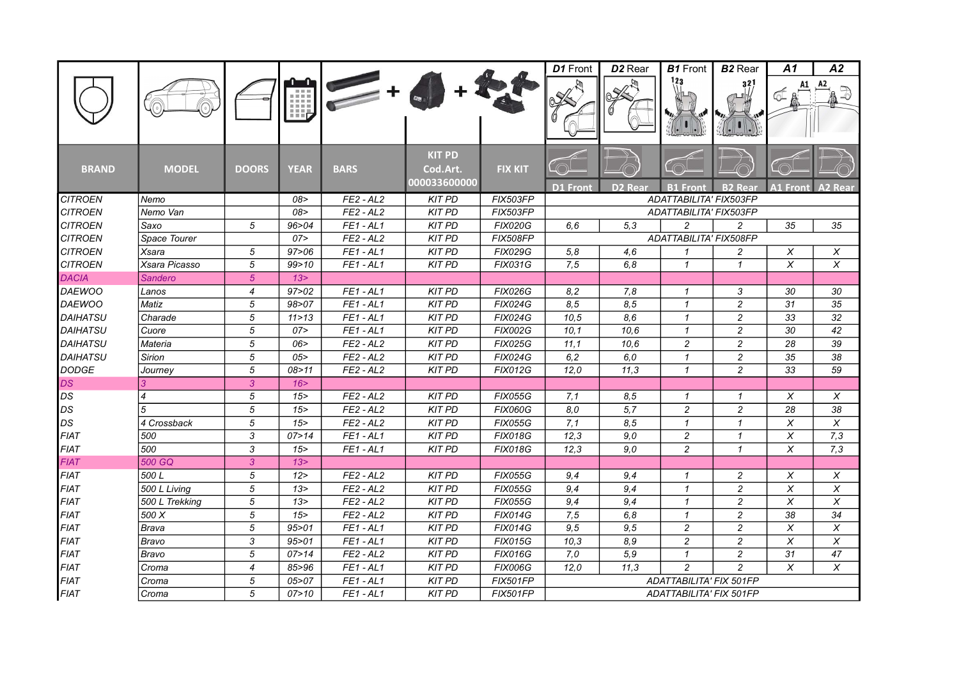|                 |                |                |             |             |                                           |                 | D1 Front        | D <sub>2</sub> Rear | <b>B1</b> Front         | <b>B2</b> Rear | A1                      | A2                        |
|-----------------|----------------|----------------|-------------|-------------|-------------------------------------------|-----------------|-----------------|---------------------|-------------------------|----------------|-------------------------|---------------------------|
|                 |                |                | 理           |             |                                           |                 |                 |                     | 123                     | 321            |                         | A2                        |
| <b>BRAND</b>    | <b>MODEL</b>   | <b>DOORS</b>   | <b>YEAR</b> | <b>BARS</b> | <b>KIT PD</b><br>Cod.Art.<br>000033600000 | <b>FIX KIT</b>  |                 |                     |                         |                |                         |                           |
|                 |                |                |             |             |                                           |                 | <b>D1 Front</b> | D <sub>2</sub> Rear | <b>B1 Front</b>         | <b>B2 Real</b> | <b>A1 Front</b>         | A2<br>Rear                |
| <b>CITROEN</b>  | Nemo           |                | 08>         | $FE2 - AL2$ | <b>KIT PD</b>                             | <b>FIX503FP</b> |                 |                     | ADATTABILITA' FIX503FP  |                |                         |                           |
| <b>CITROEN</b>  | Nemo Van       |                | 08>         | $FE2 - AL2$ | <b>KIT PD</b>                             | <b>FIX503FP</b> |                 |                     | ADATTABILITA' FIX503FP  |                |                         |                           |
| <b>CITROEN</b>  | Saxo           | 5              | 96 > 04     | $FE1 - AL1$ | <b>KIT PD</b>                             | <b>FIX020G</b>  | 6.6             | 5.3                 | $\overline{c}$          | $\overline{c}$ | 35                      | 35                        |
| <b>CITROEN</b>  | Space Tourer   |                | 07>         | $FE2 - AL2$ | <b>KIT PD</b>                             | <b>FIX508FP</b> |                 |                     | ADATTABILITA' FIX508FP  |                |                         |                           |
| <b>CITROEN</b>  | Xsara          | 5              | 97 > 06     | $FE1 - AL1$ | <b>KIT PD</b>                             | <b>FIX029G</b>  | 5,8             | 4.6                 | $\mathbf{1}$            | $\overline{c}$ | Χ                       | X                         |
| <b>CITROEN</b>  | Xsara Picasso  | 5              | 99 > 10     | $FE1 - AL1$ | <b>KIT PD</b>                             | <b>FIX031G</b>  | 7,5             | 6,8                 | $\mathcal I$            | $\mathbf{1}$   | X                       | X                         |
| <b>DACIA</b>    | Sandero        | 5 <sup>5</sup> | 13 >        |             |                                           |                 |                 |                     |                         |                |                         |                           |
| <b>DAEWOO</b>   | Lanos          | $\overline{4}$ | 97 > 02     | $FE1 - AL1$ | <b>KIT PD</b>                             | <b>FIX026G</b>  | 8,2             | 7.8                 | 1                       | 3              | 30                      | 30                        |
| <b>DAEWOO</b>   | Matiz          | 5              | 98 > 07     | $FE1 - AL1$ | <b>KIT PD</b>                             | <b>FIX024G</b>  | 8,5             | 8,5                 | $\mathcal I$            | $\overline{c}$ | 31                      | 35                        |
| <b>DAIHATSU</b> | Charade        | 5              | 11 > 13     | $FE1 - AL1$ | <b>KIT PD</b>                             | <b>FIX024G</b>  | 10.5            | 8.6                 | $\mathbf{1}$            | $\overline{c}$ | 33                      | 32                        |
| <b>DAIHATSU</b> | Cuore          | 5              | 07          | $FE1 - AL1$ | <b>KIT PD</b>                             | <b>FIX002G</b>  | 10,1            | 10,6                | $\mathbf{1}$            | $\overline{c}$ | 30                      | 42                        |
| <b>DAIHATSU</b> | Materia        | 5              | 06          | $FE2 - AL2$ | <b>KIT PD</b>                             | <b>FIX025G</b>  | 11,1            | 10,6                | $\overline{c}$          | $\overline{c}$ | 28                      | 39                        |
| <b>DAIHATSU</b> | Sirion         | 5              | 05          | $FE2 - AL2$ | <b>KIT PD</b>                             | <b>FIX024G</b>  | 6, 2            | 6.0                 | $\mathcal I$            | $\overline{c}$ | 35                      | 38                        |
| <b>DODGE</b>    | Journey        | $\overline{5}$ | 08 > 11     | $FE2 - AL2$ | <b>KIT PD</b>                             | <b>FIX012G</b>  | 12.0            | 11.3                | $\mathcal I$            | $\overline{2}$ | 33                      | 59                        |
| DS              |                | $\mathbf{3}$   | 16          |             |                                           |                 |                 |                     |                         |                |                         |                           |
| DS              | 4              | 5              | 15          | $FE2 - AL2$ | <b>KIT PD</b>                             | <b>FIX055G</b>  | 7,1             | 8.5                 | $\mathcal I$            | $\mathcal I$   | X                       | X                         |
| DS              | 5              | 5              | 15          | $FE2 - AL2$ | <b>KIT PD</b>                             | <b>FIX060G</b>  | 8,0             | 5,7                 | $\overline{c}$          | $\overline{c}$ | 28                      | 38                        |
| DS              | 4 Crossback    | 5              | 15          | $FE2 - AL2$ | <b>KIT PD</b>                             | <b>FIX055G</b>  | 7,1             | 8,5                 | $\mathcal I$            | $\mathbf{1}$   | X                       | X                         |
| <b>FIAT</b>     | 500            | $\overline{3}$ | 07 > 14     | $FE1 - AL1$ | <b>KIT PD</b>                             | <b>FIX018G</b>  | 12,3            | 9.0                 | $\overline{c}$          | $\mathbf{1}$   | $\overline{\mathsf{x}}$ | 7,3                       |
| <b>FIAT</b>     | 500            | 3              | 15          | $FE1 - AL1$ | <b>KIT PD</b>                             | <b>FIX018G</b>  | 12,3            | 9,0                 | $\overline{c}$          | $\mathbf{1}$   | $\pmb{\chi}$            | 7,3                       |
| <b>FIAT</b>     | 500 GQ         | 3              | 13 >        |             |                                           |                 |                 |                     |                         |                |                         |                           |
| <b>FIAT</b>     | 500L           | 5              | 12 >        | $FE2 - AL2$ | <b>KIT PD</b>                             | <b>FIX055G</b>  | 9,4             | 9,4                 | $\mathbf{1}$            | 2              | X                       | X                         |
| <b>FIAT</b>     | 500 L Living   | 5              | 13 >        | $FE2 - AL2$ | <b>KIT PD</b>                             | <b>FIX055G</b>  | 9.4             | 9.4                 | $\mathbf{1}$            | $\overline{c}$ | X                       | $\pmb{\times}$            |
| <b>FIAT</b>     | 500 L Trekking | 5              | 13 >        | $FE2 - AL2$ | <b>KIT PD</b>                             | <b>FIX055G</b>  | 9,4             | 9,4                 | $\mathcal I$            | $\overline{c}$ | X                       | X                         |
| <b>FIAT</b>     | 500 X          | 5              | 15          | $FE2 - AL2$ | <b>KIT PD</b>                             | <b>FIX014G</b>  | 7,5             | 6,8                 | $\mathbf{1}$            | $\overline{c}$ | 38                      | 34                        |
| <b>FIAT</b>     | <b>Brava</b>   | 5              | 95 > 01     | $FE1 - AL1$ | <b>KIT PD</b>                             | <b>FIX014G</b>  | 9,5             | 9,5                 | $\overline{c}$          | $\overline{c}$ | X                       | $\boldsymbol{\mathsf{X}}$ |
| <b>FIAT</b>     | Bravo          | 3              | 95 > 01     | $FE1 - AL1$ | <b>KIT PD</b>                             | <b>FIX015G</b>  | 10,3            | 8.9                 | $\overline{c}$          | $\overline{c}$ | X                       | $\pmb{\times}$            |
| <b>FIAT</b>     | Bravo          | 5              | 07 > 14     | $FE2 - AL2$ | <b>KIT PD</b>                             | <b>FIX016G</b>  | 7,0             | 5,9                 | $\mathcal I$            | $\overline{c}$ | 31                      | 47                        |
| <b>FIAT</b>     | Croma          | $\overline{4}$ | 85>96       | $FE1 - AL1$ | <b>KIT PD</b>                             | <b>FIX006G</b>  | 12,0            | 11,3                | $\overline{c}$          | $\overline{c}$ | X                       | X                         |
| <b>FIAT</b>     | Croma          | 5              | 05 > 07     | $FE1 - AL1$ | <b>KIT PD</b>                             | <b>FIX501FP</b> |                 |                     | ADATTABILITA' FIX 501FP |                |                         |                           |
| <b>FIAT</b>     | Croma          | 5              | 07 > 10     | $FE1 - AL1$ | <b>KIT PD</b>                             | <b>FIX501FP</b> |                 |                     | ADATTABILITA' FIX 501FP |                |                         |                           |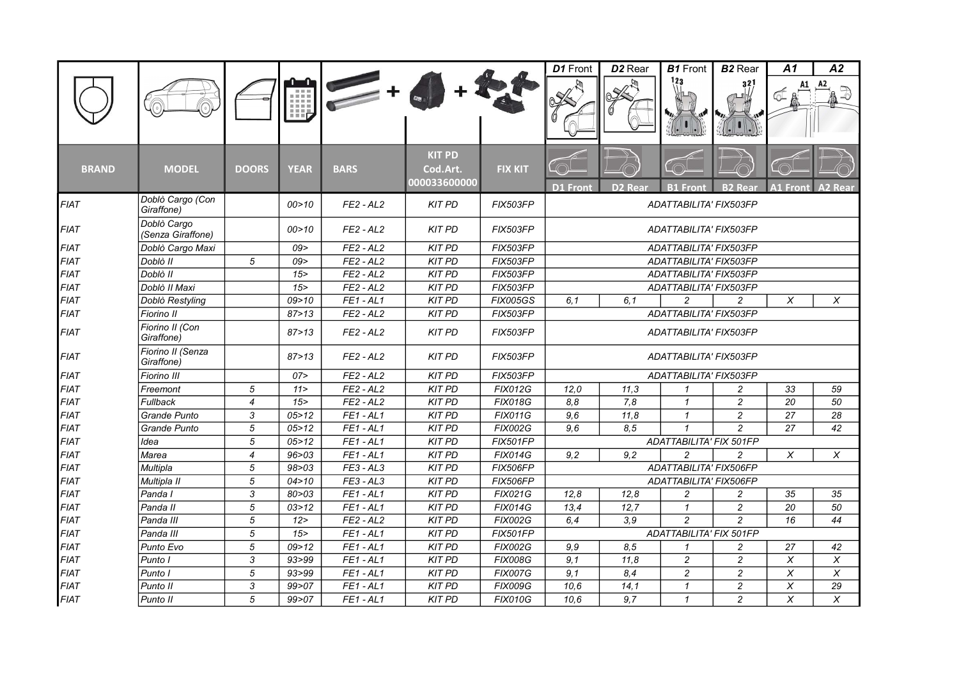|              |                                  |                |             |             |                                           |                 | D1 Front               | D <sub>2</sub> Rear | <b>B1</b> Front                | <b>B2</b> Rear | A1              | A2             |
|--------------|----------------------------------|----------------|-------------|-------------|-------------------------------------------|-----------------|------------------------|---------------------|--------------------------------|----------------|-----------------|----------------|
|              |                                  |                | 唧           |             |                                           |                 |                        |                     | 123                            | 321            |                 |                |
| <b>BRAND</b> | <b>MODEL</b>                     | <b>DOORS</b>   | <b>YEAR</b> | <b>BARS</b> | <b>KIT PD</b><br>Cod.Art.<br>000033600000 | <b>FIX KIT</b>  | <b>D1 Front</b>        | D <sub>2</sub> Rear | <b>B1 Front</b>                | <b>B2 Real</b> | <b>A1 Front</b> | <b>A2 Rear</b> |
| <b>FIAT</b>  | Doblò Cargo (Con<br>Giraffone)   |                | 00 > 10     | $FE2 - AL2$ | <b>KIT PD</b>                             | FIX503FP        |                        |                     | ADATTABILITA' FIX503FP         |                |                 |                |
| <b>FIAT</b>  | Doblò Cargo<br>(Senza Giraffone) |                | 00 > 10     | $FE2 - AL2$ | <b>KIT PD</b>                             | FIX503FP        |                        |                     | ADATTABILITA' FIX503FP         |                |                 |                |
| <b>FIAT</b>  | Doblò Cargo Maxi                 |                | 09 >        | $FE2 - AL2$ | <b>KIT PD</b>                             | FIX503FP        |                        |                     | ADATTABILITA' FIX503FP         |                |                 |                |
| <b>FIAT</b>  | Doblò II                         | 5              | 09>         | $FE2 - AL2$ | <b>KIT PD</b>                             | FIX503FP        |                        |                     | ADATTABILITA' FIX503FP         |                |                 |                |
| <b>FIAT</b>  | Doblò II                         |                | 15          | $FE2 - AL2$ | <b>KIT PD</b>                             | FIX503FP        | ADATTABILITA' FIX503FP |                     |                                |                |                 |                |
| <b>FIAT</b>  | Doblò II Maxi                    |                | 15          | $FE2 - AL2$ | <b>KIT PD</b>                             | FIX503FP        |                        |                     | ADATTABILITA' FIX503FP         |                |                 |                |
| <b>FIAT</b>  | Doblò Restyling                  |                | 09 > 10     | $FE1 - AL1$ | <b>KIT PD</b>                             | <b>FIX005GS</b> | 6,1                    | 6.1                 | $\overline{c}$                 | $\overline{c}$ | X               | X              |
| <b>FIAT</b>  | Fiorino II                       |                | 87 > 13     | $FE2 - AL2$ | <b>KIT PD</b>                             | FIX503FP        |                        |                     | ADATTABILITA' FIX503FP         |                |                 |                |
| <b>FIAT</b>  | Fiorino II (Con<br>Giraffone)    |                | 87 > 13     | $FE2 - AL2$ | <b>KIT PD</b>                             | FIX503FP        |                        |                     | ADATTABILITA' FIX503FP         |                |                 |                |
| <b>FIAT</b>  | Fiorino II (Senza<br>Giraffone)  |                | 87 > 13     | $FE2 - AL2$ | <b>KIT PD</b>                             | <b>FIX503FP</b> |                        |                     | ADATTABILITA' FIX503FP         |                |                 |                |
| <b>FIAT</b>  | Fiorino III                      |                | 07 >        | $FE2 - AL2$ | <b>KIT PD</b>                             | FIX503FP        |                        |                     | ADATTABILITA' FIX503FP         |                |                 |                |
| <b>FIAT</b>  | Freemont                         | 5              | 11 >        | $FE2 - AL2$ | <b>KIT PD</b>                             | <b>FIX012G</b>  | 12,0                   | 11,3                | $\mathbf{1}$                   | 2              | 33              | 59             |
| <b>FIAT</b>  | <b>Fullback</b>                  | $\overline{4}$ | 15          | $FE2 - AL2$ | <b>KIT PD</b>                             | <b>FIX018G</b>  | 8,8                    | 7,8                 | $\mathbf{1}$                   | $\overline{c}$ | 20              | 50             |
| <b>FIAT</b>  | Grande Punto                     | 3              | 05 > 12     | $FE1 - AL1$ | <b>KIT PD</b>                             | <b>FIX011G</b>  | 9,6                    | 11,8                | $\mathbf{1}$                   | $\overline{c}$ | 27              | 28             |
| <b>FIAT</b>  | Grande Punto                     | 5              | 05 > 12     | $FE1 - AL1$ | <b>KIT PD</b>                             | <b>FIX002G</b>  | 9,6                    | 8.5                 | $\mathbf{1}$                   | $\overline{c}$ | 27              | 42             |
| <b>FIAT</b>  | Idea                             | 5              | 05 > 12     | $FE1 - AL1$ | <b>KIT PD</b>                             | <b>FIX501FP</b> |                        |                     | <b>ADATTABILITA' FIX 501FP</b> |                |                 |                |
| <b>FIAT</b>  | Marea                            | $\overline{4}$ | 96 > 03     | $FE1 - AL1$ | <b>KIT PD</b>                             | <b>FIX014G</b>  | 9,2                    | 9.2                 | $\overline{c}$                 | $\overline{c}$ | X               | X              |
| <b>FIAT</b>  | Multipla                         | 5              | 98 > 03     | $FE3 - AL3$ | <b>KIT PD</b>                             | <b>FIX506FP</b> |                        |                     | ADATTABILITA' FIX506FP         |                |                 |                |
| <b>FIAT</b>  | Multipla II                      | 5              | 04 > 10     | $FE3 - AL3$ | <b>KIT PD</b>                             | <b>FIX506FP</b> |                        |                     | ADATTABILITA' FIX506FP         |                |                 |                |
| <b>FIAT</b>  | Panda I                          | 3              | 80 > 03     | $FE1 - AL1$ | <b>KIT PD</b>                             | <b>FIX021G</b>  | 12,8                   | 12,8                | $\overline{c}$                 | 2              | 35              | 35             |
| <b>FIAT</b>  | Panda II                         | $\sqrt{5}$     | 03 > 12     | $FE1 - AL1$ | <b>KIT PD</b>                             | <b>FIX014G</b>  | 13,4                   | 12.7                | $\mathbf{1}$                   | $\overline{c}$ | 20              | 50             |
| <b>FIAT</b>  | Panda III                        | $\sqrt{5}$     | 12          | $FE2 - AL2$ | <b>KIT PD</b>                             | <b>FIX002G</b>  | 6,4                    | 3.9                 | $\overline{c}$                 | $\overline{c}$ | 16              | 44             |
| <b>FIAT</b>  | Panda III                        | 5              | 15          | $FE1 - AL1$ | <b>KIT PD</b>                             | <b>FIX501FP</b> |                        |                     | <b>ADATTABILITA' FIX 501FP</b> |                |                 |                |
| <b>FIAT</b>  | Punto Evo                        | 5              | 09 > 12     | $FE1 - AL1$ | <b>KIT PD</b>                             | <b>FIX002G</b>  | 9,9                    | 8,5                 | $\mathbf{1}$                   | $\overline{c}$ | 27              | 42             |
| <b>FIAT</b>  | Punto I                          | 3              | 93>99       | $FE1 - AL1$ | <b>KIT PD</b>                             | <b>FIX008G</b>  | 9,1                    | 11,8                | $\overline{c}$                 | $\overline{c}$ | X               | X              |
| <b>FIAT</b>  | Punto I                          | 5              | 93 > 99     | $FE1 - AL1$ | <b>KIT PD</b>                             | <b>FIX007G</b>  | 9,1                    | 8,4                 | $\overline{c}$                 | $\overline{c}$ | X               | X              |
| <b>FIAT</b>  | Punto II                         | 3              | 99 > 07     | $FE1 - AL1$ | <b>KIT PD</b>                             | <b>FIX009G</b>  | 10,6                   | 14,1                | $\mathbf{1}$                   | $\overline{c}$ | $\pmb{\chi}$    | 29             |
| <b>FIAT</b>  | Punto II                         | 5              | 99>07       | $FE1 - AL1$ | <b>KIT PD</b>                             | <b>FIX010G</b>  | 10.6                   | 9.7                 | $\mathbf{1}$                   | $\overline{c}$ | X               | $\times$       |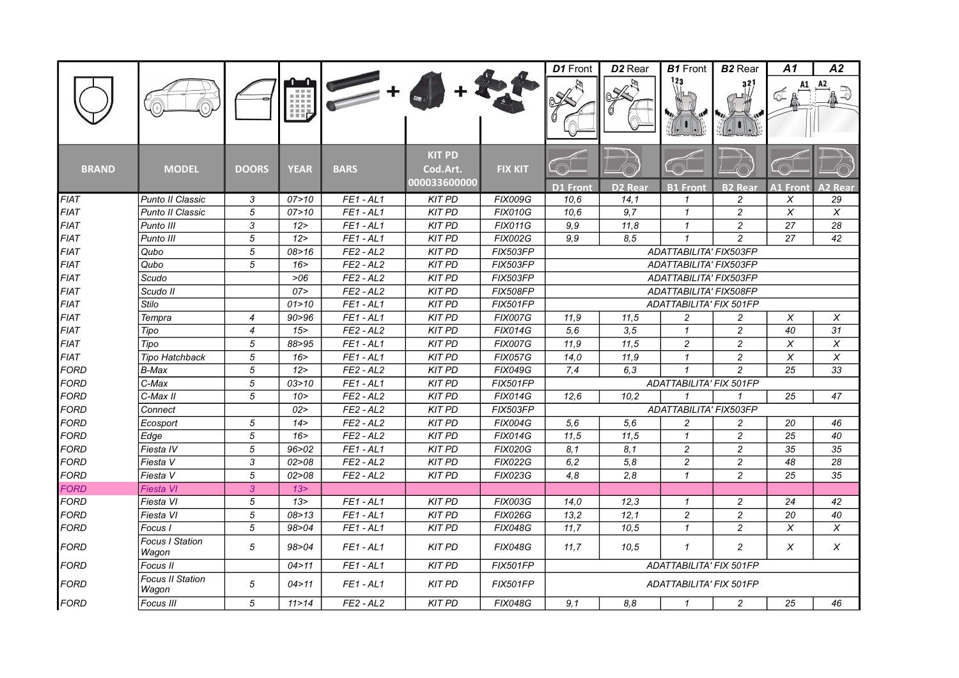|              |                                  |                |             |             |                                           |                 | D1 Front        | D <sub>2</sub> Rear | <b>B1</b> Front         | <b>B2</b> Rear | A1              | A2              |
|--------------|----------------------------------|----------------|-------------|-------------|-------------------------------------------|-----------------|-----------------|---------------------|-------------------------|----------------|-----------------|-----------------|
|              |                                  |                | Щ,          |             |                                           |                 |                 |                     | 123                     | 32             |                 |                 |
| <b>BRAND</b> | <b>MODEL</b>                     | <b>DOORS</b>   | <b>YEAR</b> | <b>BARS</b> | <b>KIT PD</b><br>Cod.Art.<br>000033600000 | <b>FIX KIT</b>  | <b>D1 Front</b> | <b>D2 Rear</b>      | <b>B1 Front</b>         | <b>B2 Rear</b> | <b>A1 Front</b> | A2 Rear         |
| <b>FIAT</b>  | Punto II Classic                 | 3              | 07 > 10     | $FE1 - AL1$ | <b>KIT PD</b>                             | <b>FIX009G</b>  | 10.6            | 14,1                | $\mathcal I$            | 2              | X               | 29              |
| <b>FIAT</b>  | Punto II Classic                 | 5              | 07 > 10     | $FE1 - AL1$ | <b>KIT PD</b>                             | <b>FIX010G</b>  | 10.6            | 9.7                 | $\mathbf{1}$            | $\overline{c}$ | $\chi$          | $\overline{X}$  |
| <b>FIAT</b>  | Punto III                        | 3              | 12 >        | $FE1 - AL1$ | <b>KIT PD</b>                             | <b>FIX011G</b>  | 9,9             | 11,8                | $\mathbf{1}$            | $\overline{c}$ | $\overline{27}$ | $\overline{28}$ |
| <b>FIAT</b>  | Punto III                        | $\sqrt{5}$     | 12          | $FE1 - AL1$ | <b>KIT PD</b>                             | <b>FIX002G</b>  | 9.9             | 8,5                 | $\mathbf{1}$            | $\overline{c}$ | 27              | 42              |
| <b>FIAT</b>  | Qubo                             | 5              | 08 > 16     | $FE2 - AL2$ | <b>KIT PD</b>                             | <b>FIX503FP</b> |                 |                     | ADATTABILITA' FIX503FP  |                |                 |                 |
| <b>FIAT</b>  | Qubo                             | 5              | 16 >        | $FE2 - AL2$ | <b>KIT PD</b>                             | <b>FIX503FP</b> |                 |                     | ADATTABILITA' FIX503FP  |                |                 |                 |
| <b>FIAT</b>  | Scudo                            |                | >06         | $FE2 - AL2$ | <b>KIT PD</b>                             | FIX503FP        |                 |                     | ADATTABILITA' FIX503FP  |                |                 |                 |
| <b>FIAT</b>  | Scudo II                         |                | 07 >        | $FE2 - AL2$ | <b>KIT PD</b>                             | <b>FIX508FP</b> |                 |                     | ADATTABILITA' FIX508FP  |                |                 |                 |
| <b>FIAT</b>  | <b>Stilo</b>                     |                | 01 > 10     | $FE1 - AL1$ | <b>KIT PD</b>                             | <b>FIX501FP</b> |                 |                     | ADATTABILITA' FIX 501FP |                |                 |                 |
| <b>FIAT</b>  | Tempra                           | $\overline{4}$ | 90 > 96     | $FE1 - AL1$ | <b>KIT PD</b>                             | <b>FIX007G</b>  | 11,9            | 11,5                | $\overline{c}$          | $\overline{c}$ | X               | X               |
| <b>FIAT</b>  | Tipo                             | $\overline{4}$ | 15          | $FE2 - AL2$ | <b>KIT PD</b>                             | <b>FIX014G</b>  | 5,6             | 3.5                 | $\mathbf{1}$            | $\overline{c}$ | 40              | 31              |
| <b>FIAT</b>  | Tipo                             | 5              | 88>95       | $FE1 - AL1$ | <b>KIT PD</b>                             | <b>FIX007G</b>  | 11,9            | 11,5                | $\overline{c}$          | $\overline{c}$ | X               | $\pmb{\times}$  |
| <b>FIAT</b>  | <b>Tipo Hatchback</b>            | $\sqrt{5}$     | 16          | $FE1 - AL1$ | <b>KIT PD</b>                             | <b>FIX057G</b>  | 14,0            | 11,9                | $\mathbf{1}$            | $\overline{c}$ | X               | X               |
| <b>FORD</b>  | B-Max                            | 5              | 12          | $FE2 - AL2$ | <b>KIT PD</b>                             | <b>FIX049G</b>  | 7,4             | 6.3                 | $\mathbf{1}$            | $\overline{c}$ | 25              | 33              |
| <b>FORD</b>  | C-Max                            | $\sqrt{5}$     | 03 > 10     | $FE1 - AL1$ | <b>KIT PD</b>                             | <b>FIX501FP</b> |                 |                     | ADATTABILITA' FIX 501FP |                |                 |                 |
| <b>FORD</b>  | C-Max II                         | 5              | 10 >        | $FE2 - AL2$ | <b>KIT PD</b>                             | <b>FIX014G</b>  | 12,6            | 10.2                | $\mathbf{1}$            | $\mathbf{1}$   | 25              | 47              |
| <b>FORD</b>  | Connect                          |                | 02>         | $FE2 - AL2$ | <b>KIT PD</b>                             | FIX503FP        |                 |                     | ADATTABILITA' FIX503FP  |                |                 |                 |
| <b>FORD</b>  | Ecosport                         | 5              | 14 >        | $FE2 - AL2$ | <b>KIT PD</b>                             | <b>FIX004G</b>  | 5,6             | 5,6                 | $\overline{c}$          | $\overline{c}$ | 20              | 46              |
| <b>FORD</b>  | Edge                             | 5              | 16          | $FE2 - AL2$ | <b>KIT PD</b>                             | <b>FIX014G</b>  | 11.5            | 11,5                | $\mathcal I$            | $\overline{c}$ | 25              | 40              |
| <b>FORD</b>  | Fiesta IV                        | $\sqrt{5}$     | 96>02       | $FE1 - AL1$ | <b>KIT PD</b>                             | <b>FIX020G</b>  | 8,1             | 8,1                 | $\overline{c}$          | $\overline{c}$ | 35              | 35              |
| <b>FORD</b>  | Fiesta V                         | 3              | 02 > 08     | $FE2 - AL2$ | <b>KIT PD</b>                             | <b>FIX022G</b>  | 6, 2            | 5,8                 | $\overline{c}$          | $\overline{c}$ | 48              | 28              |
| <b>FORD</b>  | Fiesta V                         | 5              | 02 > 08     | $FE2 - AL2$ | <b>KIT PD</b>                             | <b>FIX023G</b>  | 4,8             | 2.8                 | $\mathbf{1}$            | $\overline{c}$ | 25              | 35              |
| <b>FORD</b>  | Fiesta VI                        | 3              | 13 >        |             |                                           |                 |                 |                     |                         |                |                 |                 |
| <b>FORD</b>  | Fiesta VI                        | 5              | 13 >        | $FE1 - AL1$ | <b>KIT PD</b>                             | <b>FIX003G</b>  | 14,0            | 12.3                | $\mathcal I$            | $\overline{c}$ | 24              | 42              |
| <b>FORD</b>  | Fiesta VI                        | 5              | 08 > 13     | $FE1 - AL1$ | <b>KIT PD</b>                             | <b>FIX026G</b>  | 13,2            | 12,1                | $\overline{c}$          | $\overline{c}$ | 20              | 40              |
| <b>FORD</b>  | Focus I                          | 5              | 98>04       | $FE1 - AL1$ | <b>KIT PD</b>                             | <b>FIX048G</b>  | 11,7            | 10.5                | $\mathbf{1}$            | $\overline{c}$ | X               | X               |
| <b>FORD</b>  | <b>Focus I Station</b><br>Wagon  | 5              | 98>04       | $FE1 - AL1$ | <b>KIT PD</b>                             | <b>FIX048G</b>  | 11,7            | 10.5                | $\mathbf{1}$            | $\overline{c}$ | X               | X               |
| <b>FORD</b>  | Focus II                         |                | 04 > 11     | $FE1 - AL1$ | <b>KIT PD</b>                             | <b>FIX501FP</b> |                 |                     | ADATTABILITA' FIX 501FP |                |                 |                 |
| <b>FORD</b>  | <b>Focus II Station</b><br>Wagon | 5              | 04 > 11     | $FE1 - AL1$ | <b>KIT PD</b>                             | <b>FIX501FP</b> |                 |                     | ADATTABILITA' FIX 501FP |                |                 |                 |
| <b>FORD</b>  | Focus III                        | 5              | 11 > 14     | $FE2 - AL2$ | <b>KIT PD</b>                             | <b>FIX048G</b>  | 9,1             | 8.8                 | $\mathcal I$            | 2              | 25              | 46              |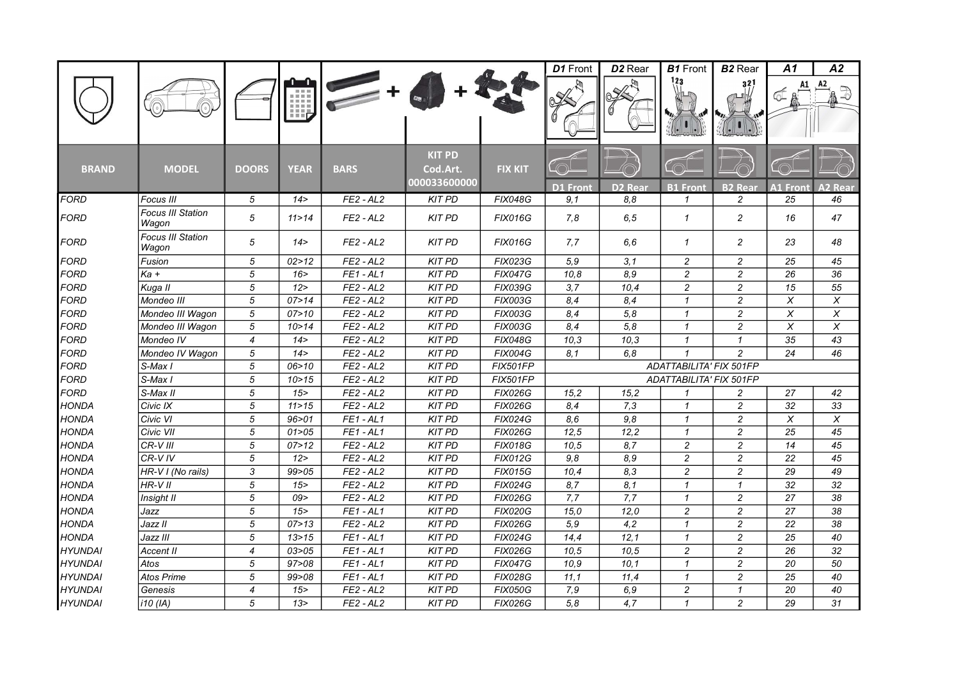|                |                                   |                          |             |             |                                           |                 | D1 Front         | D <sub>2</sub> Rear | <b>B1</b> Front         | <b>B2</b> Rear          | A1                        | A2              |
|----------------|-----------------------------------|--------------------------|-------------|-------------|-------------------------------------------|-----------------|------------------|---------------------|-------------------------|-------------------------|---------------------------|-----------------|
|                |                                   |                          | m           |             |                                           |                 |                  |                     | 123                     | 321                     |                           | A2              |
| <b>BRAND</b>   | <b>MODEL</b>                      | <b>DOORS</b>             | <b>YEAR</b> | <b>BARS</b> | <b>KIT PD</b><br>Cod.Art.<br>000033600000 | <b>FIX KIT</b>  | D1 Front         | D <sub>2</sub> Rear | <b>B1 Front</b>         | <b>B2 Rear</b>          | A1 Fron <sup>.</sup>      | ハフ<br>Rear      |
| <b>FORD</b>    | Focus III                         | 5                        | 14 >        | $FE2 - AL2$ | <b>KIT PD</b>                             | <b>FIX048G</b>  | 9.1              | 8.8                 | 1                       | $\overline{c}$          | 25                        | 46              |
| <b>FORD</b>    | <b>Focus III Station</b><br>Wagon | 5                        | 11 > 14     | $FE2 - AL2$ | <b>KIT PD</b>                             | <b>FIX016G</b>  | 7,8              | 6, 5                | $\mathbf{1}$            | $\overline{c}$          | 16                        | 47              |
| FORD           | <b>Focus III Station</b><br>Wagon | 5                        | 14 >        | $FE2 - AL2$ | <b>KIT PD</b>                             | <b>FIX016G</b>  | 7.7              | 6.6                 | $\mathbf{1}$            | $\overline{c}$          | 23                        | 48              |
| FORD           | Fusion                            | 5                        | 02 > 12     | $FE2 - AL2$ | <b>KIT PD</b>                             | <b>FIX023G</b>  | 5,9              | 3,1                 | $\overline{c}$          | $\overline{c}$          | 25                        | 45              |
| <b>FORD</b>    | $Ka +$                            | $\sqrt{5}$               | 16 >        | $FE1 - AL1$ | <b>KIT PD</b>                             | <b>FIX047G</b>  | 10,8             | 8,9                 | $\overline{c}$          | $\overline{c}$          | 26                        | 36              |
| <b>FORD</b>    | Kuga II                           | 5                        | 12 >        | $FE2 - AL2$ | <b>KIT PD</b>                             | <b>FIX039G</b>  | $\overline{3,7}$ | 10,4                | $\boldsymbol{2}$        | $\overline{2}$          | $\overline{15}$           | $\overline{55}$ |
| <b>FORD</b>    | Mondeo III                        | 5                        | 07 > 14     | $FE2 - AL2$ | <b>KIT PD</b>                             | <b>FIX003G</b>  | 8,4              | 8,4                 | $\mathcal I$            | $\overline{c}$          | $\boldsymbol{\mathsf{X}}$ | X               |
| <b>FORD</b>    | Mondeo III Wagon                  | 5                        | 07>10       | $FE2 - AL2$ | <b>KIT PD</b>                             | <b>FIX003G</b>  | 8,4              | 5,8                 | $\mathcal I$            | $\overline{c}$          | $\boldsymbol{\mathsf{X}}$ | X               |
| <b>FORD</b>    | Mondeo III Wagon                  | 5                        | 10 > 14     | $FE2 - AL2$ | <b>KIT PD</b>                             | <b>FIX003G</b>  | 8,4              | 5,8                 | $\mathcal I$            | $\overline{c}$          | X                         | X               |
| <b>FORD</b>    | Mondeo IV                         | $\overline{4}$           | 14 >        | $FE2 - AL2$ | <b>KIT PD</b>                             | <b>FIX048G</b>  | 10,3             | 10,3                | $\mathbf{1}$            | $\mathbf{1}$            | 35                        | 43              |
| <b>FORD</b>    | Mondeo IV Wagon                   | 5                        | 14 >        | $FE2 - AL2$ | <b>KIT PD</b>                             | <b>FIX004G</b>  | 8,1              | 6,8                 | $\mathbf{1}$            | $\overline{c}$          | 24                        | 46              |
| <b>FORD</b>    | S-Max I                           | 5                        | 06 > 10     | $FE2 - AL2$ | <b>KIT PD</b>                             | FIX501FP        |                  |                     | ADATTABILITA' FIX 501FP |                         |                           |                 |
| <b>FORD</b>    | S-Max I                           | 5                        | 10 > 15     | $FE2 - AL2$ | <b>KIT PD</b>                             | <b>FIX501FP</b> |                  |                     | ADATTABILITA' FIX 501FP |                         |                           |                 |
| <b>FORD</b>    | S-Max II                          | 5                        | 15          | $FE2 - AL2$ | <b>KIT PD</b>                             | <b>FIX026G</b>  | 15,2             | 15.2                | 1                       | 2                       | 27                        | 42              |
| <b>HONDA</b>   | Civic IX                          | 5                        | 11 > 15     | $FE2 - AL2$ | <b>KIT PD</b>                             | <b>FIX026G</b>  | 8,4              | 7,3                 | $\mathbf{1}$            | $\overline{c}$          | 32                        | 33              |
| <b>HONDA</b>   | Civic VI                          | 5                        | 96 > 01     | $FE1 - AL1$ | <b>KIT PD</b>                             | <b>FIX024G</b>  | 8,6              | 9,8                 | $\mathbf{1}$            | $\overline{c}$          | $\pmb{\times}$            | $\pmb{\times}$  |
| <b>HONDA</b>   | Civic VII                         | 5                        | 01 > 05     | $FE1 - AL1$ | <b>KIT PD</b>                             | <b>FIX026G</b>  | 12,5             | 12,2                | $\mathbf{1}$            | $\overline{c}$          | 25                        | 45              |
| <b>HONDA</b>   | CR-V III                          | 5                        | 07 > 12     | $FE2 - AL2$ | <b>KIT PD</b>                             | <b>FIX018G</b>  | 10,5             | 8,7                 | $\overline{c}$          | $\overline{c}$          | 14                        | 45              |
| <b>HONDA</b>   | $CR-VIV$                          | 5                        | 12 >        | $FE2 - AL2$ | <b>KIT PD</b>                             | <b>FIX012G</b>  | 9,8              | 8,9                 | $\overline{c}$          | $\overline{c}$          | $\overline{22}$           | 45              |
| <b>HONDA</b>   | HR-V I (No rails)                 | 3                        | 99>05       | $FE2 - AL2$ | <b>KIT PD</b>                             | <b>FIX015G</b>  | 10,4             | 8,3                 | $\overline{c}$          | $\overline{c}$          | 29                        | 49              |
| <b>HONDA</b>   | HR-VII                            | 5                        | 15          | $FE2 - AL2$ | <b>KIT PD</b>                             | <b>FIX024G</b>  | 8,7              | 8,1                 | $\mathbf{1}$            | $\mathbf{1}$            | 32                        | 32              |
| <b>HONDA</b>   | Insight II                        | 5                        | 09>         | $FE2 - AL2$ | <b>KIT PD</b>                             | <b>FIX026G</b>  | 7,7              | 7,7                 | $\mathbf{1}$            | $\overline{c}$          | 27                        | 38              |
| <b>HONDA</b>   | Jazz                              | 5                        | 15          | $FE1 - AL1$ | <b>KIT PD</b>                             | <b>FIX020G</b>  | 15,0             | 12,0                | $\boldsymbol{2}$        | $\overline{\mathbf{c}}$ | 27                        | 38              |
| <b>HONDA</b>   | Jazz II                           | 5                        | 07 > 13     | $FE2 - AL2$ | <b>KIT PD</b>                             | <b>FIX026G</b>  | 5,9              | 4,2                 | $\mathbf{1}$            | $\overline{c}$          | 22                        | 38              |
| <b>HONDA</b>   | Jazz III                          | 5                        | 13 > 15     | $FE1 - AL1$ | <b>KIT PD</b>                             | <b>FIX024G</b>  | 14,4             | 12,1                | $\mathcal I$            | $\overline{c}$          | 25                        | 40              |
| <b>HYUNDAI</b> | Accent II                         | $\overline{4}$           | 03>05       | $FE1 - AL1$ | <b>KIT PD</b>                             | <b>FIX026G</b>  | 10,5             | 10,5                | $\overline{c}$          | $\overline{c}$          | 26                        | 32              |
| <b>HYUNDAI</b> | Atos                              | 5                        | 97 > 08     | $FE1 - AL1$ | <b>KIT PD</b>                             | <b>FIX047G</b>  | 10,9             | 10,1                | $\mathcal I$            | $\overline{c}$          | 20                        | 50              |
| <b>HYUNDAI</b> | <b>Atos Prime</b>                 | 5                        | 99 > 08     | $FE1 - AL1$ | <b>KIT PD</b>                             | <b>FIX028G</b>  | 11,1             | 11,4                | $\mathbf{1}$            | $\overline{c}$          | 25                        | 40              |
| <b>HYUNDAI</b> | Genesis                           | $\overline{\mathcal{A}}$ | 15          | $FE2 - AL2$ | <b>KIT PD</b>                             | <b>FIX050G</b>  | 7,9              | 6.9                 | $\boldsymbol{2}$        | $\mathcal I$            | 20                        | 40              |
| <b>HYUNDAI</b> | $i10$ (IA)                        | 5                        | 13 >        | $FE2 - AL2$ | <b>KIT PD</b>                             | <b>FIX026G</b>  | $\overline{5,8}$ | $\overline{4,7}$    | $\mathbf{1}$            | $\overline{c}$          | 29                        | $\overline{31}$ |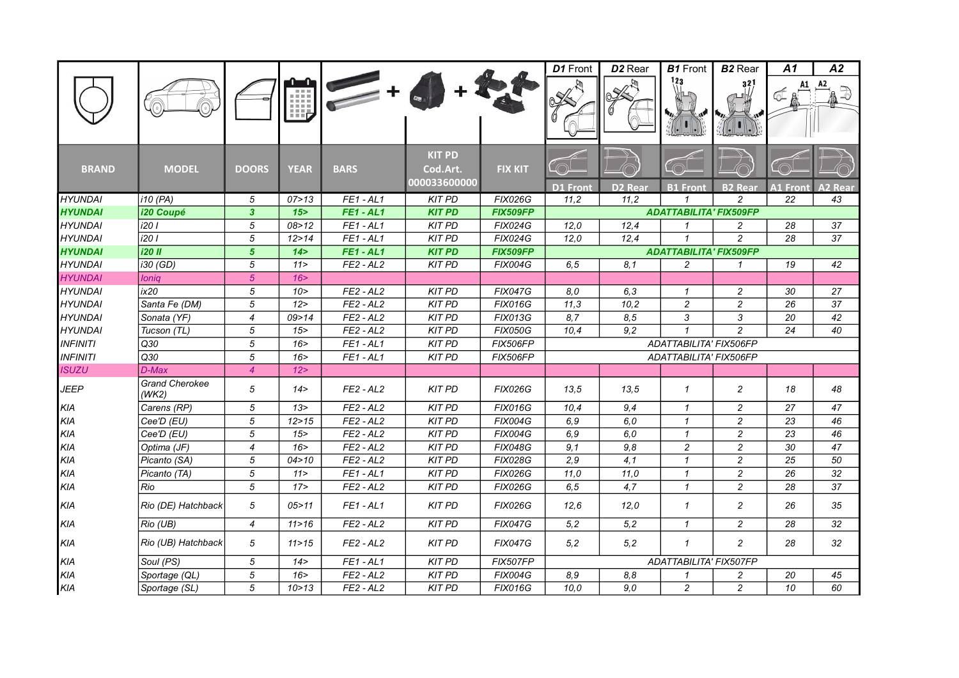|                                  |                                |                   |             |                            |                                           |                                  | D1 Front        | D <sub>2</sub> Rear | <b>B1</b> Front                            | <b>B2</b> Rear                   | A1                    | A2             |
|----------------------------------|--------------------------------|-------------------|-------------|----------------------------|-------------------------------------------|----------------------------------|-----------------|---------------------|--------------------------------------------|----------------------------------|-----------------------|----------------|
|                                  |                                |                   | 期           |                            |                                           |                                  |                 |                     |                                            | 32)                              |                       |                |
| <b>BRAND</b>                     | <b>MODEL</b>                   | <b>DOORS</b>      | <b>YEAR</b> | <b>BARS</b>                | <b>KIT PD</b><br>Cod.Art.<br>000033600000 | <b>FIX KIT</b>                   |                 |                     |                                            |                                  |                       |                |
| <b>HYUNDAI</b>                   |                                |                   | 07 > 13     |                            |                                           |                                  | <b>D1 Front</b> | <b>D2 Rear</b>      | <b>B1 Front</b><br>$\mathbf{\overline{1}}$ | <b>B2 Rear</b>                   | <b>A1 Front</b><br>22 | <b>A2 Rear</b> |
| <b>HYUNDAI</b>                   | i10 (PA)<br>i20 Coupé          | 5<br>$\mathbf{3}$ | 15          | $FE1 - AL1$<br>$FE1 - AL1$ | <b>KIT PD</b><br><b>KIT PD</b>            | <b>FIX026G</b><br>FIX509FP       | 11,2            | 11,2                | <b>ADATTABILITA' FIX509FP</b>              | 2                                |                       | 43             |
|                                  |                                |                   | 08 > 12     | $FE1 - AL1$                |                                           |                                  |                 |                     | $\mathcal I$                               |                                  |                       |                |
| <b>HYUNDAI</b><br><b>HYUNDAI</b> | i20 I<br>i20 I                 | 5<br>$\sqrt{5}$   | 12 > 14     | $FE1 - AL1$                | <b>KIT PD</b><br><b>KIT PD</b>            | <b>FIX024G</b><br><b>FIX024G</b> | 12,0<br>12.0    | 12,4<br>12,4        | $\overline{1}$                             | $\overline{c}$<br>$\overline{c}$ | 28<br>28              | 37<br>37       |
| <b>HYUNDAI</b>                   | <b>i20 II</b>                  | $5\phantom{.0}$   | 14 >        | <b>FE1-AL1</b>             | <b>KIT PD</b>                             | <b>FIX509FP</b>                  |                 |                     | <b>ADATTABILITA' FIX509FP</b>              |                                  |                       |                |
| <b>HYUNDAI</b>                   | i30 (GD)                       | 5                 | 11 >        | $FE2 - AL2$                | <b>KIT PD</b>                             | <b>FIX004G</b>                   | 6, 5            | 8,1                 | $\overline{c}$                             | $\mathcal I$                     | 19                    | 42             |
| <b>HYUNDAI</b>                   | Ioniq                          | 5 <sup>5</sup>    | 16 >        |                            |                                           |                                  |                 |                     |                                            |                                  |                       |                |
| <b>HYUNDAI</b>                   | ix20                           | 5                 | 10 >        | $FE2 - AL2$                | <b>KIT PD</b>                             | <b>FIX047G</b>                   | 8.0             | 6,3                 | $\mathcal I$                               | $\overline{c}$                   | 30                    | 27             |
| <b>HYUNDAI</b>                   | Santa Fe (DM)                  | 5                 | 12 >        | $FE2 - AL2$                | <b>KIT PD</b>                             | <b>FIX016G</b>                   | 11,3            | 10,2                | $\overline{c}$                             | $\overline{c}$                   | 26                    | 37             |
| <b>HYUNDAI</b>                   | Sonata (YF)                    | $\overline{4}$    | 09 > 14     | $FE2 - AL2$                | <b>KIT PD</b>                             | <b>FIX013G</b>                   | 8,7             | 8,5                 | 3                                          | 3                                | 20                    | 42             |
| <b>HYUNDAI</b>                   | Tucson (TL)                    | 5                 | 15          | $FE2 - AL2$                | <b>KIT PD</b>                             | <b>FIX050G</b>                   | 10,4            | 9,2                 | $\mathbf{1}$                               | $\overline{c}$                   | 24                    | 40             |
| <b>INFINITI</b>                  | Q30                            | $\sqrt{5}$        | 16          | $FE1 - AL1$                | <b>KIT PD</b>                             | FIX506FP                         |                 |                     | ADATTABILITA' FIX506FP                     |                                  |                       |                |
| <b>INFINITI</b>                  | Q30                            | $\sqrt{5}$        | 16 >        | $FE1 - AL1$                | <b>KIT PD</b>                             | <b>FIX506FP</b>                  |                 |                     | ADATTABILITA' FIX506FP                     |                                  |                       |                |
| <b>ISUZU</b>                     | D-Max                          | $\overline{4}$    | 12          |                            |                                           |                                  |                 |                     |                                            |                                  |                       |                |
| <b>JEEP</b>                      | <b>Grand Cherokee</b><br>(WK2) | 5                 | 14 >        | $FE2 - AL2$                | <b>KIT PD</b>                             | <b>FIX026G</b>                   | 13.5            | 13.5                | $\mathbf{1}$                               | $\overline{c}$                   | 18                    | 48             |
| KIA                              | Carens (RP)                    | 5                 | 13 >        | $FE2 - AL2$                | <b>KIT PD</b>                             | <b>FIX016G</b>                   | 10,4            | 9,4                 | $\mathbf{1}$                               | $\overline{c}$                   | 27                    | 47             |
| KIA                              | Cee'D (EU)                     | 5                 | 12 > 15     | $FE2 - AL2$                | <b>KIT PD</b>                             | <b>FIX004G</b>                   | 6,9             | 6,0                 | $\mathcal I$                               | $\overline{c}$                   | 23                    | 46             |
| KIA                              | Cee'D (EU)                     | $\sqrt{5}$        | 15          | $FE2 - AL2$                | <b>KIT PD</b>                             | <b>FIX004G</b>                   | 6,9             | 6,0                 | $\mathbf{1}$                               | $\overline{c}$                   | 23                    | 46             |
| KIA                              | Optima (JF)                    | $\overline{4}$    | 16 >        | $FE2 - AL2$                | <b>KIT PD</b>                             | <b>FIX048G</b>                   | 9,1             | 9,8                 | $\overline{c}$                             | $\overline{c}$                   | 30                    | 47             |
| KIA                              | Picanto (SA)                   | 5                 | 04 > 10     | $FE2 - AL2$                | <b>KIT PD</b>                             | <b>FIX028G</b>                   | 2,9             | 4,1                 | $\mathbf{1}$                               | $\overline{c}$                   | 25                    | 50             |
| KIA                              | Picanto (TA)                   | 5                 | 11 >        | $FE1 - AL1$                | <b>KIT PD</b>                             | <b>FIX026G</b>                   | 11,0            | 11,0                | $\mathcal I$                               | $\overline{c}$                   | 26                    | 32             |
| KIA                              | Rio                            | 5                 | 17          | $FE2 - AL2$                | <b>KIT PD</b>                             | <b>FIX026G</b>                   | 6, 5            | 4,7                 | $\mathcal I$                               | $\overline{c}$                   | 28                    | 37             |
| <b>KIA</b>                       | Rio (DE) Hatchback             | 5                 | 05 > 11     | $FE1 - AL1$                | <b>KIT PD</b>                             | <b>FIX026G</b>                   | 12,6            | 12,0                | $\mathcal I$                               | $\overline{c}$                   | 26                    | 35             |
| <b>KIA</b>                       | Rio (UB)                       | $\overline{4}$    | 11 > 16     | $FE2 - AL2$                | <b>KIT PD</b>                             | <b>FIX047G</b>                   | 5,2             | 5,2                 | $\mathbf{1}$                               | $\overline{c}$                   | 28                    | 32             |
| KIA                              | Rio (UB) Hatchback             | 5                 | 11 > 15     | $FE2 - AL2$                | <b>KIT PD</b>                             | <b>FIX047G</b>                   | 5,2             | 5,2                 | $\mathbf{1}$                               | $\overline{c}$                   | 28                    | 32             |
| KIA                              | Soul (PS)                      | 5                 | 14 >        | $FE1 - AL1$                | <b>KIT PD</b>                             | <b>FIX507FP</b>                  |                 |                     | ADATTABILITA' FIX507FP                     |                                  |                       |                |
| KIA                              | Sportage (QL)                  | $\sqrt{5}$        | 16          | $FE2 - AL2$                | <b>KIT PD</b>                             | <b>FIX004G</b>                   | 8,9             | 8,8                 | $\mathbf{1}$                               | $\overline{c}$                   | 20                    | 45             |
| KIA                              | Sportage (SL)                  | 5                 | 10 > 13     | $FE2 - AL2$                | <b>KIT PD</b>                             | <b>FIX016G</b>                   | 10,0            | 9,0                 | $\overline{2}$                             | $\overline{c}$                   | 10                    | 60             |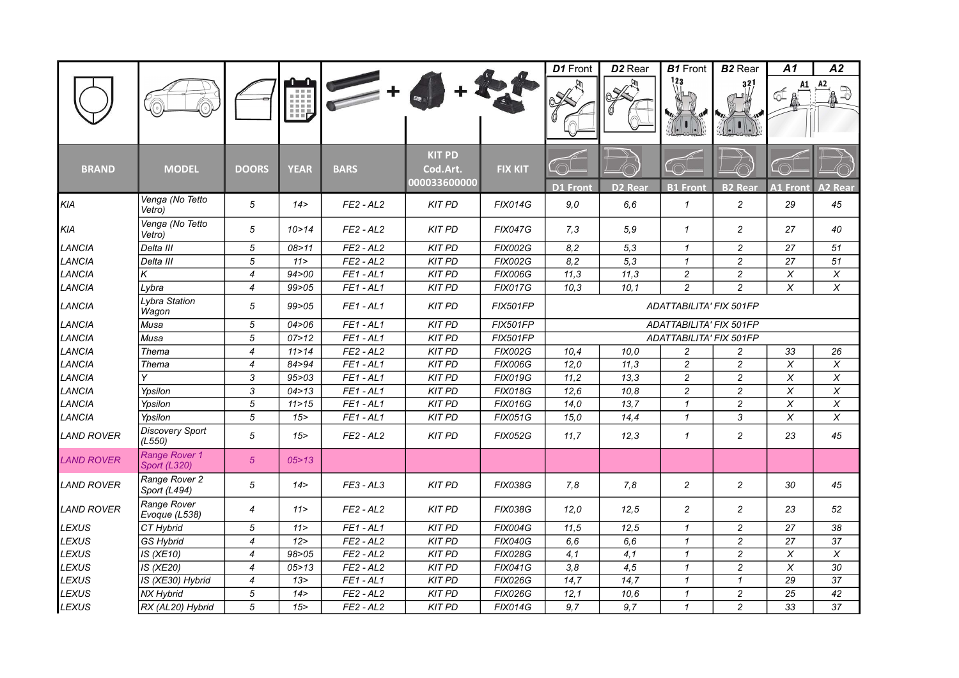|                   |                                      |                          |             |             |                                           |                 | D1 Front          | D <sub>2</sub> Rear | <b>B1</b> Front                | <b>B2</b> Rear   | A1                      | A2              |
|-------------------|--------------------------------------|--------------------------|-------------|-------------|-------------------------------------------|-----------------|-------------------|---------------------|--------------------------------|------------------|-------------------------|-----------------|
|                   |                                      |                          | Щ,          |             |                                           |                 |                   |                     | 123                            | 321              |                         | A2              |
| <b>BRAND</b>      | <b>MODEL</b>                         | <b>DOORS</b>             | <b>YEAR</b> | <b>BARS</b> | <b>KIT PD</b><br>Cod.Art.<br>000033600000 | <b>FIX KIT</b>  | <b>D1 Front</b>   | D <sub>2</sub> Rear | <b>B1 Front</b>                | <b>B2</b> Rear   | <b>A1 Front</b>         | <b>A2 Rear</b>  |
| KIA               | Venga (No Tetto<br>Vetro)            | 5                        | 14 >        | $FE2 - AL2$ | <b>KIT PD</b>                             | <b>FIX014G</b>  | 9,0               | 6,6                 | $\mathbf{1}$                   | $\overline{c}$   | 29                      | 45              |
| KIA               | Venga (No Tetto<br>Vetro)            | 5                        | 10 > 14     | $FE2 - AL2$ | <b>KIT PD</b>                             | <b>FIX047G</b>  | 7,3               | 5,9                 | $\mathcal I$                   | $\overline{c}$   | 27                      | 40              |
| LANCIA            | Delta III                            | 5                        | 08 > 11     | $FE2 - AL2$ | <b>KIT PD</b>                             | <b>FIX002G</b>  | 8,2               | 5,3                 | $\mathbf{1}$                   | $\boldsymbol{2}$ | 27                      | 51              |
| LANCIA            | Delta III                            | $\overline{5}$           | 11 >        | $FE2 - AL2$ | <b>KIT PD</b>                             | <b>FIX002G</b>  | 8,2               | $\overline{5,3}$    | $\mathbf{1}$                   | $\overline{2}$   | $\overline{27}$         | 51              |
| LANCIA            | Κ                                    | $\overline{4}$           | 94 > 00     | $FE1 - AL1$ | <b>KIT PD</b>                             | <b>FIX006G</b>  | 11,3              | 11,3                | $\overline{c}$                 | $\overline{c}$   | $\pmb{\times}$          | X               |
| LANCIA            | Lybra                                | $\overline{\mathcal{A}}$ | 99 > 05     | $FE1 - AL1$ | <b>KIT PD</b>                             | <b>FIX017G</b>  | $\overline{10,3}$ | 10.1                | $\overline{c}$                 | $\overline{c}$   | $\overline{\mathsf{x}}$ | $\overline{x}$  |
| LANCIA            | Lybra Station<br>Wagon               | 5                        | 99 > 05     | $FE1 - AL1$ | <b>KIT PD</b>                             | <b>FIX501FP</b> |                   |                     | <b>ADATTABILITA' FIX 501FP</b> |                  |                         |                 |
| LANCIA            | Musa                                 | 5                        | 04 > 06     | $FE1 - AL1$ | <b>KIT PD</b>                             | <b>FIX501FP</b> |                   |                     | ADATTABILITA' FIX 501FP        |                  |                         |                 |
| LANCIA            | Musa                                 | 5                        | 07 > 12     | $FE1 - AL1$ | <b>KIT PD</b>                             | <b>FIX501FP</b> |                   |                     | ADATTABILITA' FIX 501FP        |                  |                         |                 |
| LANCIA            | Thema                                | $\overline{4}$           | 11 > 14     | $FE2 - AL2$ | <b>KIT PD</b>                             | <b>FIX002G</b>  | 10,4              | 10.0                | 2                              | 2                | 33                      | 26              |
| LANCIA            | Thema                                | $\overline{4}$           | 84>94       | $FE1 - AL1$ | <b>KIT PD</b>                             | <b>FIX006G</b>  | 12,0              | 11.3                | $\overline{c}$                 | $\overline{c}$   | X                       | X               |
| LANCIA            |                                      | 3                        | 95 > 03     | $FE1 - AL1$ | <b>KIT PD</b>                             | <b>FIX019G</b>  | 11,2              | 13,3                | $\overline{c}$                 | $\overline{c}$   | X                       | $\pmb{\times}$  |
| <b>LANCIA</b>     | Ypsilon                              | 3                        | 04 > 13     | $FE1 - AL1$ | <b>KIT PD</b>                             | <b>FIX018G</b>  | 12,6              | 10,8                | $\overline{c}$                 | $\overline{c}$   | $\pmb{\times}$          | $\pmb{\times}$  |
| LANCIA            | Ypsilon                              | $\sqrt{5}$               | 11 > 15     | $FE1 - AL1$ | <b>KIT PD</b>                             | <b>FIX016G</b>  | 14,0              | 13,7                | $\mathbf{1}$                   | $\boldsymbol{2}$ | $\pmb{\times}$          | $\pmb{\times}$  |
| LANCIA            | Ypsilon                              | 5                        | 15          | $FE1 - AL1$ | <b>KIT PD</b>                             | <b>FIX051G</b>  | 15,0              | 14,4                | $\mathcal I$                   | 3                | $\pmb{\times}$          | $\pmb{\times}$  |
| <b>LAND ROVER</b> | <b>Discovery Sport</b><br>(L550)     | 5                        | 15          | $FE2 - AL2$ | <b>KIT PD</b>                             | <b>FIX052G</b>  | 11,7              | 12,3                | $\mathbf{1}$                   | $\overline{c}$   | 23                      | 45              |
| <b>LAND ROVER</b> | Range Rover 1<br><b>Sport (L320)</b> | $\sqrt{5}$               | 05 > 13     |             |                                           |                 |                   |                     |                                |                  |                         |                 |
| <b>LAND ROVER</b> | Range Rover 2<br>Sport (L494)        | 5                        | 14 >        | $FE3 - AL3$ | <b>KIT PD</b>                             | <b>FIX038G</b>  | 7,8               | 7.8                 | 2                              | 2                | 30                      | 45              |
| <b>LAND ROVER</b> | Range Rover<br>Evoque (L538)         | 4                        | 11 >        | $FE2 - AL2$ | <b>KIT PD</b>                             | <b>FIX038G</b>  | 12.0              | 12,5                | 2                              | $\overline{c}$   | 23                      | 52              |
| LEXUS             | CT Hybrid                            | 5                        | 11 >        | $FE1 - AL1$ | <b>KIT PD</b>                             | <b>FIX004G</b>  | 11,5              | 12,5                | $\mathbf{1}$                   | $\overline{c}$   | 27                      | 38              |
| LEXUS             | <b>GS Hybrid</b>                     | $\overline{4}$           | 12 >        | $FE2 - AL2$ | <b>KIT PD</b>                             | <b>FIX040G</b>  | 6, 6              | 6,6                 | $\mathbf{1}$                   | $\overline{c}$   | $\overline{27}$         | $\overline{37}$ |
| <b>LEXUS</b>      | IS (XE10)                            | $\overline{4}$           | 98 > 05     | $FE2 - AL2$ | <b>KIT PD</b>                             | <b>FIX028G</b>  | 4,1               | 4,1                 | $\mathbf{1}$                   | $\overline{c}$   | $\pmb{\chi}$            | X               |
| <b>LEXUS</b>      | IS (XE20)                            | $\overline{4}$           | 05 > 13     | $FE2 - AL2$ | <b>KIT PD</b>                             | <b>FIX041G</b>  | 3,8               | 4,5                 | $\mathcal I$                   | $\overline{c}$   | $\pmb{\times}$          | 30              |
| LEXUS             | IS (XE30) Hybrid                     | $\overline{4}$           | 13 >        | $FE1 - AL1$ | <b>KIT PD</b>                             | <b>FIX026G</b>  | 14,7              | 14,7                | $\mathbf{1}$                   | $\mathbf{1}$     | 29                      | 37              |
| LEXUS             | NX Hybrid                            | 5                        | 14 >        | $FE2 - AL2$ | <b>KIT PD</b>                             | <b>FIX026G</b>  | 12,1              | 10,6                | $\mathbf{1}$                   | $\overline{c}$   | 25                      | 42              |
| <b>LEXUS</b>      | RX (AL20) Hybrid                     | 5                        | 15          | $FE2 - AL2$ | <b>KIT PD</b>                             | <b>FIX014G</b>  | 9,7               | 9,7                 | $\mathbf{1}$                   | $\overline{c}$   | 33                      | 37              |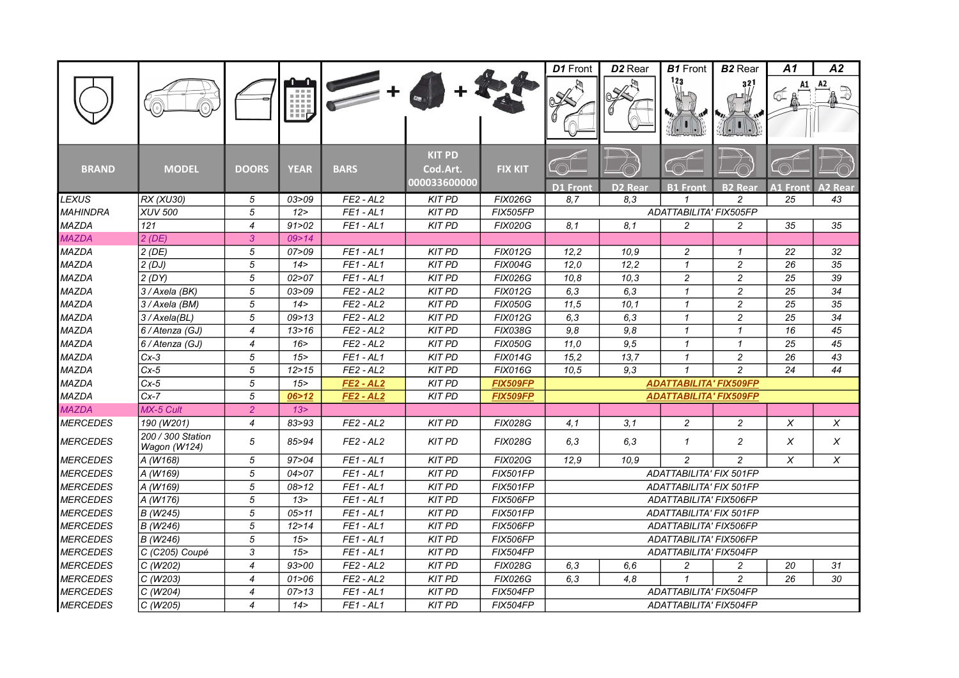|                 |                                   |                  |             |                  |                                           |                 | D1 Front               | D <sub>2</sub> Rear | <b>B1</b> Front               | <b>B2</b> Rear | A1              | A2             |  |  |
|-----------------|-----------------------------------|------------------|-------------|------------------|-------------------------------------------|-----------------|------------------------|---------------------|-------------------------------|----------------|-----------------|----------------|--|--|
|                 |                                   |                  | 哩           |                  |                                           |                 |                        |                     | 123                           | 32             |                 |                |  |  |
| <b>BRAND</b>    | <b>MODEL</b>                      | <b>DOORS</b>     | <b>YEAR</b> | <b>BARS</b>      | <b>KIT PD</b><br>Cod.Art.<br>000033600000 | <b>FIX KIT</b>  | <b>D1</b> Front        | <b>D2 Rear</b>      | <b>B1 Front</b>               | <b>B2 Rear</b> | <b>A1 Front</b> | <b>\2 Rear</b> |  |  |
| <b>LEXUS</b>    | RX (XU30)                         | 5                | 03 > 09     | $FE2 - AL2$      | <b>KIT PD</b>                             | <b>FIX026G</b>  | 8.7                    | 8.3                 |                               | $\mathfrak{p}$ | 25              | 43             |  |  |
| <b>MAHINDRA</b> | <b>XUV 500</b>                    | 5                | 12          | $FE1 - AL1$      | <b>KIT PD</b>                             | <b>FIX505FP</b> |                        |                     | ADATTABILITA' FIX505FP        |                |                 |                |  |  |
| <b>MAZDA</b>    | 121                               | $\overline{4}$   | 91 > 02     | $FE1 - AL1$      | <b>KIT PD</b>                             | <b>FIX020G</b>  | 8,1                    | 8,1                 | $\overline{c}$                | 2              | 35              | 35             |  |  |
| <b>MAZDA</b>    | $2$ (DE)                          | 3                | 09 > 14     |                  |                                           |                 |                        |                     |                               |                |                 |                |  |  |
| <b>MAZDA</b>    | $2$ (DE)                          | 5                | 07 > 09     | $FE1 - AL1$      | <b>KIT PD</b>                             | <b>FIX012G</b>  | 12,2                   | 10.9                | $\overline{c}$                | $\mathcal I$   | 22              | 32             |  |  |
| MAZDA           | 2(DJ)                             | 5                | 14 >        | $FE1 - AL1$      | <b>KIT PD</b>                             | <b>FIX004G</b>  | 12.0                   | 12.2                | $\mathbf{1}$                  | $\overline{c}$ | 26              | 35             |  |  |
| MAZDA           | 2(DY)                             | 5                | 02 > 07     | $FE1 - AL1$      | <b>KIT PD</b>                             | <b>FIX026G</b>  | 10,8                   | 10,3                | $\overline{c}$                | $\overline{c}$ | 25              | 39             |  |  |
| <b>MAZDA</b>    | 3 / Axela (BK)                    | 5                | 03 > 09     | $FE2 - AL2$      | <b>KIT PD</b>                             | <b>FIX012G</b>  | 6,3                    | 6,3                 | $\mathbf{1}$                  | $\overline{c}$ | 25              | 34             |  |  |
| MAZDA           | 3 / Axela (BM)                    | 5                | 14 >        | $FE2 - AL2$      | <b>KIT PD</b>                             | <b>FIX050G</b>  | 11,5                   | 10,1                | $\mathcal I$                  | $\overline{c}$ | 25              | 35             |  |  |
| MAZDA           | 3/Axela(BL)                       | 5                | 09 > 13     | $FE2 - AL2$      | <b>KIT PD</b>                             | <b>FIX012G</b>  | 6,3                    | 6,3                 | $\mathbf{1}$                  | $\overline{c}$ | 25              | 34             |  |  |
| MAZDA           | 6 / Atenza (GJ)                   | $\boldsymbol{4}$ | 13 > 16     | $FE2 - AL2$      | <b>KIT PD</b>                             | <b>FIX038G</b>  | 9,8                    | 9,8                 | $\mathbf{1}$                  | $\mathbf{1}$   | 16              | 45             |  |  |
| MAZDA           | 6 / Atenza (GJ)                   | 4                | 16          | $FE2 - AL2$      | <b>KIT PD</b>                             | <b>FIX050G</b>  | 11,0                   | 9,5                 | $\mathbf{1}$                  | $\mathbf{1}$   | 25              | 45             |  |  |
| MAZDA           | $Cx-3$                            | 5                | 15          | $FE1 - AL1$      | <b>KIT PD</b>                             | <b>FIX014G</b>  | 15,2                   | 13,7                | $\mathbf{1}$                  | $\overline{c}$ | 26              | 43             |  |  |
| <b>MAZDA</b>    | $Cx-5$                            | 5                | 12 > 15     | $FE2 - AL2$      | <b>KIT PD</b>                             | <b>FIX016G</b>  | 10,5                   | 9.3                 | $\mathbf{1}$                  | $\mathfrak{p}$ | 24              | 44             |  |  |
| <b>MAZDA</b>    | $Cx-5$                            | 5                | 15          | $FE2 - AL2$      | <b>KIT PD</b>                             | FIX509FP        |                        |                     | <b>ADATTABILITA' FIX509FP</b> |                |                 |                |  |  |
| MAZDA           | $Cx - 7$                          | 5                | 06 > 12     | <b>FE2 - AL2</b> | <b>KIT PD</b>                             | <b>FIX509FP</b> |                        |                     | <b>ADATTABILITA' FIX509FP</b> |                |                 |                |  |  |
| <b>MAZDA</b>    | MX-5 Cult                         | $\overline{2}$   | 13 >        |                  |                                           |                 |                        |                     |                               |                |                 |                |  |  |
| <b>MERCEDES</b> | 190 (W201)                        | $\overline{4}$   | 83 > 93     | $FE2 - AL2$      | <b>KIT PD</b>                             | <b>FIX028G</b>  | 4,1                    | 3,1                 | $\overline{c}$                | $\overline{c}$ | X               | X              |  |  |
| <b>MERCEDES</b> | 200 / 300 Station<br>Wagon (W124) | 5                | 85>94       | $FE2 - AL2$      | <b>KIT PD</b>                             | <b>FIX028G</b>  | 6.3                    | 6.3                 | $\mathbf{1}$                  | $\overline{c}$ | X               | X              |  |  |
| <b>MERCEDES</b> | A (W168)                          | 5                | 97 > 04     | $FE1 - AL1$      | <b>KIT PD</b>                             | <b>FIX020G</b>  | 12,9                   | 10.9                | $\overline{c}$                | $\overline{c}$ | X               | X              |  |  |
| <b>MERCEDES</b> | A (W169)                          | 5                | 04 > 07     | $FE1 - AL1$      | <b>KIT PD</b>                             | <b>FIX501FP</b> |                        |                     | ADATTABILITA' FIX 501FP       |                |                 |                |  |  |
| <b>MERCEDES</b> | A (W169)                          | 5                | 08 > 12     | $FE1 - AL1$      | <b>KIT PD</b>                             | <b>FIX501FP</b> |                        |                     | ADATTABILITA' FIX 501FP       |                |                 |                |  |  |
| <b>MERCEDES</b> | A (W176)                          | 5                | 13 >        | $FE1 - AL1$      | <b>KIT PD</b>                             | <b>FIX506FP</b> |                        |                     | ADATTABILITA' FIX506FP        |                |                 |                |  |  |
| <b>MERCEDES</b> | B (W245)                          | 5                | 05 > 11     | $FE1 - AL1$      | <b>KIT PD</b>                             | <b>FIX501FP</b> |                        |                     | ADATTABILITA' FIX 501FP       |                |                 |                |  |  |
| <b>MERCEDES</b> | B (W246)                          | 5                | 12 > 14     | $FE1 - AL1$      | <b>KIT PD</b>                             | <b>FIX506FP</b> |                        |                     | ADATTABILITA' FIX506FP        |                |                 |                |  |  |
| <b>MERCEDES</b> | B (W246)                          | 5                | 15          | $FE1 - AL1$      | <b>KIT PD</b>                             | <b>FIX506FP</b> |                        |                     | ADATTABILITA' FIX506FP        |                |                 |                |  |  |
| <b>MERCEDES</b> | C (C205) Coupé                    | 3                | 15          | $FE1 - AL1$      | <b>KIT PD</b>                             | <b>FIX504FP</b> |                        |                     | ADATTABILITA' FIX504FP        |                |                 |                |  |  |
| <b>MERCEDES</b> | C (W202)                          | $\overline{4}$   | 93 > 00     | $FE2 - AL2$      | <b>KIT PD</b>                             | <b>FIX028G</b>  | 6, 3                   | 6,6                 | $\overline{c}$                | $\overline{c}$ | 20              | 31             |  |  |
| <b>MERCEDES</b> | C (W203)                          | $\overline{4}$   | 01 > 06     | $FE2 - AL2$      | <b>KIT PD</b>                             | <b>FIX026G</b>  | 6.3                    | 4.8                 | $\mathbf{1}$                  | $\overline{c}$ | 26              | 30             |  |  |
| <b>MERCEDES</b> | C/(W204)                          | $\overline{4}$   | 07 > 13     | $FE1 - AL1$      | <b>KIT PD</b>                             | FIX504FP        | ADATTABILITA' FIX504FP |                     |                               |                |                 |                |  |  |
| <b>MERCEDES</b> | C(W205)                           | $\overline{4}$   | 14 >        | $FE1 - AL1$      | <b>KIT PD</b>                             | FIX504FP        | ADATTABILITA' FIX504FP |                     |                               |                |                 |                |  |  |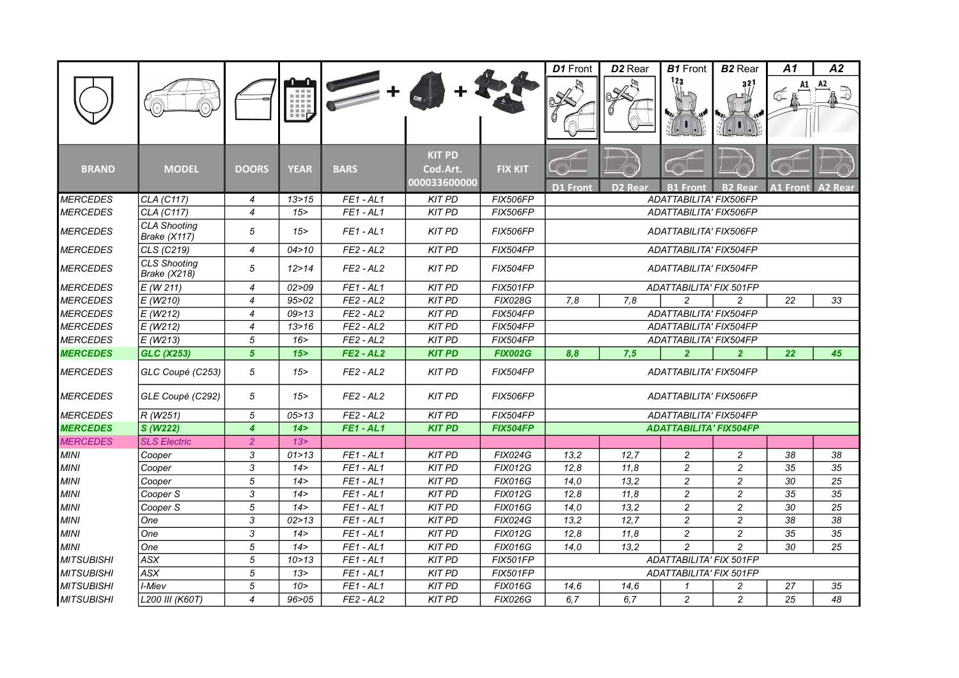|                   |                                            |                           |             |             |                                           |                 | D1 Front                                          | D <sub>2</sub> Rear | <b>B1</b> Front               | <b>B2</b> Rear | A1              | A2             |
|-------------------|--------------------------------------------|---------------------------|-------------|-------------|-------------------------------------------|-----------------|---------------------------------------------------|---------------------|-------------------------------|----------------|-----------------|----------------|
|                   |                                            |                           | 理           |             |                                           |                 |                                                   |                     |                               | 32]            |                 |                |
| <b>BRAND</b>      | <b>MODEL</b>                               | <b>DOORS</b>              | <b>YEAR</b> | <b>BARS</b> | <b>KIT PD</b><br>Cod.Art.<br>000033600000 | <b>FIX KIT</b>  | <b>D1 Front</b>                                   | D <sub>2</sub> Rear | <b>B1 Front</b>               | <b>B2 Real</b> | <b>A1 Front</b> | <b>A2 Rear</b> |
| <b>MERCEDES</b>   | CLA (C117)                                 | 4                         | 13 > 15     | $FE1 - AL1$ | <b>KIT PD</b>                             | <b>FIX506FP</b> |                                                   |                     | ADATTABILITA' FIX506FP        |                |                 |                |
| <b>MERCEDES</b>   | CLA (C117)                                 | $\overline{4}$            | 15          | $FE1 - AL1$ | <b>KIT PD</b>                             | <b>FIX506FP</b> |                                                   |                     | ADATTABILITA' FIX506FP        |                |                 |                |
| <b>MERCEDES</b>   | <b>CLA Shooting</b><br>Brake (X117)        | 5                         | 15          | $FE1 - AL1$ | <b>KIT PD</b>                             | <b>FIX506FP</b> |                                                   |                     | ADATTABILITA' FIX506FP        |                |                 |                |
| <b>MERCEDES</b>   | CLS (C219)                                 | $\overline{4}$            | 04 > 10     | $FE2 - AL2$ | <b>KIT PD</b>                             | <b>FIX504FP</b> |                                                   |                     | ADATTABILITA' FIX504FP        |                |                 |                |
| <b>MERCEDES</b>   | <b>CLS Shooting</b><br><b>Brake (X218)</b> | 5                         | 12 > 14     | $FE2 - AL2$ | <b>KIT PD</b>                             | <b>FIX504FP</b> | ADATTABILITA' FIX504FP<br>ADATTABILITA' FIX 501FP |                     |                               |                |                 |                |
| <b>MERCEDES</b>   | $E$ (W 211)                                | $\overline{4}$            | 02 > 09     | $FE1 - AL1$ | <b>KIT PD</b>                             | <b>FIX501FP</b> |                                                   |                     |                               |                |                 |                |
| <b>MERCEDES</b>   | E(W210)                                    | $\overline{4}$            | 95 > 02     | $FE2 - AL2$ | <b>KIT PD</b>                             | <b>FIX028G</b>  | 7,8                                               | 7.8                 | $\overline{c}$                | $\overline{c}$ | 22              | 33             |
| <b>MERCEDES</b>   | E(W212)                                    | $\overline{4}$            | 09 > 13     | $FE2 - AL2$ | <b>KIT PD</b>                             | FIX504FP        |                                                   |                     | ADATTABILITA' FIX504FP        |                |                 |                |
| <b>MERCEDES</b>   | E (W212)                                   | 4                         | 13 > 16     | $FE2 - AL2$ | <b>KIT PD</b>                             | <b>FIX504FP</b> |                                                   |                     | ADATTABILITA' FIX504FP        |                |                 |                |
| <b>MERCEDES</b>   | E(W213)                                    | 5                         | 16 >        | $FE2 - AL2$ | <b>KIT PD</b>                             | <b>FIX504FP</b> |                                                   |                     | ADATTABILITA' FIX504FP        |                |                 |                |
| <b>MERCEDES</b>   | <b>GLC (X253)</b>                          | 5 <sup>5</sup>            | 15          | $FE2 - AL2$ | <b>KIT PD</b>                             | <b>FIX002G</b>  | 8,8                                               | 7,5                 | $\overline{2}$                | $\overline{2}$ | 22 <sub>2</sub> | 45             |
| <b>MERCEDES</b>   | GLC Coupé (C253)                           | 5                         | 15          | $FE2 - AL2$ | <b>KIT PD</b>                             | <b>FIX504FP</b> |                                                   |                     | ADATTABILITA' FIX504FP        |                |                 |                |
| <b>MERCEDES</b>   | GLE Coupé (C292)                           | 5                         | 15          | $FE2 - AL2$ | <b>KIT PD</b>                             | <b>FIX506FP</b> |                                                   |                     | ADATTABILITA' FIX506FP        |                |                 |                |
| <b>MERCEDES</b>   | R(W251)                                    | 5                         | 05 > 13     | $FE2 - AL2$ | <b>KIT PD</b>                             | FIX504FP        |                                                   |                     | ADATTABILITA' FIX504FP        |                |                 |                |
| <b>MERCEDES</b>   | S (W222)                                   | $\overline{4}$            | 14 >        | $FE1 - AL1$ | <b>KIT PD</b>                             | <b>FIX504FP</b> |                                                   |                     | <b>ADATTABILITA' FIX504FP</b> |                |                 |                |
| <b>MERCEDES</b>   | <b>SLS Electric</b>                        | $\overline{2}$            | 13 >        |             |                                           |                 |                                                   |                     |                               |                |                 |                |
| <b>MINI</b>       | Cooper                                     | 3                         | 01 > 13     | $FE1 - AL1$ | <b>KIT PD</b>                             | <b>FIX024G</b>  | 13,2                                              | 12,7                | 2                             | $\overline{c}$ | 38              | 38             |
| <b>MINI</b>       | Cooper                                     | $\ensuremath{\mathsf{3}}$ | 14 >        | $FE1 - AL1$ | <b>KIT PD</b>                             | <b>FIX012G</b>  | 12,8                                              | 11,8                | $\overline{c}$                | $\overline{c}$ | 35              | 35             |
| <b>MINI</b>       | Cooper                                     | 5                         | 14 >        | $FE1 - AL1$ | <b>KIT PD</b>                             | <b>FIX016G</b>  | 14,0                                              | 13,2                | $\overline{c}$                | $\overline{c}$ | 30              | 25             |
| <b>MINI</b>       | Cooper S                                   | 3                         | 14 >        | $FE1 - AL1$ | <b>KIT PD</b>                             | <b>FIX012G</b>  | 12,8                                              | 11.8                | $\overline{c}$                | $\overline{c}$ | 35              | 35             |
| <b>MINI</b>       | Cooper S                                   | 5                         | 14 >        | $FE1 - AL1$ | <b>KIT PD</b>                             | <b>FIX016G</b>  | 14,0                                              | 13,2                | $\overline{c}$                | $\overline{c}$ | 30              | 25             |
| <b>MINI</b>       | One                                        | 3                         | 02 > 13     | $FE1 - AL1$ | <b>KIT PD</b>                             | <b>FIX024G</b>  | 13,2                                              | 12,7                | $\overline{c}$                | $\overline{c}$ | 38              | 38             |
| <b>MINI</b>       | One                                        | 3                         | 14 >        | $FE1 - AL1$ | <b>KIT PD</b>                             | <b>FIX012G</b>  | 12,8                                              | 11,8                | $\overline{c}$                | $\overline{c}$ | 35              | 35             |
| <b>MINI</b>       | One                                        | $\sqrt{5}$                | 14 >        | $FE1 - AL1$ | <b>KIT PD</b>                             | <b>FIX016G</b>  | 14.0                                              | 13.2                | $\overline{2}$                | $\overline{2}$ | 30              | 25             |
| <b>MITSUBISHI</b> | ASX                                        | 5                         | 10 > 13     | $FE1 - AL1$ | <b>KIT PD</b>                             | <b>FIX501FP</b> |                                                   |                     | ADATTABILITA' FIX 501FP       |                |                 |                |
| <b>MITSUBISHI</b> | <b>ASX</b>                                 | 5                         | 13 >        | $FE1 - AL1$ | <b>KIT PD</b>                             | <b>FIX501FP</b> |                                                   |                     | ADATTABILITA' FIX 501FP       |                |                 |                |
| <b>MITSUBISHI</b> | I-Miev                                     | 5                         | 10 >        | $FE1 - AL1$ | <b>KIT PD</b>                             | <b>FIX016G</b>  | 14,6                                              | 14.6                | $\mathbf{1}$                  | $\overline{c}$ | 27              | 35             |
| <b>MITSUBISHI</b> | L200 III (K60T)                            | $\overline{4}$            | 96 > 05     | $FE2 - AL2$ | <b>KIT PD</b>                             | <b>FIX026G</b>  | 6.7                                               | 6.7                 | $\overline{c}$                | $\overline{c}$ | 25              | 48             |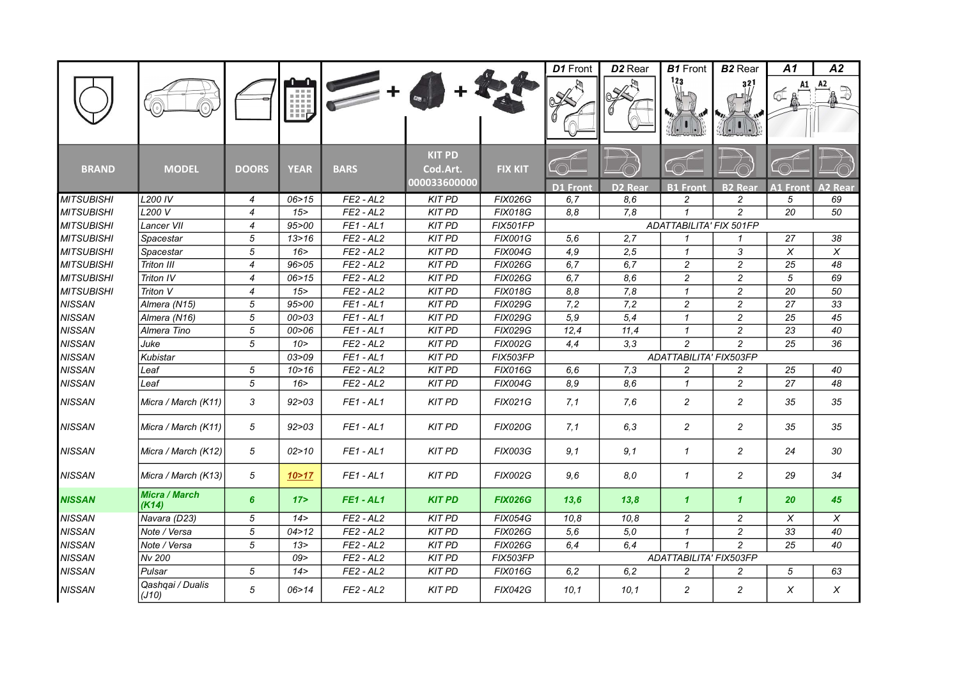|                   |                               |                |             |             |                                           |                 | D1 Front        | D <sub>2</sub> Rear | <b>B1</b> Front                | <b>B2</b> Rear | A1    | A2     |
|-------------------|-------------------------------|----------------|-------------|-------------|-------------------------------------------|-----------------|-----------------|---------------------|--------------------------------|----------------|-------|--------|
|                   |                               |                | m           |             |                                           |                 |                 |                     |                                | 32             |       | A2     |
| <b>BRAND</b>      | <b>MODEL</b>                  | <b>DOORS</b>   | <b>YEAR</b> | <b>BARS</b> | <b>KIT PD</b><br>Cod.Art.<br>000033600000 | <b>FIX KIT</b>  |                 |                     |                                |                |       |        |
|                   |                               |                |             |             |                                           |                 | <b>D1 Front</b> | <b>D2 Rear</b>      | <b>B1</b> Front                | <b>B2</b> Rear | Front | 2 Rear |
| <b>MITSUBISHI</b> | <b>L200 IV</b>                | $\overline{4}$ | 06 > 15     | $FE2 - AL2$ | <b>KIT PD</b>                             | <b>FIX026G</b>  | 6, 7            | 8,6                 | $\overline{c}$                 | $\overline{c}$ | 5     | 69     |
| <b>MITSUBISHI</b> | L200 V                        | $\overline{4}$ | 15          | $FE2 - AL2$ | <b>KIT PD</b>                             | <b>FIX018G</b>  | 8.8             | 7,8                 | $\mathbf{1}$                   | $\overline{c}$ | 20    | 50     |
| <b>MITSUBISHI</b> | Lancer VII                    | $\overline{4}$ | 95 > 00     | $FE1 - AL1$ | <b>KIT PD</b>                             | FIX501FP        |                 |                     | <b>ADATTABILITA' FIX 501FP</b> |                |       |        |
| <b>MITSUBISHI</b> | Spacestar                     | 5              | 13 > 16     | $FE2 - AL2$ | <b>KIT PD</b>                             | <b>FIX001G</b>  | 5,6             | 2.7                 | $\mathbf{1}$                   | $\mathcal I$   | 27    | 38     |
| <b>MITSUBISHI</b> | Spacestar                     | 5              | 16          | $FE2 - AL2$ | <b>KIT PD</b>                             | <b>FIX004G</b>  | 4,9             | 2,5                 | $\mathbf{1}$                   | 3              | X     | X      |
| <b>MITSUBISHI</b> | Triton III                    | $\overline{4}$ | 96 > 05     | $FE2 - AL2$ | <b>KIT PD</b>                             | <b>FIX026G</b>  | 6,7             | 6,7                 | $\overline{c}$                 | $\overline{c}$ | 25    | 48     |
| <b>MITSUBISHI</b> | Triton IV                     | $\overline{4}$ | 06 > 15     | $FE2 - AL2$ | <b>KIT PD</b>                             | <b>FIX026G</b>  | 6.7             | 8,6                 | $\overline{c}$                 | $\overline{c}$ | 5     | 69     |
| <b>MITSUBISHI</b> | Triton V                      | $\overline{4}$ | 15          | $FE2 - AL2$ | <b>KIT PD</b>                             | <b>FIX018G</b>  | 8,8             | 7,8                 | $\mathbf{1}$                   | $\overline{c}$ | 20    | 50     |
| <b>NISSAN</b>     | Almera (N15)                  | 5              | 95 > 00     | $FE1 - AL1$ | <b>KIT PD</b>                             | <b>FIX029G</b>  | 7,2             | 7,2                 | 2                              | $\overline{c}$ | 27    | 33     |
| <b>NISSAN</b>     | Almera (N16)                  | 5              | 00 > 03     | $FE1 - AL1$ | <b>KIT PD</b>                             | <b>FIX029G</b>  | 5,9             | 5,4                 | $\mathbf{1}$                   | $\overline{c}$ | 25    | 45     |
| <b>NISSAN</b>     | Almera Tino                   | 5              | 00 > 06     | $FE1 - AL1$ | <b>KIT PD</b>                             | <b>FIX029G</b>  | 12,4            | 11,4                | $\mathbf{1}$                   | $\overline{c}$ | 23    | 40     |
| <b>NISSAN</b>     | Juke                          | 5              | 10 >        | $FE2 - AL2$ | <b>KIT PD</b>                             | <b>FIX002G</b>  | 4,4             | 3,3                 | $\overline{c}$                 | $\overline{c}$ | 25    | 36     |
| <b>NISSAN</b>     | Kubistar                      |                | 03 > 09     | $FE1 - AL1$ | <b>KIT PD</b>                             | <b>FIX503FP</b> |                 |                     | ADATTABILITA' FIX503FP         |                |       |        |
| <b>NISSAN</b>     | Leaf                          | 5              | 10 > 16     | $FE2 - AL2$ | <b>KIT PD</b>                             | <b>FIX016G</b>  | 6,6             | 7,3                 | $\overline{c}$                 | $\overline{c}$ | 25    | 40     |
| <b>NISSAN</b>     | Leaf                          | 5              | 16          | $FE2 - AL2$ | <b>KIT PD</b>                             | <b>FIX004G</b>  | 8,9             | 8.6                 | $\mathbf{1}$                   | $\overline{c}$ | 27    | 48     |
| <b>NISSAN</b>     | Micra / March (K11)           | 3              | 92 > 03     | $FE1 - AL1$ | <b>KIT PD</b>                             | <b>FIX021G</b>  | 7,1             | 7,6                 | $\overline{c}$                 | 2              | 35    | 35     |
| <b>NISSAN</b>     | Micra / March (K11)           | 5              | 92 > 03     | $FE1 - AL1$ | <b>KIT PD</b>                             | <b>FIX020G</b>  | 7,1             | 6.3                 | $\overline{c}$                 | $\overline{c}$ | 35    | 35     |
| <b>NISSAN</b>     | Micra / March (K12)           | 5              | 02 > 10     | $FE1 - AL1$ | <b>KIT PD</b>                             | <b>FIX003G</b>  | 9,1             | 9,1                 | $\mathbf{1}$                   | $\overline{c}$ | 24    | 30     |
| <b>NISSAN</b>     | Micra / March (K13)           | 5              | 10 > 17     | $FE1 - AL1$ | <b>KIT PD</b>                             | <b>FIX002G</b>  | 9,6             | 8,0                 | $\mathcal I$                   | 2              | 29    | 34     |
| <b>NISSAN</b>     | <b>Micra / March</b><br>(K14) | 6              | 17          | $FE1 - AL1$ | <b>KIT PD</b>                             | <b>FIX026G</b>  | 13,6            | 13,8                | $\mathbf{1}$                   | $\mathbf{1}$   | 20    | 45     |
| <b>NISSAN</b>     | Navara (D23)                  | 5              | 14 >        | $FE2 - AL2$ | <b>KIT PD</b>                             | <b>FIX054G</b>  | 10,8            | 10,8                | $\overline{c}$                 | $\overline{c}$ | X     | X      |
| <b>NISSAN</b>     | Note / Versa                  | 5              | 04 > 12     | $FE2 - AL2$ | <b>KIT PD</b>                             | <b>FIX026G</b>  | 5,6             | 5.0                 | $\mathbf{1}$                   | $\overline{c}$ | 33    | 40     |
| <b>NISSAN</b>     | Note / Versa                  | 5              | 13 >        | $FE2 - AL2$ | <b>KIT PD</b>                             | <b>FIX026G</b>  | 6,4             | 6.4                 | $\mathbf{1}$                   | $\overline{c}$ | 25    | 40     |
| <b>NISSAN</b>     | Nv 200                        |                | 09          | $FE2 - AL2$ | <b>KIT PD</b>                             | FIX503FP        |                 |                     | ADATTABILITA' FIX503FP         |                |       |        |
| <b>NISSAN</b>     | Pulsar                        | 5              | 14 >        | $FE2 - AL2$ | <b>KIT PD</b>                             | <b>FIX016G</b>  | 6,2             | 6, 2                | 2                              | 2              | 5     | 63     |
| <b>NISSAN</b>     | Qashqai / Dualis<br>(J10)     | 5              | 06 > 14     | $FE2 - AL2$ | <b>KIT PD</b>                             | <b>FIX042G</b>  | 10,1            | 10,1                | 2                              | $\overline{c}$ | X     | X      |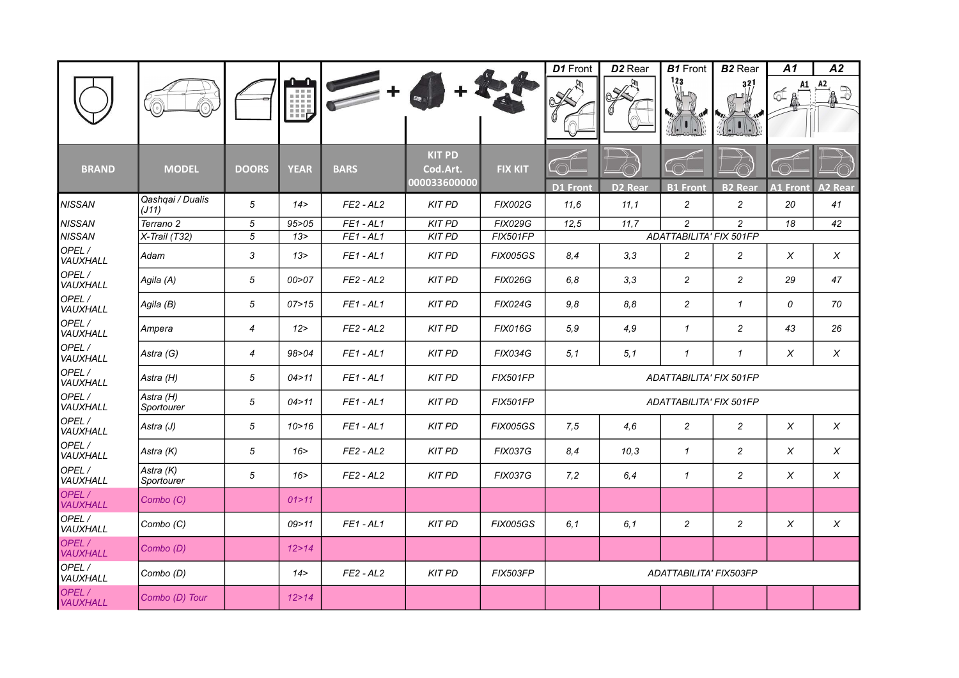|                                 |                         |                  |               |             |                                           |                 | D1 Front               | D <sub>2</sub> Rear | <b>B1</b> Front                | <b>B2</b> Rear | A1              | A2                        |
|---------------------------------|-------------------------|------------------|---------------|-------------|-------------------------------------------|-----------------|------------------------|---------------------|--------------------------------|----------------|-----------------|---------------------------|
|                                 |                         |                  | $m = -$<br>Ħ, |             |                                           |                 |                        |                     | 123                            | 321            | ₫               | A2<br>Z                   |
| <b>BRAND</b>                    | <b>MODEL</b>            | <b>DOORS</b>     | <b>YEAR</b>   | <b>BARS</b> | <b>KIT PD</b><br>Cod.Art.<br>000033600000 | <b>FIX KIT</b>  |                        |                     |                                |                |                 |                           |
|                                 | Qashqai / Dualis        |                  |               |             |                                           |                 | <b>D1 Front</b>        | <b>D2 Rear</b>      | <b>B1 Front</b>                | <b>B2 Rear</b> | <b>A1 Front</b> | <b>A2 Rear</b>            |
| <b>NISSAN</b>                   | (J11)                   | 5                | 14 >          | $FE2 - AL2$ | <b>KIT PD</b>                             | <b>FIX002G</b>  | 11,6                   | 11,1                | $\overline{2}$                 | $\overline{c}$ | 20              | 41                        |
| <b>NISSAN</b>                   | Terrano 2               | 5                | 95 > 05       | $FE1 - AL1$ | <b>KIT PD</b>                             | <b>FIX029G</b>  | 12.5                   | 11,7                | 2                              | $\overline{c}$ | 18              | 42                        |
| <b>NISSAN</b>                   | X-Trail (T32)           | 5                | 13 >          | $FE1 - AL1$ | <b>KIT PD</b>                             | FIX501FP        |                        |                     | ADATTABILITA' FIX 501FP        |                |                 |                           |
| OPEL/<br>VAUXHALL               | Adam                    | 3                | 13 >          | $FE1 - AL1$ | <b>KIT PD</b>                             | <b>FIX005GS</b> | 8.4                    | 3,3                 | $\overline{2}$                 | $\overline{c}$ | $\chi$          | $\boldsymbol{\mathsf{x}}$ |
| OPEL/<br>VAUXHALL               | Agila (A)               | 5                | 00 > 07       | $FE2 - AL2$ | <b>KIT PD</b>                             | <b>FIX026G</b>  | 6,8                    | 3,3                 | $\overline{2}$                 | $\overline{c}$ | 29              | 47                        |
| OPEL/<br>VAUXHALL               | Agila (B)               | 5                | 07 > 15       | $FE1 - AL1$ | <b>KIT PD</b>                             | <b>FIX024G</b>  | 9,8                    | 8.8                 | $\overline{c}$                 | $\mathbf{1}$   | 0               | 70                        |
| OPEL/<br>VAUXHALL               | Ampera                  | $\overline{4}$   | 12            | $FE2 - AL2$ | <b>KIT PD</b>                             | <b>FIX016G</b>  | 5,9                    | 4.9                 | $\mathbf{1}$                   | $\overline{c}$ | 43              | 26                        |
| OPEL/<br>VAUXHALL               | Astra (G)               | $\boldsymbol{4}$ | 98 > 04       | $FE1 - AL1$ | <b>KIT PD</b>                             | <b>FIX034G</b>  | 5,1                    | 5,1                 | $\mathbf{1}$                   | $\mathcal I$   | X               | $\times$                  |
| OPEL/<br>VAUXHALL               | Astra (H)               | 5                | 04 > 11       | $FE1 - AL1$ | <b>KIT PD</b>                             | <b>FIX501FP</b> |                        |                     | ADATTABILITA' FIX 501FP        |                |                 |                           |
| OPEL/<br>VAUXHALL               | Astra (H)<br>Sportourer | 5                | 04 > 11       | $FE1 - AL1$ | <b>KIT PD</b>                             | <b>FIX501FP</b> |                        |                     | <b>ADATTABILITA' FIX 501FP</b> |                |                 |                           |
| OPEL/<br>VAUXHALL               | Astra (J)               | 5                | 10 > 16       | $FE1 - AL1$ | <b>KIT PD</b>                             | <b>FIX005GS</b> | 7,5                    | 4.6                 | $\overline{2}$                 | $\overline{c}$ | $\times$        | $\boldsymbol{\mathsf{x}}$ |
| OPEL/<br><i><b>VAUXHALL</b></i> | Astra (K)               | 5                | 16            | $FE2 - AL2$ | <b>KIT PD</b>                             | <b>FIX037G</b>  | 8,4                    | 10,3                | $\mathbf{1}$                   | $\overline{c}$ | X               | $\boldsymbol{\mathsf{x}}$ |
| OPEL/<br>VAUXHALL               | Astra (K)<br>Sportourer | 5                | 16 >          | $FE2 - AL2$ | <b>KIT PD</b>                             | <b>FIX037G</b>  | 7,2                    | 6.4                 | $\mathbf{1}$                   | $\overline{c}$ | $\chi$          | $\chi$                    |
| OPEL /<br>VAUXHALL              | Combo (C)               |                  | 01 > 11       |             |                                           |                 |                        |                     |                                |                |                 |                           |
| OPEL/<br><b>VAUXHALL</b>        | Combo (C)               |                  | 09 > 11       | $FE1 - AL1$ | <b>KIT PD</b>                             | <b>FIX005GS</b> | 6,1                    | 6, 1                | $\overline{c}$                 | $\overline{c}$ | $\chi$          | X                         |
| OPEL/<br><b>VAUXHALL</b>        | Combo (D)               |                  | 12 > 14       |             |                                           |                 |                        |                     |                                |                |                 |                           |
| OPEL /<br>VAUXHALL              | Combo (D)               |                  | 14 >          | $FE2 - AL2$ | <b>KIT PD</b>                             | FIX503FP        | ADATTABILITA' FIX503FP |                     |                                |                |                 |                           |
| OPEL/<br><b>VAUXHALL</b>        | Combo (D) Tour          |                  | 12 > 14       |             |                                           |                 |                        |                     |                                |                |                 |                           |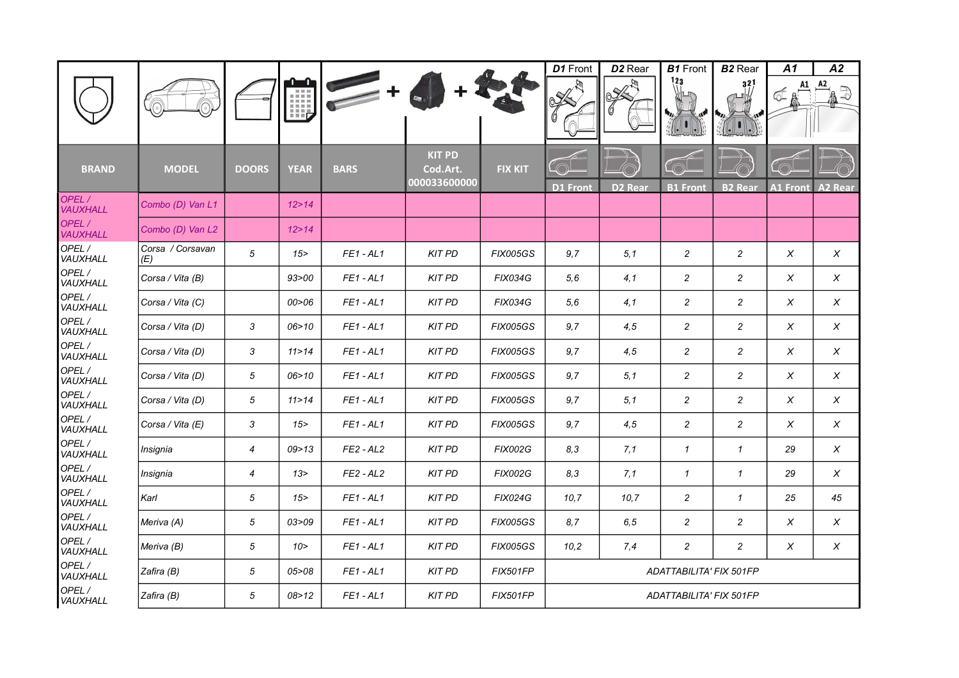|                   |                         |                |             |                |                                           |                 | D1 Front                | D <sub>2</sub> Rear | <b>B1</b> Front         | <b>B2</b> Rear             | A1              | A2                 |
|-------------------|-------------------------|----------------|-------------|----------------|-------------------------------------------|-----------------|-------------------------|---------------------|-------------------------|----------------------------|-----------------|--------------------|
|                   |                         |                | HĘ          |                |                                           |                 | $\frac{1}{6}$           |                     | 123                     | 32                         | A1<br>๔         | A2<br>$\mathbb{D}$ |
| <b>BRAND</b>      | <b>MODEL</b>            | <b>DOORS</b>   | <b>YEAR</b> | <b>BARS</b>    | <b>KIT PD</b><br>Cod.Art.<br>000033600000 | <b>FIX KIT</b>  | <b>D1 Front</b>         | D <sub>2</sub> Rear | <b>B1 Front</b>         | <b>B2 Rear</b>             | <b>A1 Front</b> | <b>A2 Rear</b>     |
| OPEL/<br>VAUXHALL | Combo (D) Van L1        |                | 12 > 14     |                |                                           |                 |                         |                     |                         |                            |                 |                    |
| OPEL/<br>VAUXHALL | Combo (D) Van L2        |                | 12 > 14     |                |                                           |                 |                         |                     |                         |                            |                 |                    |
| OPEL/<br>VAUXHALL | Corsa / Corsavan<br>(E) | 5              | 15          | <b>FE1-AL1</b> | <b>KIT PD</b>                             | <b>FIX005GS</b> | 9,7                     | 5,1                 | $\overline{c}$          | $\overline{c}$             | X               | X                  |
| OPEL/<br>VAUXHALL | Corsa / Vita (B)        |                | 93 > 00     | <b>FE1-AL1</b> | <b>KIT PD</b>                             | <b>FIX034G</b>  | 5,6                     | 4,1                 | $\overline{\mathbf{c}}$ | $\overline{c}$             | X               | $\chi$             |
| OPEL/<br>VAUXHALL | Corsa / Vita (C)        |                | 00 > 06     | $FE1 - AL1$    | <b>KIT PD</b>                             | <b>FIX034G</b>  | 5,6                     | 4,1                 | $\overline{\mathbf{c}}$ | $\overline{c}$             | X               | X                  |
| OPEL/<br>VAUXHALL | Corsa / Vita (D)        | 3              | 06 > 10     | $FE1 - AL1$    | <b>KIT PD</b>                             | <b>FIX005GS</b> | 9,7                     | 4,5                 | $\overline{c}$          | $\overline{c}$             | X               | $\chi$             |
| OPEL/<br>VAUXHALL | Corsa / Vita (D)        | 3              | 11 > 14     | $FE1 - AL1$    | <b>KIT PD</b>                             | <b>FIX005GS</b> | 9,7                     | 4,5                 | $\overline{c}$          | $\overline{c}$             | X               | $\chi$             |
| OPEL/<br>VAUXHALL | Corsa / Vita (D)        | 5              | 06 > 10     | $FE1 - AL1$    | <b>KIT PD</b>                             | <b>FIX005GS</b> | 9,7                     | 5,1                 | $\overline{c}$          | $\overline{c}$             | $\times$        | $\times$           |
| OPEL/<br>VAUXHALL | Corsa / Vita (D)        | 5              | 11 > 14     | $FE1 - AL1$    | <b>KIT PD</b>                             | <b>FIX005GS</b> | 9,7                     | 5,1                 | $\overline{c}$          | $\overline{c}$             | Χ               | $\chi$             |
| OPEL/<br>VAUXHALL | Corsa / Vita (E)        | 3              | 15          | <b>FE1-AL1</b> | <b>KIT PD</b>                             | <b>FIX005GS</b> | 9,7                     | 4,5                 | $\overline{c}$          | $\overline{c}$             | X               | $\chi$             |
| OPEL/<br>VAUXHALL | Insignia                | $\overline{4}$ | 09 > 13     | $FE2 - AL2$    | <b>KIT PD</b>                             | <b>FIX002G</b>  | 8,3                     | 7,1                 | $\mathbf{1}$            | $\mathcal I$               | 29              | X                  |
| OPEL/<br>VAUXHALL | Insignia                | 4              | 13 >        | $FE2 - AL2$    | <b>KIT PD</b>                             | <b>FIX002G</b>  | 8,3                     | 7,1                 | $\mathcal I$            | $\boldsymbol{\mathcal{I}}$ | 29              | X                  |
| OPEL/<br>VAUXHALL | Karl                    | 5              | $15 -$      | $FE1 - AL1$    | <b>KIT PD</b>                             | <b>FIX024G</b>  | 10, 7                   | 10,7                | $\overline{\mathbf{c}}$ | $\mathbf{1}$               | 25              | 45                 |
| OPEL/<br>VAUXHALL | Meriva (A)              | 5              | 03 > 09     | $FE1 - AL1$    | <b>KIT PD</b>                             | <b>FIX005GS</b> | 8.7                     | 6,5                 | $\overline{c}$          | $\overline{c}$             | X               | $\times$           |
| OPEL/<br>VAUXHALL | Meriva (B)              | 5              | 10 >        | $FE1 - AL1$    | <b>KIT PD</b>                             | <b>FIX005GS</b> | 10,2                    | 7,4                 | $\overline{c}$          | $\overline{c}$             | X               | $\chi$             |
| OPEL/<br>VAUXHALL | Zafira (B)              | 5              | 05>08       | $FE1 - AL1$    | <b>KIT PD</b>                             | <b>FIX501FP</b> |                         |                     | ADATTABILITA' FIX 501FP |                            |                 |                    |
| OPEL/<br>VAUXHALL | Zafira (B)              | 5              | 08 > 12     | <b>FE1-AL1</b> | <b>KIT PD</b>                             | <b>FIX501FP</b> | ADATTABILITA' FIX 501FP |                     |                         |                            |                 |                    |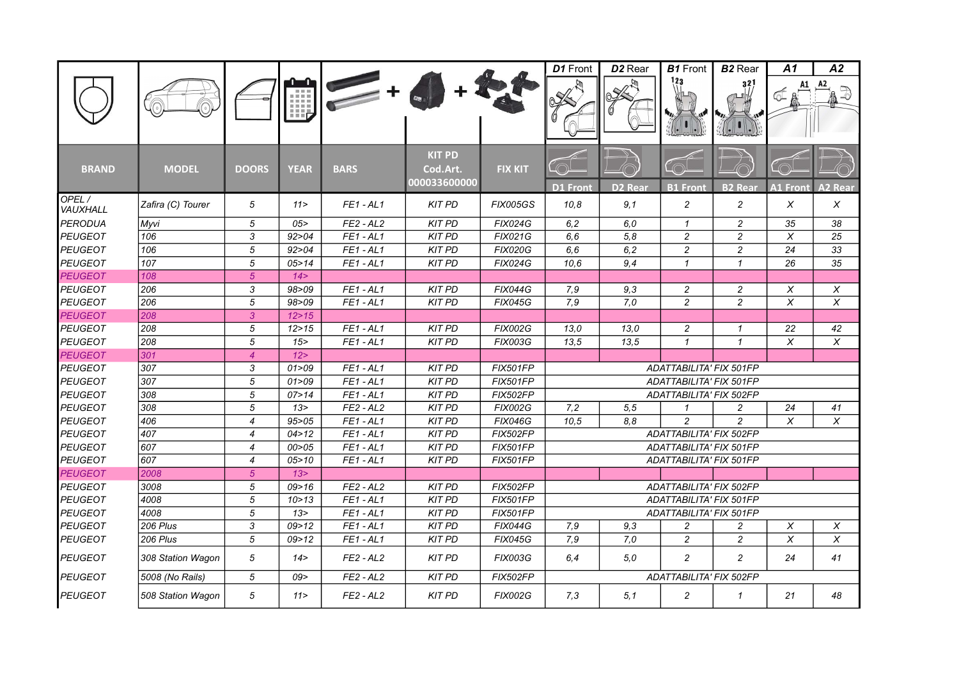|                   |                   |                |                 |             |                                           |                 | D1 Front                | D <sub>2</sub> Rear | <b>B1</b> Front         | <b>B2</b> Rear | A1              | A2             |
|-------------------|-------------------|----------------|-----------------|-------------|-------------------------------------------|-----------------|-------------------------|---------------------|-------------------------|----------------|-----------------|----------------|
|                   |                   |                | Щ               |             |                                           |                 |                         |                     | 123                     | 321            | A1              |                |
| <b>BRAND</b>      | <b>MODEL</b>      | <b>DOORS</b>   | <b>YEAR</b>     | <b>BARS</b> | <b>KIT PD</b><br>Cod.Art.<br>000033600000 | <b>FIX KIT</b>  | <b>D1 Front</b>         | <b>D2 Rear</b>      | <b>B1</b> Front         | <b>B2</b> Rear | <b>A1 Front</b> | <b>A2 Rear</b> |
| OPEL/<br>VAUXHALL | Zafira (C) Tourer | 5              | 11 >            | $FE1 - AL1$ | <b>KIT PD</b>                             | <b>FIX005GS</b> | 10,8                    | 9,1                 | $\overline{c}$          | $\overline{c}$ | X               | X              |
| <b>PERODUA</b>    | Myvi              | 5              | 05              | $FE2 - AL2$ | <b>KIT PD</b>                             | <b>FIX024G</b>  | 6, 2                    | 6.0                 | $\mathbf{1}$            | $\overline{c}$ | 35              | 38             |
| <b>PEUGEOT</b>    | 106               | 3              | 92 > 04         | $FE1 - AL1$ | <b>KIT PD</b>                             | <b>FIX021G</b>  | 6, 6                    | 5,8                 | $\overline{c}$          | $\overline{c}$ | $\pmb{\times}$  | 25             |
| <b>PEUGEOT</b>    | 106               | $\sqrt{5}$     | 92 > 04         | $FE1 - AL1$ | <b>KIT PD</b>                             | <b>FIX020G</b>  | 6, 6                    | 6,2                 | $\overline{c}$          | $\overline{c}$ | 24              | 33             |
| <b>PEUGEOT</b>    | 107               | 5              | 05 > 14         | $FE1 - AL1$ | <b>KIT PD</b>                             | <b>FIX024G</b>  | 10.6                    | 9,4                 | $\mathcal I$            | $\mathbf{1}$   | 26              | 35             |
| <b>PEUGEOT</b>    | 108               | $\sqrt{5}$     | 14 >            |             |                                           |                 |                         |                     |                         |                |                 |                |
| <b>PEUGEOT</b>    | 206               | 3              | 98>09           | $FE1 - AL1$ | <b>KIT PD</b>                             | <b>FIX044G</b>  | 7,9                     | 9,3                 | 2                       | 2              | X               | X              |
| <b>PEUGEOT</b>    | 206               | $\overline{5}$ | 98 > 09         | $FE1 - AL1$ | <b>KIT PD</b>                             | <b>FIX045G</b>  | 7,9                     | 7,0                 | $\overline{c}$          | $\overline{c}$ | X               | $\pmb{\times}$ |
| <b>PEUGEOT</b>    | 208               | $\overline{3}$ | 12 > 15         |             |                                           |                 |                         |                     |                         |                |                 |                |
| <b>PEUGEOT</b>    | 208               | 5              | 12 > 15         | $FE1 - AL1$ | <b>KIT PD</b>                             | <b>FIX002G</b>  | 13,0                    | 13,0                | 2                       | $\mathcal I$   | 22              | 42             |
| <b>PEUGEOT</b>    | 208               | 5              | 15 <sup>2</sup> | $FE1 - AL1$ | <b>KIT PD</b>                             | <b>FIX003G</b>  | 13,5                    | 13,5                | $\mathbf{1}$            | $\mathcal I$   | X               | X              |
| <b>PEUGEOT</b>    | 301               | $\overline{4}$ | 12              |             |                                           |                 |                         |                     |                         |                |                 |                |
| <b>PEUGEOT</b>    | 307               | 3              | 01 > 09         | $FE1 - AL1$ | <b>KIT PD</b>                             | <b>FIX501FP</b> |                         |                     | ADATTABILITA' FIX 501FP |                |                 |                |
| <b>PEUGEOT</b>    | 307               | 5              | 01 > 09         | $FE1 - AL1$ | <b>KIT PD</b>                             | <b>FIX501FP</b> |                         |                     | ADATTABILITA' FIX 501FP |                |                 |                |
| <b>PEUGEOT</b>    | 308               | 5              | 07 > 14         | $FE1 - AL1$ | <b>KIT PD</b>                             | <b>FIX502FP</b> |                         |                     | ADATTABILITA' FIX 502FP |                |                 |                |
| <b>PEUGEOT</b>    | 308               | 5              | 13 >            | $FE2 - AL2$ | <b>KIT PD</b>                             | <b>FIX002G</b>  | 7,2                     | 5, 5                | $\mathbf{1}$            | 2              | 24              | 41             |
| <b>PEUGEOT</b>    | 406               | $\overline{4}$ | 95 > 05         | $FE1 - AL1$ | <b>KIT PD</b>                             | <b>FIX046G</b>  | 10,5                    | 8.8                 | $\overline{c}$          | $\overline{c}$ | X               | X              |
| <b>PEUGEOT</b>    | 407               | $\overline{4}$ | 04 > 12         | $FE1 - AL1$ | <b>KIT PD</b>                             | <b>FIX502FP</b> |                         |                     | ADATTABILITA' FIX 502FP |                |                 |                |
| <b>PEUGEOT</b>    | 607               | $\overline{4}$ | 00 > 05         | $FE1 - AL1$ | <b>KIT PD</b>                             | <b>FIX501FP</b> |                         |                     | ADATTABILITA' FIX 501FP |                |                 |                |
| <b>PEUGEOT</b>    | 607               | $\overline{4}$ | 05 > 10         | $FE1 - AL1$ | <b>KIT PD</b>                             | <b>FIX501FP</b> |                         |                     | ADATTABILITA' FIX 501FP |                |                 |                |
| <b>PEUGEOT</b>    | 2008              | 5 <sup>5</sup> | 13 >            |             |                                           |                 |                         |                     |                         |                |                 |                |
| <b>PEUGEOT</b>    | 3008              | 5              | 09 > 16         | $FE2 - AL2$ | <b>KIT PD</b>                             | <b>FIX502FP</b> |                         |                     | ADATTABILITA' FIX 502FP |                |                 |                |
| <b>PEUGEOT</b>    | 4008              | 5              | 10 > 13         | $FE1 - AL1$ | <b>KIT PD</b>                             | <b>FIX501FP</b> |                         |                     | ADATTABILITA' FIX 501FP |                |                 |                |
| <b>PEUGEOT</b>    | 4008              | 5              | 13 >            | $FE1 - AL1$ | <b>KIT PD</b>                             | <b>FIX501FP</b> |                         |                     | ADATTABILITA' FIX 501FP |                |                 |                |
| <b>PEUGEOT</b>    | 206 Plus          | 3              | 09 > 12         | $FE1 - AL1$ | <b>KIT PD</b>                             | <b>FIX044G</b>  | 7,9                     | 9,3                 | $\overline{c}$          | $\overline{c}$ | X               | X              |
| <b>PEUGEOT</b>    | 206 Plus          | 5              | 09 > 12         | $FE1 - AL1$ | <b>KIT PD</b>                             | <b>FIX045G</b>  | 7,9                     | 7,0                 | $\overline{c}$          | $\overline{c}$ | X               | $\pmb{\times}$ |
| <b>PEUGEOT</b>    | 308 Station Wagon | 5              | 14 >            | $FE2 - AL2$ | <b>KIT PD</b>                             | <b>FIX003G</b>  | 6,4                     | 5.0                 | $\overline{c}$          | $\overline{c}$ | 24              | 41             |
| <b>PEUGEOT</b>    | 5008 (No Rails)   | 5              | 09              | $FE2 - AL2$ | <b>KIT PD</b>                             | <b>FIX502FP</b> | ADATTABILITA' FIX 502FP |                     |                         |                |                 |                |
| <b>PEUGEOT</b>    | 508 Station Wagon | 5              | 11 >            | $FE2 - AL2$ | <b>KIT PD</b>                             | <b>FIX002G</b>  | 7,3                     | 5,1                 | $\overline{c}$          | $\mathbf{1}$   | 21              | 48             |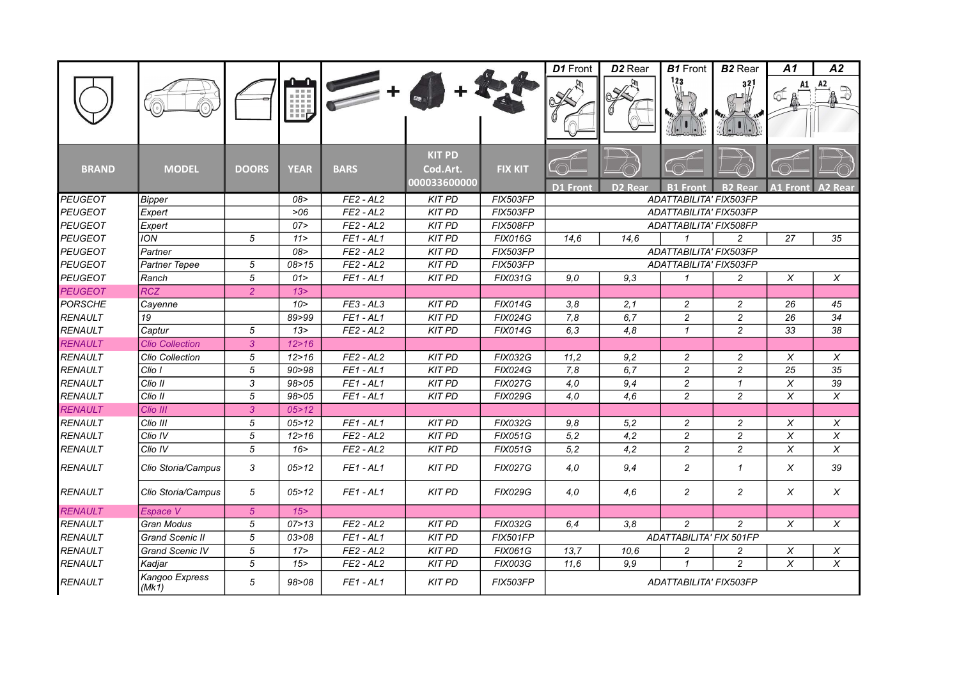|                |                         |                |             |             |                                           |                 | D1 Front               | D <sub>2</sub> Rear | <b>B1</b> Front                           | <b>B2</b> Rear | A1              | A2                        |
|----------------|-------------------------|----------------|-------------|-------------|-------------------------------------------|-----------------|------------------------|---------------------|-------------------------------------------|----------------|-----------------|---------------------------|
|                |                         |                | Шb          |             |                                           |                 |                        |                     | 123                                       | 321            |                 | A2                        |
| <b>BRAND</b>   | <b>MODEL</b>            | <b>DOORS</b>   | <b>YEAR</b> | <b>BARS</b> | <b>KIT PD</b><br>Cod.Art.<br>000033600000 | <b>FIX KIT</b>  |                        |                     |                                           |                |                 |                           |
| <b>PEUGEOT</b> |                         |                | 08>         | $FE2 - AL2$ | <b>KIT PD</b>                             | <b>FIX503FP</b> | <b>D1 Front</b>        | D <sub>2</sub> Rear | <b>B1 Front</b><br>ADATTABILITA' FIX503FP | <b>B2 Rear</b> | <b>A1 Front</b> | <b>A2 Rear</b>            |
| <b>PEUGEOT</b> | <b>Bipper</b>           |                | >06         | $FE2 - AL2$ | <b>KIT PD</b>                             | FIX503FP        |                        |                     | ADATTABILITA' FIX503FP                    |                |                 |                           |
| <b>PEUGEOT</b> | Expert                  |                | 07 >        | $FE2 - AL2$ | <b>KIT PD</b>                             | <b>FIX508FP</b> |                        |                     | ADATTABILITA' FIX508FP                    |                |                 |                           |
| <b>PEUGEOT</b> | Expert<br><b>ION</b>    | 5              | 11 >        | $FE1 - AL1$ | <b>KIT PD</b>                             | <b>FIX016G</b>  | 14,6                   | 14.6                | $\mathbf{1}$                              | $\overline{c}$ | 27              | 35                        |
| <b>PEUGEOT</b> | Partner                 |                | 08>         | $FE2 - AL2$ | <b>KIT PD</b>                             | FIX503FP        |                        |                     | ADATTABILITA' FIX503FP                    |                |                 |                           |
| <b>PEUGEOT</b> | Partner Tepee           | 5              | 08 > 15     | $FE2 - AL2$ | <b>KIT PD</b>                             | <b>FIX503FP</b> |                        |                     | ADATTABILITA' FIX503FP                    |                |                 |                           |
| <b>PEUGEOT</b> | Ranch                   | 5              | 01 >        | $FE1 - AL1$ | <b>KIT PD</b>                             | <b>FIX031G</b>  | 9.0                    | 9.3                 | $\mathbf{1}$                              | $\overline{c}$ | X               | X                         |
| <b>PEUGEOT</b> | <b>RCZ</b>              | $\overline{2}$ | 13 >        |             |                                           |                 |                        |                     |                                           |                |                 |                           |
| <b>PORSCHE</b> | Cayenne                 |                | 10 >        | $FE3 - AL3$ | <b>KIT PD</b>                             | <b>FIX014G</b>  | 3,8                    | 2,1                 | $\overline{c}$                            | $\overline{c}$ | 26              | 45                        |
| <b>RENAULT</b> | 19                      |                | 89>99       | $FE1 - AL1$ | <b>KIT PD</b>                             | <b>FIX024G</b>  | 7,8                    | 6,7                 | $\overline{c}$                            | $\overline{c}$ | 26              | $\overline{34}$           |
| RENAULT        | Captur                  | 5              | 13 >        | $FE2 - AL2$ | <b>KIT PD</b>                             | <b>FIX014G</b>  | 6,3                    | 4,8                 | $\mathbf{1}$                              | $\overline{c}$ | 33              | 38                        |
| <b>RENAULT</b> | <b>Clio Collection</b>  | $\overline{3}$ | 12 > 16     |             |                                           |                 |                        |                     |                                           |                |                 |                           |
| <b>RENAULT</b> | Clio Collection         | 5              | 12 > 16     | $FE2 - AL2$ | <b>KIT PD</b>                             | <b>FIX032G</b>  | 11,2                   | 9.2                 | $\overline{c}$                            | $\overline{c}$ | X               | X                         |
| RENAULT        | Clio I                  | 5              | 90 > 98     | $FE1 - AL1$ | <b>KIT PD</b>                             | <b>FIX024G</b>  | 7,8                    | 6,7                 | $\overline{c}$                            | $\overline{c}$ | $\overline{25}$ | 35                        |
| RENAULT        | Clio II                 | $\mathfrak{3}$ | 98 > 05     | $FE1 - AL1$ | <b>KIT PD</b>                             | <b>FIX027G</b>  | 4.0                    | 9,4                 | $\overline{c}$                            | $\mathbf{1}$   | X               | 39                        |
| <b>RENAULT</b> | Clio II                 | 5              | 98 > 05     | $FE1 - AL1$ | <b>KIT PD</b>                             | <b>FIX029G</b>  | 4,0                    | 4.6                 | $\overline{c}$                            | $\overline{c}$ | X               | X                         |
| <b>RENAULT</b> | Clio III                | 3              | 05 > 12     |             |                                           |                 |                        |                     |                                           |                |                 |                           |
| <b>RENAULT</b> | Clio III                | 5              | 05 > 12     | $FE1 - AL1$ | <b>KIT PD</b>                             | <b>FIX032G</b>  | 9,8                    | 5,2                 | 2                                         | $\overline{c}$ | X               | X                         |
| <b>RENAULT</b> | Clio IV                 | 5              | 12 > 16     | $FE2 - AL2$ | <b>KIT PD</b>                             | <b>FIX051G</b>  | 5,2                    | 4,2                 | $\overline{c}$                            | $\overline{c}$ | X               | X                         |
| <b>RENAULT</b> | Clio IV                 | 5              | 16          | $FE2 - AL2$ | <b>KIT PD</b>                             | <b>FIX051G</b>  | 5,2                    | 4,2                 | $\overline{c}$                            | $\overline{c}$ | X               | X                         |
| <b>RENAULT</b> | Clio Storia/Campus      | 3              | 05 > 12     | $FE1 - AL1$ | <b>KIT PD</b>                             | <b>FIX027G</b>  | 4,0                    | 9,4                 | 2                                         | $\mathcal I$   | X               | 39                        |
| RENAULT        | Clio Storia/Campus      | 5              | 05 > 12     | $FE1 - AL1$ | <b>KIT PD</b>                             | <b>FIX029G</b>  | 4.0                    | 4.6                 | $\overline{c}$                            | $\overline{c}$ | X               | X                         |
| <b>RENAULT</b> | Espace V                | 5 <sup>5</sup> | 15          |             |                                           |                 |                        |                     |                                           |                |                 |                           |
| <b>RENAULT</b> | Gran Modus              | 5              | 07 > 13     | $FE2 - AL2$ | <b>KIT PD</b>                             | FIX032G         | 6,4                    | 3,8                 | $\overline{c}$                            | $\overline{c}$ | X               | X                         |
| <b>RENAULT</b> | Grand Scenic II         | 5              | 03 > 08     | $FE1 - AL1$ | <b>KIT PD</b>                             | <b>FIX501FP</b> |                        |                     | ADATTABILITA' FIX 501FP                   |                |                 |                           |
| <b>RENAULT</b> | Grand Scenic IV         | 5              | 17          | $FE2 - AL2$ | <b>KIT PD</b>                             | <b>FIX061G</b>  | 13,7                   | 10,6                | 2                                         | 2              | $\pmb{\times}$  | $\boldsymbol{\mathsf{X}}$ |
| <b>RENAULT</b> | Kadjar                  | 5              | 15          | $FE2 - AL2$ | <b>KIT PD</b>                             | <b>FIX003G</b>  | 11,6                   | 9.9                 | $\mathbf{1}$                              | $\overline{c}$ | X               | $\pmb{\times}$            |
| <b>RENAULT</b> | Kangoo Express<br>(Mk1) | 5              | 98>08       | $FE1 - AL1$ | <b>KIT PD</b>                             | <b>FIX503FP</b> | ADATTABILITA' FIX503FP |                     |                                           |                |                 |                           |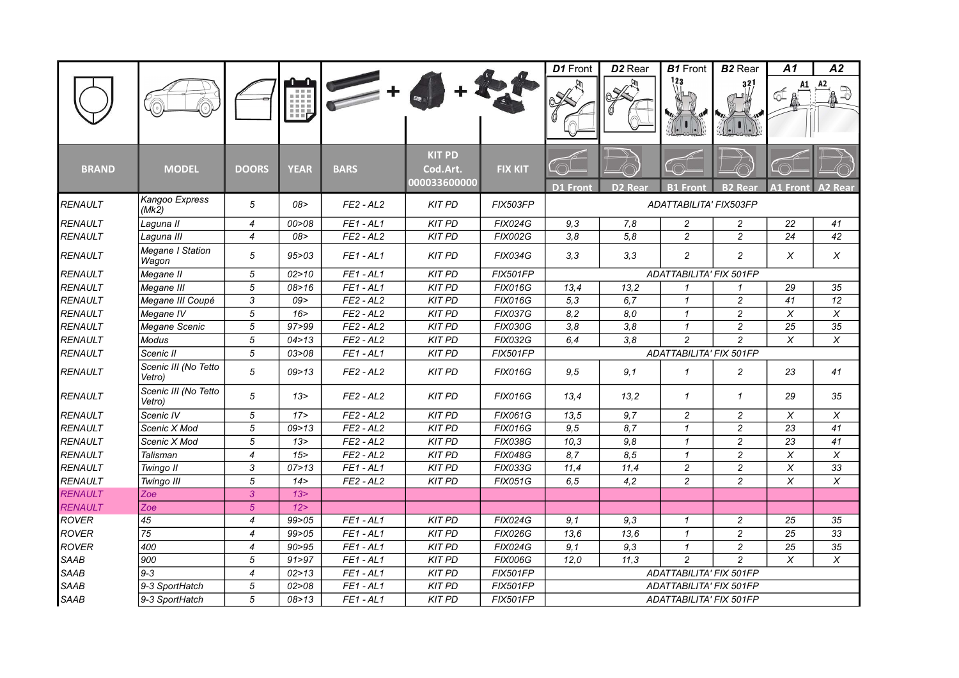|                |                                |                |             |                           |                                           |                 | D1 Front                | D <sub>2</sub> Rear | <b>B1</b> Front         | <b>B2</b> Rear | A1                      | A2                    |  |
|----------------|--------------------------------|----------------|-------------|---------------------------|-------------------------------------------|-----------------|-------------------------|---------------------|-------------------------|----------------|-------------------------|-----------------------|--|
|                |                                |                | ĦБ          |                           |                                           |                 |                         |                     | 123                     | 32!            |                         | A2                    |  |
| <b>BRAND</b>   | <b>MODEL</b>                   | <b>DOORS</b>   | <b>YEAR</b> | <b>BARS</b>               | <b>KIT PD</b><br>Cod.Art.<br>000033600000 | <b>FIX KIT</b>  | <b>D1</b> Front         | D <sub>2</sub> Rear | <b>B1 Front</b>         | <b>B2 Rear</b> | <b>A1 Front</b>         | <b>A2 Rear</b>        |  |
| <b>RENAULT</b> | Kangoo Express<br>(Mk2)        | 5              | 08>         | $FE2 - AL2$               | <b>KIT PD</b>                             | <b>FIX503FP</b> |                         |                     | ADATTABILITA' FIX503FP  |                |                         |                       |  |
| <b>RENAULT</b> | Laguna II                      | $\overline{4}$ | 00 > 08     | $FE1 - AL1$               | <b>KIT PD</b>                             | <b>FIX024G</b>  | 9,3                     | 7,8                 | $\overline{c}$          | $\overline{c}$ | 22                      | 41                    |  |
| <b>RENAULT</b> | Laquna III                     | $\overline{4}$ | 08>         | $FE2 - AL2$               | <b>KIT PD</b>                             | <b>FIX002G</b>  | 3,8                     | 5,8                 | $\overline{c}$          | $\overline{c}$ | 24                      | 42                    |  |
| <b>RENAULT</b> | Megane I Station<br>Wagon      | 5              | 95 > 03     | $FE1 - AL1$               | <b>KIT PD</b>                             | <b>FIX034G</b>  | 3,3                     | 3,3                 | $\overline{c}$          | $\overline{c}$ | X                       | X                     |  |
| <b>RENAULT</b> | Megane II                      | 5              | 02 > 10     | $FE1 - AL1$               | $\overline{KIT}$ PD                       | <b>FIX501FP</b> |                         |                     | ADATTABILITA' FIX 501FP |                |                         |                       |  |
| <b>RENAULT</b> | Megane III                     | $\sqrt{5}$     | 08 > 16     | $FE1 - AL1$               | <b>KIT PD</b>                             | <b>FIX016G</b>  | 13,4                    | 13,2                | 1                       | $\mathcal I$   | 29                      | 35                    |  |
| RENAULT        | Megane III Coupé               | $\mathfrak{3}$ | 09          | $FE2 - AL2$               | <b>KIT PD</b>                             | <b>FIX016G</b>  | 5,3                     | 6,7                 | $\mathcal I$            | $\overline{c}$ | 41                      | 12                    |  |
| <b>RENAULT</b> | Megane IV                      | $\overline{5}$ | 16 >        | $FE2 - AL2$               | <b>KIT PD</b>                             | <b>FIX037G</b>  | 8,2                     | 8,0                 | $\mathcal I$            | $\overline{c}$ | $\overline{\mathsf{x}}$ | $\boldsymbol{\times}$ |  |
| <b>RENAULT</b> | Megane Scenic                  | 5              | 97 > 99     | $FE2 - AL2$               | <b>KIT PD</b>                             | <b>FIX030G</b>  | 3,8                     | 3,8                 | $\mathbf{1}$            | $\overline{c}$ | 25                      | 35                    |  |
| <b>RENAULT</b> | <b>Modus</b>                   | 5              | 04 > 13     | $FE2 - AL2$               | <b>KIT PD</b>                             | <b>FIX032G</b>  | 6,4                     | $\overline{3,8}$    | $\overline{c}$          | $\overline{c}$ | $\overline{X}$          | $\overline{x}$        |  |
| RENAULT        | Scenic II                      | $\overline{5}$ | 03 > 08     | $FE1 - AL1$               | <b>KIT PD</b>                             | <b>FIX501FP</b> |                         |                     | ADATTABILITA' FIX 501FP |                |                         |                       |  |
| <b>RENAULT</b> | Scenic III (No Tetto<br>Vetro) | 5              | 09 > 13     | $FE2 - AL2$               | <b>KIT PD</b>                             | <b>FIX016G</b>  | 9,5                     | 9,1                 | $\mathcal I$            | $\overline{c}$ | 23                      | 41                    |  |
| <b>RENAULT</b> | Scenic III (No Tetto<br>Vetro) | 5              | 13 >        | $FE2 - AL2$               | <b>KIT PD</b>                             | <b>FIX016G</b>  | 13,4                    | 13,2                | $\mathcal I$            | $\mathbf{1}$   | 29                      | 35                    |  |
| <b>RENAULT</b> | Scenic IV                      | $\sqrt{5}$     | 17          | $FE2 - AL2$               | <b>KIT PD</b>                             | <b>FIX061G</b>  | 13,5                    | 9,7                 | $\overline{c}$          | $\overline{c}$ | $\pmb{\times}$          | $\pmb{\times}$        |  |
| <b>RENAULT</b> | Scenic X Mod                   | 5              | 09 > 13     | $FE2 - AL2$               | <b>KIT PD</b>                             | <b>FIX016G</b>  | 9,5                     | 8,7                 | $\mathbf{1}$            | $\overline{c}$ | 23                      | 41                    |  |
| <b>RENAULT</b> | Scenic X Mod                   | 5              | 13 >        | $FE2 - AL2$               | <b>KIT PD</b>                             | <b>FIX038G</b>  | 10,3                    | 9,8                 | 1                       | 2              | 23                      | 41                    |  |
| <b>RENAULT</b> | Talisman                       | $\overline{4}$ | 15          | $FE2 - AL2$               | <b>KIT PD</b>                             | <b>FIX048G</b>  | 8,7                     | 8,5                 | $\mathbf{1}$            | $\overline{c}$ | $\pmb{\times}$          | $\pmb{\times}$        |  |
| RENAULT        | Twingo II                      | 3              | 07 > 13     | $FE1 - AL1$               | <b>KIT PD</b>                             | FIX033G         | 11,4                    | 11,4                | $\overline{c}$          | $\overline{c}$ | $\overline{x}$          | 33                    |  |
| <b>RENAULT</b> | Twingo III                     | 5              | 14 >        | $FE2 - AL2$               | <b>KIT PD</b>                             | <b>FIX051G</b>  | 6, 5                    | 4,2                 | $\overline{c}$          | $\overline{c}$ | X                       | $\pmb{\times}$        |  |
| <b>RENAULT</b> | Zoe                            | 3              | 13 >        |                           |                                           |                 |                         |                     |                         |                |                         |                       |  |
| RENAULT        | Zoe                            | $\overline{5}$ | 12 >        |                           |                                           |                 |                         |                     |                         |                |                         |                       |  |
| <b>ROVER</b>   | 45                             | $\overline{4}$ | 99 > 05     | $FE1 - AL1$               | <b>KIT PD</b>                             | <b>FIX024G</b>  | 9,1                     | 9,3                 | $\mathcal I$            | $\overline{c}$ | 25                      | 35                    |  |
| <b>ROVER</b>   | 75                             | $\overline{4}$ | 99 > 05     | $FE1 - AL1$               | <b>KIT PD</b>                             | <b>FIX026G</b>  | 13,6                    | 13,6                | $\mathcal I$            | $\overline{c}$ | 25                      | 33                    |  |
| <b>ROVER</b>   | 400                            | $\overline{4}$ | 90 > 95     | $FE1 - AL1$               | <b>KIT PD</b>                             | <b>FIX024G</b>  | 9,1                     | 9,3                 | $\mathcal I$            | $\overline{c}$ | 25                      | 35                    |  |
| <b>SAAB</b>    | 900                            | 5              | 91 > 97     | FE <sub>1</sub><br>$-AL1$ | <b>KIT PD</b>                             | <b>FIX006G</b>  | 12,0                    | 11.3                | $\overline{c}$          | $\overline{c}$ | X                       | X                     |  |
| <b>SAAB</b>    | $9 - 3$                        | $\overline{4}$ | 02 > 13     | $FE1 - AL1$               | <b>KIT PD</b>                             | FIX501FP        |                         |                     | ADATTABILITA' FIX 501FP |                |                         |                       |  |
| <b>SAAB</b>    | 9-3 SportHatch                 | 5              | 02 > 08     | $FE1 - AL1$               | <b>KIT PD</b>                             | FIX501FP        | ADATTABILITA' FIX 501FP |                     |                         |                |                         |                       |  |
| <b>SAAB</b>    | 9-3 SportHatch                 | 5              | 08 > 13     | $FE1 - AL1$               | <b>KIT PD</b>                             | <b>FIX501FP</b> | ADATTABILITA' FIX 501FP |                     |                         |                |                         |                       |  |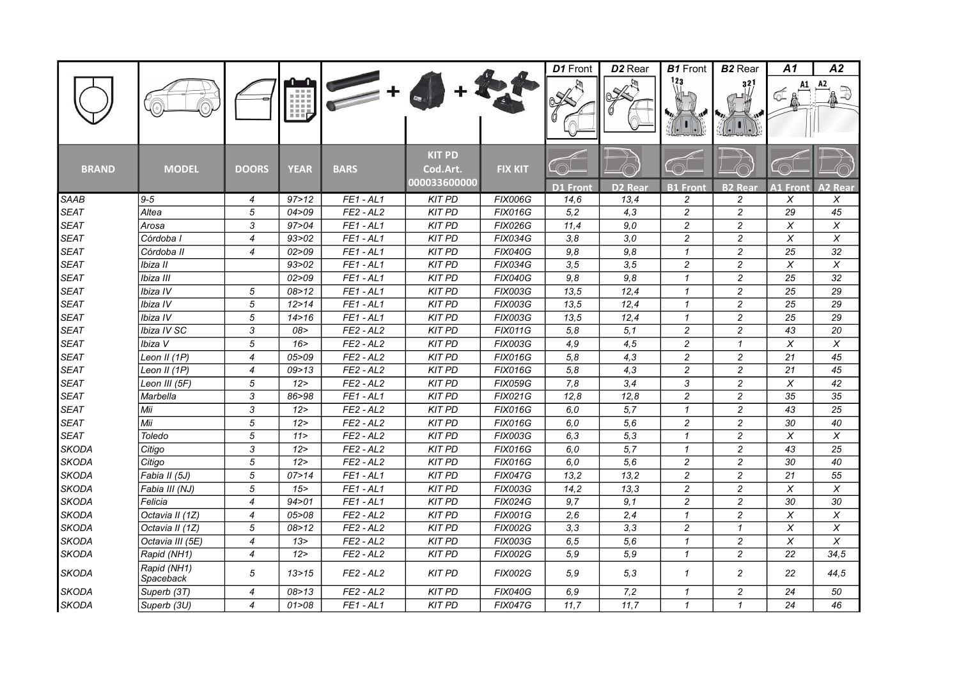|              |                          |                           |             |             |                                           |                | D1 Front        | D <sub>2</sub> Rear | <b>B1</b> Front | <b>B2</b> Rear | Α1                        | Α2                        |
|--------------|--------------------------|---------------------------|-------------|-------------|-------------------------------------------|----------------|-----------------|---------------------|-----------------|----------------|---------------------------|---------------------------|
|              |                          |                           | Щ,          |             |                                           |                |                 |                     | 123             | 32             |                           |                           |
| <b>BRAND</b> | <b>MODEL</b>             | <b>DOORS</b>              | <b>YEAR</b> | <b>BARS</b> | <b>KIT PD</b><br>Cod.Art.<br>000033600000 | <b>FIX KIT</b> | <b>D1 Front</b> | D <sub>2</sub> Rear | <b>B1 Front</b> | <b>B2 Rear</b> | <b>A1 Front</b>           | <b>A2 Rear</b>            |
| <b>SAAB</b>  | $9 - 5$                  | $\overline{4}$            | 97 > 12     | $FE1 - AL1$ | <b>KIT PD</b>                             | <b>FIX006G</b> | 14,6            | 13.4                | 2               | $\overline{c}$ | X                         | X                         |
| <b>SEAT</b>  | Altea                    | 5                         | 04 > 09     | $FE2 - AL2$ | <b>KIT PD</b>                             | <b>FIX016G</b> | 5,2             | 4,3                 | $\overline{c}$  | $\overline{c}$ | 29                        | 45                        |
| <b>SEAT</b>  | Arosa                    | 3                         | 97>04       | $FE1 - AL1$ | <b>KIT PD</b>                             | <b>FIX026G</b> | 11,4            | 9,0                 | 2               | $\overline{c}$ | X                         | X                         |
| <b>SEAT</b>  | Córdoba I                | $\overline{4}$            | 93 > 02     | $FE1 - AL1$ | <b>KIT PD</b>                             | <b>FIX034G</b> | 3,8             | 3,0                 | $\overline{c}$  | $\overline{c}$ | X                         | X                         |
| <b>SEAT</b>  | Córdoba II               | $\overline{4}$            | 02 > 09     | $FE1 - AL1$ | <b>KIT PD</b>                             | <b>FIX040G</b> | 9,8             | 9.8                 | $\mathbf{1}$    | $\overline{c}$ | 25                        | 32                        |
| <b>SEAT</b>  | Ibiza II                 |                           | 93 > 02     | $FE1 - AL1$ | <b>KIT PD</b>                             | <b>FIX034G</b> | 3, 5            | 3,5                 | $\overline{c}$  | $\overline{c}$ | $\boldsymbol{\mathsf{X}}$ | X                         |
| <b>SEAT</b>  | Ibiza III                |                           | 02 > 09     | $FE1 - AL1$ | <b>KIT PD</b>                             | <b>FIX040G</b> | 9,8             | 9,8                 | $\mathcal I$    | $\overline{c}$ | 25                        | 32                        |
| <b>SEAT</b>  | Ibiza IV                 | 5                         | 08 > 12     | $FE1 - AL1$ | <b>KIT PD</b>                             | <b>FIX003G</b> | 13,5            | 12,4                | 1               | $\overline{c}$ | 25                        | 29                        |
| <b>SEAT</b>  | Ibiza IV                 | 5                         | 12 > 14     | $FE1 - AL1$ | <b>KIT PD</b>                             | <b>FIX003G</b> | 13,5            | 12,4                | $\mathcal I$    | $\overline{c}$ | 25                        | 29                        |
| <b>SEAT</b>  | Ibiza IV                 | $\sqrt{5}$                | 14 > 16     | $FE1 - AL1$ | <b>KIT PD</b>                             | <b>FIX003G</b> | 13,5            | 12,4                | $\mathcal I$    | $\overline{c}$ | 25                        | 29                        |
| <b>SEAT</b>  | Ibiza IV SC              | 3                         | 08>         | $FE2 - AL2$ | <b>KIT PD</b>                             | <b>FIX011G</b> | 5,8             | 5,1                 | $\overline{c}$  | $\overline{c}$ | 43                        | 20                        |
| <b>SEAT</b>  | Ibiza V                  | 5                         | 16          | $FE2 - AL2$ | <b>KIT PD</b>                             | <b>FIX003G</b> | 4,9             | 4,5                 | 2               | $\mathbf{1}$   | X                         | X                         |
| <b>SEAT</b>  | Leon II (1P)             | $\overline{4}$            | 05 > 09     | $FE2 - AL2$ | <b>KIT PD</b>                             | <b>FIX016G</b> | 5,8             | 4,3                 | $\overline{c}$  | $\overline{c}$ | 21                        | 45                        |
| <b>SEAT</b>  | Leon II (1P)             | $\overline{4}$            | 09 > 13     | $FE2 - AL2$ | <b>KIT PD</b>                             | <b>FIX016G</b> | 5,8             | 4,3                 | $\overline{c}$  | $\overline{c}$ | 21                        | 45                        |
| <b>SEAT</b>  | Leon III (5F)            | 5                         | 12 >        | $FE2 - AL2$ | <b>KIT PD</b>                             | <b>FIX059G</b> | 7,8             | 3,4                 | 3               | $\overline{c}$ | X                         | 42                        |
| <b>SEAT</b>  | Marbella                 | $\ensuremath{\mathsf{3}}$ | 86>98       | $FE1 - AL1$ | <b>KIT PD</b>                             | <b>FIX021G</b> | 12,8            | 12,8                | $\overline{c}$  | $\overline{c}$ | 35                        | 35                        |
| <b>SEAT</b>  | Mii                      | 3                         | 12          | $FE2 - AL2$ | <b>KIT PD</b>                             | <b>FIX016G</b> | 6,0             | 5,7                 | 1               | $\overline{c}$ | 43                        | 25                        |
| <b>SEAT</b>  | Mii                      | 5                         | 12 >        | $FE2 - AL2$ | <b>KIT PD</b>                             | <b>FIX016G</b> | 6.0             | 5.6                 | $\overline{c}$  | $\overline{c}$ | 30                        | 40                        |
| <b>SEAT</b>  | Toledo                   | 5                         | 11 >        | $FE2 - AL2$ | <b>KIT PD</b>                             | <b>FIX003G</b> | 6,3             | 5,3                 | $\mathcal I$    | $\overline{c}$ | X                         | X                         |
| <b>SKODA</b> | Citigo                   | 3                         | 12          | $FE2 - AL2$ | <b>KIT PD</b>                             | <b>FIX016G</b> | 6,0             | 5,7                 | $\mathbf{1}$    | $\overline{c}$ | 43                        | 25                        |
| <b>SKODA</b> | Citigo                   | $\sqrt{5}$                | 12 >        | $FE2 - AL2$ | <b>KIT PD</b>                             | <b>FIX016G</b> | 6,0             | 5,6                 | $\overline{c}$  | $\overline{c}$ | 30                        | 40                        |
| <b>SKODA</b> | Fabia II (5J)            | 5                         | 07 > 14     | $FE1 - AL1$ | <b>KIT PD</b>                             | <b>FIX047G</b> | 13,2            | 13,2                | $\overline{c}$  | $\overline{c}$ | 21                        | 55                        |
| <b>SKODA</b> | Fabia III (NJ)           | 5                         | 15          | $FE1 - AL1$ | <b>KIT PD</b>                             | <b>FIX003G</b> | 14,2            | 13,3                | $\overline{c}$  | $\overline{c}$ | X                         | X                         |
| <b>SKODA</b> | Felicia                  | $\overline{4}$            | 94 > 01     | $FE1 - AL1$ | <b>KIT PD</b>                             | <b>FIX024G</b> | 9,7             | 9,1                 | $\overline{c}$  | $\overline{c}$ | 30                        | 30                        |
| <b>SKODA</b> | Octavia II (1Z)          | $\overline{4}$            | 05 > 08     | $FE2 - AL2$ | <b>KIT PD</b>                             | <b>FIX001G</b> | 2,6             | 2,4                 | $\mathcal I$    | $\overline{c}$ | X                         | X                         |
| <b>SKODA</b> | Octavia II (1Z)          | 5                         | 08 > 12     | $FE2 - AL2$ | <b>KIT PD</b>                             | <b>FIX002G</b> | 3,3             | 3,3                 | 2               | $\mathbf{1}$   | X                         | X                         |
| <b>SKODA</b> | Octavia III (5E)         | $\boldsymbol{4}$          | 13 >        | $FE2 - AL2$ | <b>KIT PD</b>                             | FIX003G        | 6, 5            | 5,6                 | $\mathcal I$    | $\overline{c}$ | $\chi$                    | $\boldsymbol{\mathsf{X}}$ |
| <b>SKODA</b> | Rapid (NH1)              | $\overline{4}$            | 12 >        | $FE2 - AL2$ | <b>KIT PD</b>                             | <b>FIX002G</b> | 5,9             | 5.9                 | $\mathbf{1}$    | $\overline{c}$ | 22                        | 34,5                      |
| <b>SKODA</b> | Rapid (NH1)<br>Spaceback | 5                         | 13 > 15     | $FE2 - AL2$ | <b>KIT PD</b>                             | <b>FIX002G</b> | 5,9             | 5,3                 | 1               | $\overline{c}$ | 22                        | 44,5                      |
| <b>SKODA</b> | Superb (3T)              | $\overline{4}$            | 08 > 13     | $FE2 - AL2$ | <b>KIT PD</b>                             | <b>FIX040G</b> | 6.9             | 7,2                 | $\mathcal I$    | $\overline{c}$ | 24                        | 50                        |
| <b>SKODA</b> | Superb (3U)              | $\overline{\mathcal{A}}$  | 01 > 08     | $FE1 - AL1$ | <b>KIT PD</b>                             | <b>FIX047G</b> | 11,7            | 11,7                | $\mathcal I$    | $\mathbf{1}$   | 24                        | 46                        |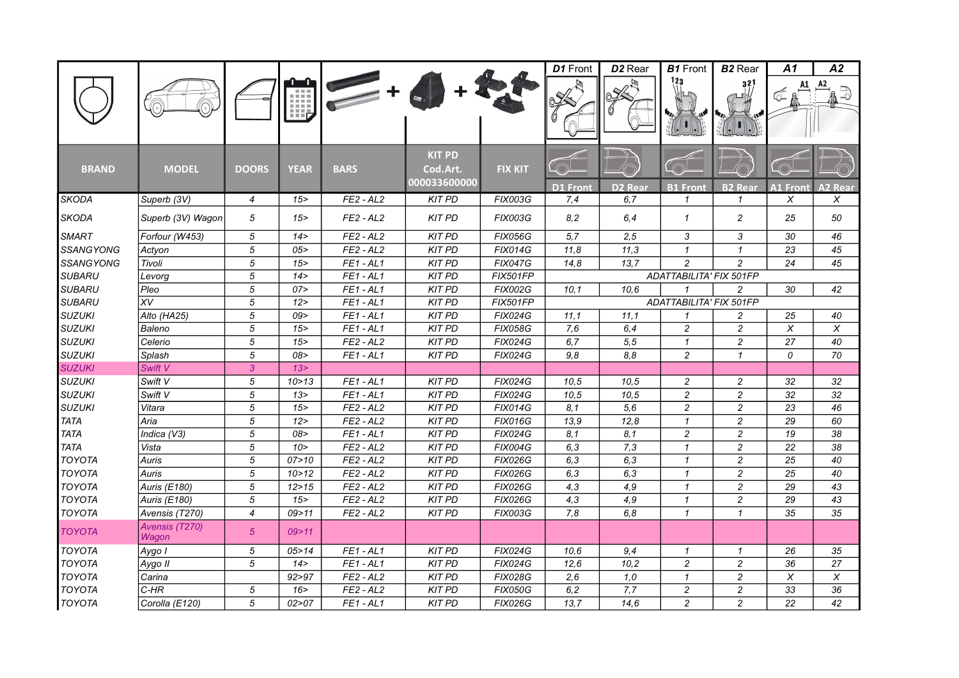|                  |                         |                |             |             |                                           |                 | D1 Front        | D <sub>2</sub> Rear | <b>B1</b> Front                | <b>B2</b> Rear           | A1              | A2             |
|------------------|-------------------------|----------------|-------------|-------------|-------------------------------------------|-----------------|-----------------|---------------------|--------------------------------|--------------------------|-----------------|----------------|
|                  |                         |                | Щ,          |             |                                           |                 |                 |                     | 123                            | 32                       |                 |                |
| <b>BRAND</b>     | <b>MODEL</b>            | <b>DOORS</b>   | <b>YEAR</b> | <b>BARS</b> | <b>KIT PD</b><br>Cod.Art.<br>000033600000 | <b>FIX KIT</b>  | <b>D1 Front</b> | <b>D2 Rear</b>      | <b>B1 Front</b>                | <b>B2 Rear</b>           | <b>A1 Front</b> | <b>A2 Rear</b> |
| <b>SKODA</b>     | Superb (3V)             | $\overline{4}$ | 15          | $FE2 - AL2$ | <b>KIT PD</b>                             | <b>FIX003G</b>  | 7,4             | 6.7                 | $\mathcal I$                   | $\mathbf{1}$             | X               | X              |
|                  |                         |                |             |             |                                           |                 |                 |                     |                                |                          |                 |                |
| <b>SKODA</b>     | Superb (3V) Wagon       | 5              | 15          | $FE2 - AL2$ | <b>KIT PD</b>                             | <b>FIX003G</b>  | 8,2             | 6,4                 | $\mathbf{1}$                   | $\overline{c}$           | 25              | 50             |
| <b>SMART</b>     | Forfour (W453)          | 5              | 14 >        | $FE2 - AL2$ | <b>KIT PD</b>                             | <b>FIX056G</b>  | 5,7             | 2,5                 | 3                              | 3                        | 30              | 46             |
| <b>SSANGYONG</b> | Actyon                  | 5              | 05          | $FE2 - AL2$ | <b>KIT PD</b>                             | <b>FIX014G</b>  | 11,8            | 11,3                | $\mathbf{1}$                   | $\mathbf{1}$             | $\overline{23}$ | 45             |
| <b>SSANGYONG</b> | Tivoli                  | 5              | 15          | $FE1 - AL1$ | <b>KIT PD</b>                             | <b>FIX047G</b>  | 14,8            | 13.7                | $\overline{c}$                 | $\overline{\mathcal{L}}$ | 24              | 45             |
| <b>SUBARU</b>    | Levorg                  | 5              | 14 >        | $FE1 - AL1$ | <b>KIT PD</b>                             | <b>FIX501FP</b> |                 |                     | <b>ADATTABILITA' FIX 501FP</b> |                          |                 |                |
| <b>SUBARU</b>    | Pleo                    | $\sqrt{5}$     | 07>         | $FE1 - AL1$ | <b>KIT PD</b>                             | <b>FIX002G</b>  | 10,1            | 10.6                | $\mathbf{1}$                   | $\overline{c}$           | 30              | 42             |
| <b>SUBARU</b>    | XV                      | 5              | 12 >        | $FE1 - AL1$ | <b>KIT PD</b>                             | <b>FIX501FP</b> |                 |                     | ADATTABILITA' FIX 501FP        |                          |                 |                |
| <b>SUZUKI</b>    | Alto (HA25)             | 5              | 09          | $FE1 - AL1$ | <b>KIT PD</b>                             | <b>FIX024G</b>  | 11,1            | 11,1                | $\mathbf{1}$                   | 2                        | 25              | 40             |
| <b>SUZUKI</b>    | Baleno                  | 5              | 15          | $FE1 - AL1$ | <b>KIT PD</b>                             | <b>FIX058G</b>  | 7,6             | 6,4                 | $\overline{c}$                 | $\overline{c}$           | X               | X              |
| <b>SUZUKI</b>    | Celerio                 | 5              | 15          | $FE2 - AL2$ | <b>KIT PD</b>                             | <b>FIX024G</b>  | 6.7             | 5,5                 | $\mathbf{1}$                   | $\overline{c}$           | 27              | 40             |
| <b>SUZUKI</b>    | Splash                  | 5              | 08>         | $FE1 - AL1$ | <b>KIT PD</b>                             | <b>FIX024G</b>  | 9,8             | 8.8                 | $\overline{c}$                 | $\mathbf{1}$             | 0               | 70             |
| <b>SUZUKI</b>    | Swift V                 | 3              | 13 >        |             |                                           |                 |                 |                     |                                |                          |                 |                |
| <b>SUZUKI</b>    | Swift V                 | 5              | 10 > 13     | $FE1 - AL1$ | <b>KIT PD</b>                             | <b>FIX024G</b>  | 10.5            | 10.5                | $\overline{c}$                 | $\overline{c}$           | 32              | 32             |
| <b>SUZUKI</b>    | Swift V                 | 5              | 13 >        | $FE1 - AL1$ | <b>KIT PD</b>                             | <b>FIX024G</b>  | 10,5            | 10,5                | $\overline{c}$                 | $\overline{c}$           | 32              | 32             |
| <b>SUZUKI</b>    | Vitara                  | 5              | 15          | $FE2 - AL2$ | <b>KIT PD</b>                             | <b>FIX014G</b>  | 8,1             | 5,6                 | $\overline{c}$                 | $\overline{c}$           | 23              | 46             |
| <b>TATA</b>      | Aria                    | 5              | 12 >        | $FE2 - AL2$ | <b>KIT PD</b>                             | <b>FIX016G</b>  | 13,9            | 12,8                | $\mathbf{1}$                   | $\overline{c}$           | 29              | 60             |
| <b>TATA</b>      | Indica (V3)             | 5              | 08          | $FE1 - AL1$ | <b>KIT PD</b>                             | <b>FIX024G</b>  | 8,1             | 8,1                 | $\overline{c}$                 | $\boldsymbol{2}$         | 19              | 38             |
| <b>TATA</b>      | Vista                   | 5              | 10 >        | $FE2 - AL2$ | <b>KIT PD</b>                             | <b>FIX004G</b>  | 6,3             | 7,3                 | $\mathbf{1}$                   | $\overline{c}$           | 22              | 38             |
| <b>TOYOTA</b>    | Auris                   | 5              | 07 > 10     | $FE2 - AL2$ | <b>KIT PD</b>                             | <b>FIX026G</b>  | 6,3             | 6,3                 | $\mathbf{1}$                   | $\overline{c}$           | 25              | 40             |
| <b>TOYOTA</b>    | Auris                   | $\sqrt{5}$     | 10 > 12     | $FE2 - AL2$ | <b>KIT PD</b>                             | <b>FIX026G</b>  | 6,3             | 6,3                 | $\mathbf{1}$                   | $\overline{c}$           | 25              | 40             |
| <b>TOYOTA</b>    | Auris (E180)            | 5              | 12 > 15     | $FE2 - AL2$ | <b>KIT PD</b>                             | <b>FIX026G</b>  | 4,3             | 4,9                 | $\mathbf{1}$                   | $\overline{c}$           | 29              | 43             |
| <b>TOYOTA</b>    | Auris (E180)            | 5              | 15          | $FE2 - AL2$ | <b>KIT PD</b>                             | <b>FIX026G</b>  | 4,3             | 4,9                 | $\mathbf{1}$                   | $\overline{c}$           | 29              | 43             |
| <b>TOYOTA</b>    | Avensis (T270)          | $\overline{4}$ | 09 > 11     | $FE2 - AL2$ | <b>KIT PD</b>                             | <b>FIX003G</b>  | 7,8             | 6,8                 | $\mathcal I$                   | $\mathbf{1}$             | 35              | 35             |
| <b>TOYOTA</b>    | Avensis (T270)<br>Wagon | 5 <sup>5</sup> | 09 > 11     |             |                                           |                 |                 |                     |                                |                          |                 |                |
| <b>TOYOTA</b>    | Aygo I                  | 5              | 05 > 14     | $FE1 - AL1$ | <b>KIT PD</b>                             | <b>FIX024G</b>  | 10.6            | 9,4                 | $\mathcal I$                   | $\mathcal I$             | 26              | 35             |
| <b>TOYOTA</b>    | Aygo II                 | 5              | 14 >        | $FE1 - AL1$ | <b>KIT PD</b>                             | <b>FIX024G</b>  | 12,6            | 10,2                | $\overline{c}$                 | $\overline{c}$           | 36              | 27             |
| <b>TOYOTA</b>    | Carina                  |                | 92 > 97     | $FE2 - AL2$ | <b>KIT PD</b>                             | <b>FIX028G</b>  | 2,6             | 1,0                 | $\mathbf{1}$                   | $\overline{c}$           | X               | X              |
| <b>TOYOTA</b>    | $C-HR$                  | 5              | 16          | $FE2 - AL2$ | <b>KIT PD</b>                             | <b>FIX050G</b>  | 6,2             | 7,7                 | $\overline{c}$                 | $\overline{c}$           | 33              | 36             |
| <b>TOYOTA</b>    | Corolla (E120)          | 5              | 02 > 07     | $FE1 - AL1$ | <b>KIT PD</b>                             | <b>FIX026G</b>  | 13,7            | 14,6                | $\overline{c}$                 | $\overline{c}$           | 22              | 42             |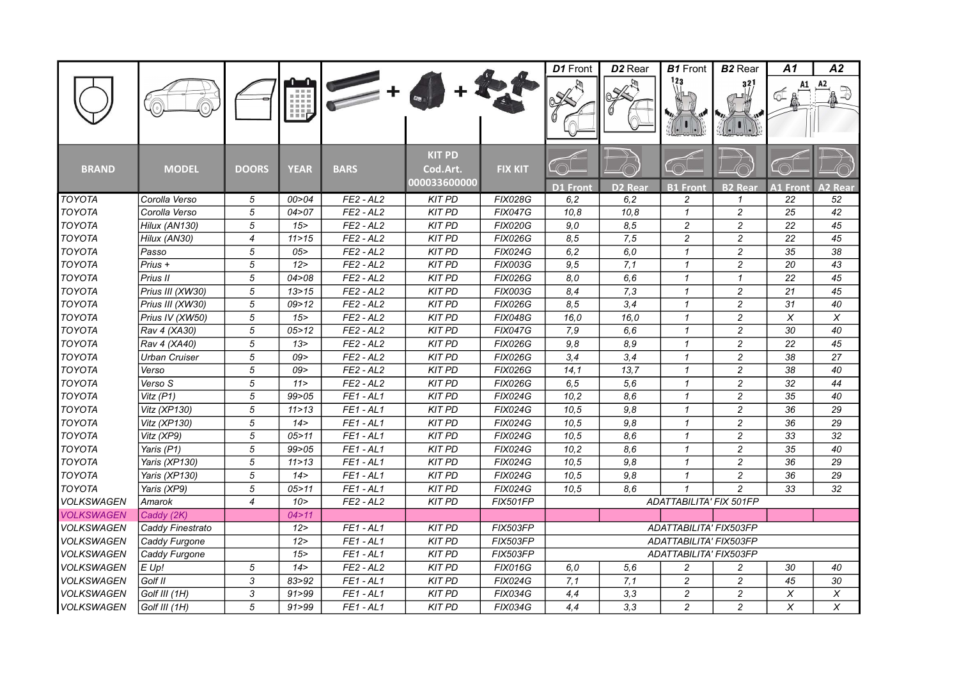|                   |                  |                          |             |                |                                           |                 | D1 Front        | D <sub>2</sub> Rear | <b>B1</b> Front         | <b>B2</b> Rear | A1               | A2                      |
|-------------------|------------------|--------------------------|-------------|----------------|-------------------------------------------|-----------------|-----------------|---------------------|-------------------------|----------------|------------------|-------------------------|
|                   |                  |                          | W           |                |                                           |                 |                 |                     |                         | 321            |                  |                         |
| <b>BRAND</b>      | <b>MODEL</b>     | <b>DOORS</b>             | <b>YEAR</b> | <b>BARS</b>    | <b>KIT PD</b><br>Cod.Art.<br>000033600000 | <b>FIX KIT</b>  | <b>D1 Front</b> | <b>D2 Rear</b>      | <b>B1 Front</b>         | <b>B2 Rear</b> | <b>A1 Fron</b> t | <b>\2 Rear</b>          |
| <b>TOYOTA</b>     | Corolla Verso    | 5                        | 00 > 04     | $FE2 - AL2$    | <b>KIT PD</b>                             | <b>FIX028G</b>  | 6, 2            | 6,2                 | 2                       | $\mathbf{1}$   | 22               | $\overline{52}$         |
| <b>TOYOTA</b>     | Corolla Verso    | 5                        | 04 > 07     | $FE2 - AL2$    | <b>KIT PD</b>                             | <b>FIX047G</b>  | 10,8            | 10,8                | $\mathcal I$            | $\overline{c}$ | 25               | 42                      |
| <b>TOYOTA</b>     | Hilux (AN130)    | 5                        | 15          | $FE2 - AL2$    | <b>KIT PD</b>                             | <b>FIX020G</b>  | 9,0             | 8,5                 | $\overline{c}$          | $\overline{c}$ | $\overline{22}$  | 45                      |
| <b>TOYOTA</b>     | Hilux (AN30)     | $\overline{4}$           | 11 > 15     | $FE2 - AL2$    | <b>KIT PD</b>                             | <b>FIX026G</b>  | 8,5             | 7,5                 | $\overline{c}$          | $\overline{c}$ | 22               | 45                      |
| <b>TOYOTA</b>     | Passo            | 5                        | 05          | $FE2 - AL2$    | <b>KIT PD</b>                             | <b>FIX024G</b>  | 6,2             | 6.0                 | $\mathbf{1}$            | $\overline{c}$ | 35               | 38                      |
| <b>TOYOTA</b>     | Prius +          | 5                        | 12 >        | $FE2 - AL2$    | <b>KIT PD</b>                             | <b>FIX003G</b>  | 9,5             | 7,1                 | $\mathcal I$            | $\overline{c}$ | 20               | 43                      |
| <b>TOYOTA</b>     | Prius II         | 5                        | 04 > 08     | $FE2 - AL2$    | <b>KIT PD</b>                             | <b>FIX026G</b>  | 8,0             | 6,6                 | $\mathcal I$            | $\mathbf{1}$   | $\overline{22}$  | 45                      |
| <b>TOYOTA</b>     | Prius III (XW30) | $\overline{5}$           | 13 > 15     | $FE2 - AL2$    | <b>KIT PD</b>                             | <b>FIX003G</b>  | 8,4             | 7,3                 | $\mathbf{1}$            | $\overline{c}$ | 21               | 45                      |
| <b>TOYOTA</b>     | Prius III (XW30) | 5                        | 09 > 12     | $FE2 - AL2$    | <b>KIT PD</b>                             | <b>FIX026G</b>  | 8,5             | 3,4                 | $\mathcal I$            | $\overline{c}$ | 31               | 40                      |
| <b>TOYOTA</b>     | Prius IV (XW50)  | 5                        | 15          | $FE2 - AL2$    | <b>KIT PD</b>                             | <b>FIX048G</b>  | 16,0            | 16,0                | $\mathcal I$            | $\overline{c}$ | X                | X                       |
| <b>TOYOTA</b>     | Rav 4 (XA30)     | 5                        | 05 > 12     | $FE2 - AL2$    | <b>KIT PD</b>                             | <b>FIX047G</b>  | 7,9             | 6,6                 | $\mathbf{1}$            | $\overline{c}$ | 30               | 40                      |
| <b>TOYOTA</b>     | Rav 4 (XA40)     | 5                        | 13 >        | $FE2 - AL2$    | <b>KIT PD</b>                             | <b>FIX026G</b>  | 9,8             | 8,9                 | $\mathcal I$            | $\overline{c}$ | 22               | 45                      |
| <b>TOYOTA</b>     | Urban Cruiser    | 5                        | 09 >        | $FE2 - AL2$    | <b>KIT PD</b>                             | <b>FIX026G</b>  | 3,4             | 3,4                 | $\mathbf{1}$            | $\overline{c}$ | 38               | 27                      |
| <b>TOYOTA</b>     | Verso            | 5                        | 09>         | $FE2 - AL2$    | <b>KIT PD</b>                             | <b>FIX026G</b>  | 14,1            | 13,7                | $\mathbf{1}$            | $\overline{c}$ | 38               | 40                      |
| <b>TOYOTA</b>     | Verso S          | 5                        | 11 >        | $FE2 - AL2$    | <b>KIT PD</b>                             | <b>FIX026G</b>  | 6, 5            | 5,6                 | $\mathbf{1}$            | $\overline{c}$ | 32               | 44                      |
| <b>TOYOTA</b>     | Vitz $(P1)$      | 5                        | 99 > 05     | $FE1 - AL1$    | <b>KIT PD</b>                             | <b>FIX024G</b>  | 10,2            | 8,6                 | $\mathcal I$            | $\overline{c}$ | 35               | 40                      |
| <b>TOYOTA</b>     | Vitz (XP130)     | 5                        | 11 > 13     | $FE1 - AL1$    | <b>KIT PD</b>                             | <b>FIX024G</b>  | 10,5            | 9,8                 | $\mathbf{1}$            | $\overline{c}$ | 36               | 29                      |
| <b>TOYOTA</b>     | Vitz (XP130)     | $\sqrt{5}$               | 14 >        | $FE1 - AL1$    | <b>KIT PD</b>                             | <b>FIX024G</b>  | 10,5            | 9,8                 | $\mathcal I$            | $\overline{c}$ | 36               | 29                      |
| <b>TOYOTA</b>     | Vitz (XP9)       | 5                        | 05 > 11     | $FE1 - AL1$    | <b>KIT PD</b>                             | <b>FIX024G</b>  | 10,5            | 8,6                 | $\mathbf{1}$            | $\overline{c}$ | 33               | 32                      |
| <b>TOYOTA</b>     | Yaris (P1)       | 5                        | 99 > 05     | $FE1 - AL1$    | <b>KIT PD</b>                             | <b>FIX024G</b>  | 10,2            | 8,6                 | $\mathbf{1}$            | $\overline{c}$ | 35               | 40                      |
| <b>TOYOTA</b>     | Yaris (XP130)    | 5                        | 11 > 13     | $FE1 - AL1$    | <b>KIT PD</b>                             | <b>FIX024G</b>  | 10.5            | 9,8                 | $\mathcal I$            | $\overline{c}$ | 36               | 29                      |
| <b>TOYOTA</b>     | Yaris (XP130)    | 5                        | 14 >        | $FE1 - AL1$    | <b>KIT PD</b>                             | <b>FIX024G</b>  | 10.5            | 9.8                 | $\mathbf{1}$            | $\overline{c}$ | 36               | 29                      |
| <b>TOYOTA</b>     | Yaris (XP9)      | 5                        | 05 > 11     | $FE1 - AL1$    | <b>KIT PD</b>                             | <b>FIX024G</b>  | 10,5            | 8.6                 | $\mathbf{1}$            | $\overline{c}$ | 33               | 32                      |
| VOLKSWAGEN        | Amarok           | $\overline{\mathcal{A}}$ | 10 >        | $FE2 - AL2$    | <b>KIT PD</b>                             | <b>FIX501FP</b> |                 |                     | ADATTABILITA' FIX 501FP |                |                  |                         |
| <b>VOLKSWAGEN</b> | Caddy (2K)       |                          | 04 > 11     |                |                                           |                 |                 |                     |                         |                |                  |                         |
| VOLKSWAGEN        | Caddy Finestrato |                          | 12 >        | $FE1 - AL1$    | <b>KIT PD</b>                             | FIX503FP        |                 |                     | ADATTABILITA' FIX503FP  |                |                  |                         |
| VOLKSWAGEN        | Caddy Furgone    |                          | 12 >        | $FE1 - AL1$    | <b>KIT PD</b>                             | FIX503FP        |                 |                     | ADATTABILITA' FIX503FP  |                |                  |                         |
| <b>VOLKSWAGEN</b> | Caddy Furgone    |                          | 15          | $FE1 - AL1$    | <b>KIT PD</b>                             | FIX503FP        |                 |                     | ADATTABILITA' FIX503FP  |                |                  |                         |
| <b>VOLKSWAGEN</b> | $E$ Up!          | 5                        | 14 >        | $FE2 - AL2$    | <b>KIT PD</b>                             | <b>FIX016G</b>  | 6,0             | 5,6                 | $\overline{c}$          | $\overline{c}$ | 30               | 40                      |
| <b>VOLKSWAGEN</b> | Golf II          | 3                        | 83>92       | $FE1 - AL1$    | <b>KIT PD</b>                             | <b>FIX024G</b>  | 7,1             | 7,1                 | $\overline{c}$          | 2              | 45               | 30                      |
| <b>VOLKSWAGEN</b> | Golf III (1H)    | 3                        | 91 > 99     | $FE1 - AL1$    | <b>KIT PD</b>                             | <b>FIX034G</b>  | 4,4             | 3,3                 | $\overline{c}$          | $\overline{c}$ | X                | X                       |
| <b>VOLKSWAGEN</b> | Golf III (1H)    | 5                        | 91 > 99     | <b>FE1-AL1</b> | <b>KIT PD</b>                             | <b>FIX034G</b>  | 4,4             | 3,3                 | $\overline{c}$          | $\overline{c}$ | X                | $\overline{\mathsf{x}}$ |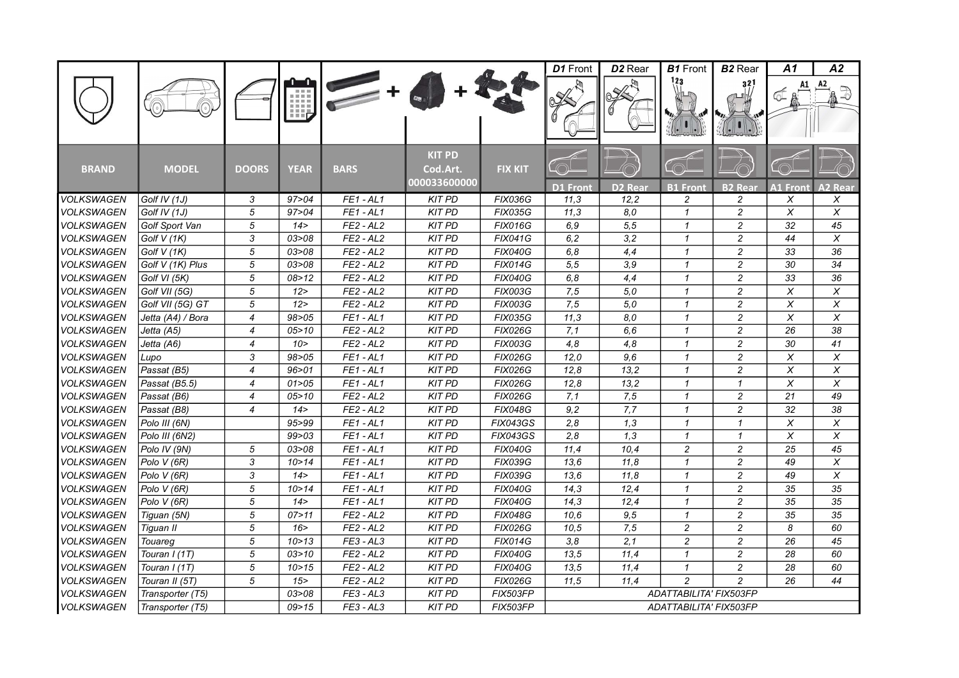|                   |                   |                  |             |             |                                           |                 | D1 Front        | D <sub>2</sub> Rear | <b>B1</b> Front        | <b>B2</b> Rear      | A1              | А2                        |
|-------------------|-------------------|------------------|-------------|-------------|-------------------------------------------|-----------------|-----------------|---------------------|------------------------|---------------------|-----------------|---------------------------|
|                   |                   |                  | 唧           |             |                                           |                 |                 |                     | 123                    | 321                 |                 |                           |
| <b>BRAND</b>      | <b>MODEL</b>      | <b>DOORS</b>     | <b>YEAR</b> | <b>BARS</b> | <b>KIT PD</b><br>Cod.Art.<br>000033600000 | <b>FIX KIT</b>  | <b>D1 Front</b> | <b>D2 Rear</b>      | <b>B1</b> Front        | <b>B2 Rear</b>      | <b>A1 Front</b> | <b>A2 Rear</b>            |
| <b>VOLKSWAGEN</b> | Golf IV (1J)      | 3                | 97 > 04     | $FE1 - AL1$ | <b>KIT PD</b>                             | <b>FIX036G</b>  | 11,3            | 12,2                | 2                      | $\overline{c}$      | X               | Χ                         |
| <b>VOLKSWAGEN</b> | Golf IV (1J)      | 5                | 97 > 04     | $FE1 - AL1$ | <b>KIT PD</b>                             | <b>FIX035G</b>  | 11,3            | 8,0                 | $\mathbf{1}$           | $\overline{c}$      | X               | $\overline{X}$            |
| <b>VOLKSWAGEN</b> | Golf Sport Van    | 5                | 14 >        | $FE2 - AL2$ | <b>KIT PD</b>                             | <b>FIX016G</b>  | 6,9             | $\overline{5,5}$    | $\mathbf{1}$           | $\overline{c}$      | 32              | 45                        |
| <b>VOLKSWAGEN</b> | Golf $V(1K)$      | 3                | 03>08       | $FE2 - AL2$ | <b>KIT PD</b>                             | <b>FIX041G</b>  | 6,2             | 3,2                 | $\mathbf{1}$           | $\overline{c}$      | 44              | X                         |
| <b>VOLKSWAGEN</b> | Golf V (1K)       | 5                | 03 > 08     | $FE2 - AL2$ | <b>KIT PD</b>                             | <b>FIX040G</b>  | 6,8             | 4,4                 | $\mathbf{1}$           | $\overline{c}$      | 33              | 36                        |
| <b>VOLKSWAGEN</b> | Golf V (1K) Plus  | 5                | 03 > 08     | $FE2 - AL2$ | <b>KIT PD</b>                             | <b>FIX014G</b>  | 5,5             | 3,9                 | $\mathbf{1}$           | $\overline{c}$      | 30              | 34                        |
| VOLKSWAGEN        | Golf VI (5K)      | 5                | 08 > 12     | $FE2 - AL2$ | <b>KIT PD</b>                             | <b>FIX040G</b>  | 6,8             | 4,4                 | $\mathbf{1}$           | $\overline{c}$      | 33              | 36                        |
| <b>VOLKSWAGEN</b> | Golf VII (5G)     | 5                | 12          | $FE2 - AL2$ | <b>KIT PD</b>                             | <b>FIX003G</b>  | 7,5             | 5,0                 | $\mathcal I$           | $\overline{c}$      | $\chi$          | $\boldsymbol{\mathsf{X}}$ |
| <b>VOLKSWAGEN</b> | Golf VII (5G) GT  | 5                | 12 >        | $FE2 - AL2$ | <b>KIT PD</b>                             | <b>FIX003G</b>  | 7,5             | 5,0                 | $\mathbf{1}$           | $\overline{c}$      | $\pmb{\times}$  | $\times$                  |
| <b>VOLKSWAGEN</b> | Jetta (A4) / Bora | 4                | 98>05       | $FE1 - AL1$ | <b>KIT PD</b>                             | <b>FIX035G</b>  | 11,3            | 8.0                 | $\mathcal I$           | $\overline{c}$      | $\chi$          | $\boldsymbol{\mathsf{X}}$ |
| <b>VOLKSWAGEN</b> | Jetta (A5)        | $\overline{4}$   | 05 > 10     | $FE2 - AL2$ | <b>KIT PD</b>                             | <b>FIX026G</b>  | 7,1             | 6.6                 | $\mathbf{1}$           | $\overline{c}$      | 26              | 38                        |
| <b>VOLKSWAGEN</b> | Jetta (A6)        | $\overline{4}$   | 10 >        | $FE2 - AL2$ | <b>KIT PD</b>                             | <b>FIX003G</b>  | 4,8             | 4.8                 | $\mathbf{1}$           | $\overline{c}$      | 30              | 41                        |
| <b>VOLKSWAGEN</b> | Lupo              | 3                | 98>05       | $FE1 - AL1$ | <b>KIT PD</b>                             | <b>FIX026G</b>  | 12,0            | 9,6                 | $\mathbf{1}$           | $\overline{c}$      | X               | X                         |
| <b>VOLKSWAGEN</b> | Passat (B5)       | $\overline{4}$   | 96 > 01     | $FE1 - AL1$ | <b>KIT PD</b>                             | <b>FIX026G</b>  | 12,8            | 13,2                | $\mathbf{1}$           | $\overline{c}$      | X               | X                         |
| <b>VOLKSWAGEN</b> | Passat (B5.5)     | $\overline{4}$   | 01 > 05     | $FE1 - AL1$ | <b>KIT PD</b>                             | <b>FIX026G</b>  | 12,8            | 13,2                | $\mathbf{1}$           | $\mathcal I$        | $\pmb{\times}$  | $\pmb{\times}$            |
| VOLKSWAGEN        | Passat (B6)       | $\boldsymbol{4}$ | 05 > 10     | $FE2 - AL2$ | <b>KIT PD</b>                             | <b>FIX026G</b>  | 7,1             | 7,5                 | $\mathbf{1}$           | $\overline{c}$      | 21              | 49                        |
| <b>VOLKSWAGEN</b> | Passat (B8)       | 4                | 14 >        | $FE2 - AL2$ | <b>KIT PD</b>                             | <b>FIX048G</b>  | 9,2             | 7,7                 | $\mathbf{1}$           | $\overline{c}$      | 32              | 38                        |
| <b>VOLKSWAGEN</b> | Polo III (6N)     |                  | 95>99       | $FE1 - AL1$ | <b>KIT PD</b>                             | <b>FIX043GS</b> | 2,8             | 1,3                 | $\mathbf{1}$           | $\pmb{\mathcal{1}}$ | $\chi$          | $\chi$                    |
| <b>VOLKSWAGEN</b> | Polo III (6N2)    |                  | 99 > 03     | $FE1 - AL1$ | <b>KIT PD</b>                             | <b>FIX043GS</b> | 2,8             | $\overline{1,3}$    | $\mathbf{1}$           | $\mathbf{1}$        | $\overline{x}$  | $\overline{\mathsf{x}}$   |
| <b>VOLKSWAGEN</b> | Polo IV (9N)      | 5                | 03 > 08     | $FE1 - AL1$ | <b>KIT PD</b>                             | <b>FIX040G</b>  | 11,4            | 10,4                | $\overline{c}$         | $\overline{c}$      | 25              | 45                        |
| <b>VOLKSWAGEN</b> | Polo V (6R)       | 3                | 10 > 14     | $FE1 - AL1$ | <b>KIT PD</b>                             | <b>FIX039G</b>  | 13,6            | 11,8                | $\mathbf{1}$           | $\overline{c}$      | 49              | X                         |
| <b>VOLKSWAGEN</b> | Polo V (6R)       | 3                | 14 >        | $FE1 - AL1$ | <b>KIT PD</b>                             | <b>FIX039G</b>  | 13,6            | 11,8                | $\mathbf{1}$           | $\overline{c}$      | 49              | $\pmb{\times}$            |
| <b>VOLKSWAGEN</b> | Polo V (6R)       | 5                | 10 > 14     | $FE1 - AL1$ | <b>KIT PD</b>                             | <b>FIX040G</b>  | 14,3            | 12,4                | $\mathbf{1}$           | $\overline{c}$      | 35              | 35                        |
| <b>VOLKSWAGEN</b> | Polo V (6R)       | 5                | 14 >        | $FE1 - AL1$ | <b>KIT PD</b>                             | <b>FIX040G</b>  | 14,3            | 12,4                | $\mathbf{1}$           | $\overline{c}$      | 35              | 35                        |
| <b>VOLKSWAGEN</b> | Tiguan (5N)       | 5                | 07 > 11     | $FE2 - AL2$ | <b>KIT PD</b>                             | <b>FIX048G</b>  | 10.6            | 9,5                 | $\mathbf{1}$           | $\overline{c}$      | 35              | 35                        |
| VOLKSWAGEN        | Tiguan II         | $\sqrt{5}$       | 16          | $FE2 - AL2$ | <b>KIT PD</b>                             | <b>FIX026G</b>  | 10,5            | 7,5                 | $\overline{c}$         | $\boldsymbol{2}$    | 8               | 60                        |
| <b>VOLKSWAGEN</b> | Touareg           | $\sqrt{5}$       | 10 > 13     | $FE3 - AL3$ | <b>KIT PD</b>                             | <b>FIX014G</b>  | 3,8             | $\overline{2,1}$    | $\overline{c}$         | $\overline{c}$      | 26              | 45                        |
| <b>VOLKSWAGEN</b> | Touran I (1T)     | 5                | 03 > 10     | $FE2 - AL2$ | <b>KIT PD</b>                             | <b>FIX040G</b>  | 13,5            | 11,4                | $\mathbf{1}$           | $\overline{c}$      | 28              | 60                        |
| <b>VOLKSWAGEN</b> | Touran I (1T)     | 5                | 10 > 15     | $FE2 - AL2$ | <b>KIT PD</b>                             | <b>FIX040G</b>  | 13,5            | 11,4                | $\mathbf{1}$           | $\overline{c}$      | 28              | 60                        |
| <b>VOLKSWAGEN</b> | Touran II (5T)    | 5                | 15          | $FE2 - AL2$ | <b>KIT PD</b>                             | <b>FIX026G</b>  | 11,5            | 11.4                | $\overline{c}$         | $\mathfrak{p}$      | 26              | 44                        |
| <b>VOLKSWAGEN</b> | Transporter (T5)  |                  | 03 > 08     | $FE3 - AL3$ | <b>KIT PD</b>                             | FIX503FP        |                 |                     | ADATTABILITA' FIX503FP |                     |                 |                           |
| <b>VOLKSWAGEN</b> | Transporter (T5)  |                  | 09 > 15     | $FE3 - AL3$ | <b>KIT PD</b>                             | <b>FIX503FP</b> |                 |                     | ADATTABILITA' FIX503FP |                     |                 |                           |